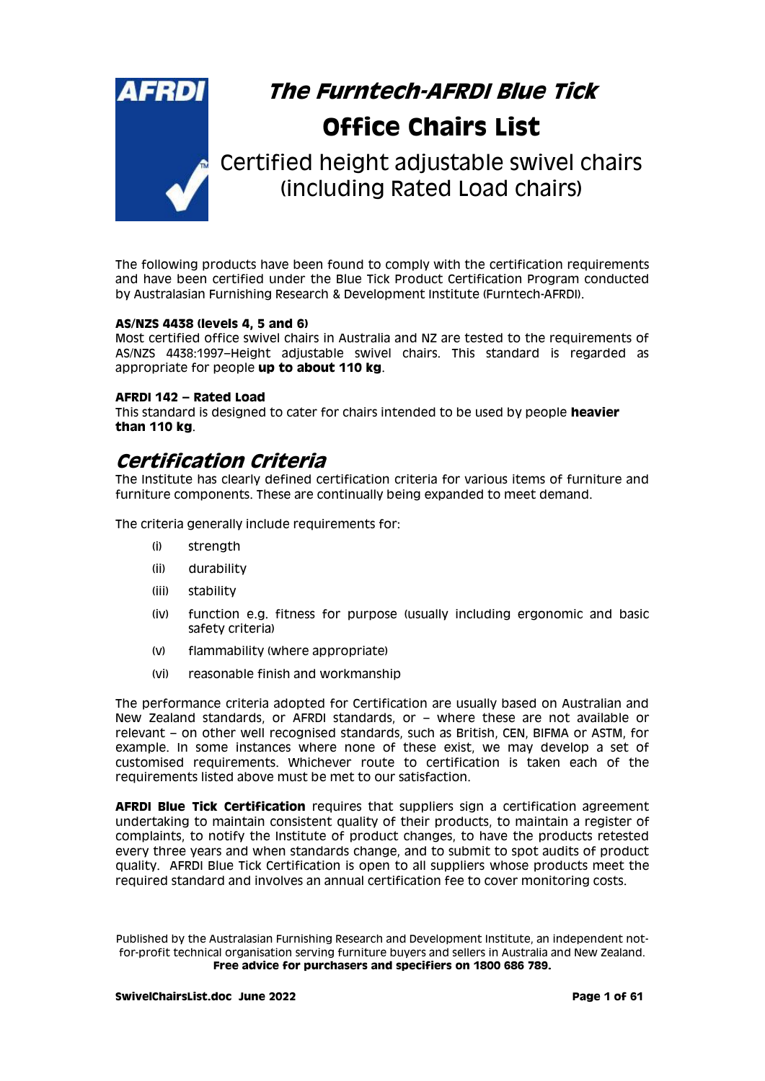

# **The Furntech-AFRDI Blue Tick Office Chairs List**

Certified height adjustable swivel chairs (including Rated Load chairs)

The following products have been found to comply with the certification requirements and have been certified under the Blue Tick Product Certification Program conducted by Australasian Furnishing Research & Development Institute (Furntech-AFRDI).

#### **AS/NZS 4438 (levels 4, 5 and 6)**

Most certified office swivel chairs in Australia and NZ are tested to the requirements of AS/NZS 4438:1997–Height adjustable swivel chairs. This standard is regarded as appropriate for people **up to about 110 kg**.

#### **AFRDI 142 – Rated Load**

This standard is designed to cater for chairs intended to be used by people **heavier than 110 kg**.

# **Certification Criteria**

The Institute has clearly defined certification criteria for various items of furniture and furniture components. These are continually being expanded to meet demand.

The criteria generally include requirements for:

- (i) strength
- (ii) durability
- (iii) stability
- (iv) function e.g. fitness for purpose (usually including ergonomic and basic safety criteria)
- (v) flammability (where appropriate)
- (vi) reasonable finish and workmanship

The performance criteria adopted for Certification are usually based on Australian and New Zealand standards, or AFRDI standards, or – where these are not available or relevant – on other well recognised standards, such as British, CEN, BIFMA or ASTM, for example. In some instances where none of these exist, we may develop a set of customised requirements. Whichever route to certification is taken each of the requirements listed above must be met to our satisfaction.

**AFRDI Blue Tick Certification** requires that suppliers sign a certification agreement undertaking to maintain consistent quality of their products, to maintain a register of complaints, to notify the Institute of product changes, to have the products retested every three years and when standards change, and to submit to spot audits of product quality. AFRDI Blue Tick Certification is open to all suppliers whose products meet the required standard and involves an annual certification fee to cover monitoring costs.

Published by the Australasian Furnishing Research and Development Institute, an independent notfor-profit technical organisation serving furniture buyers and sellers in Australia and New Zealand. **Free advice for purchasers and specifiers on 1800 686 789.**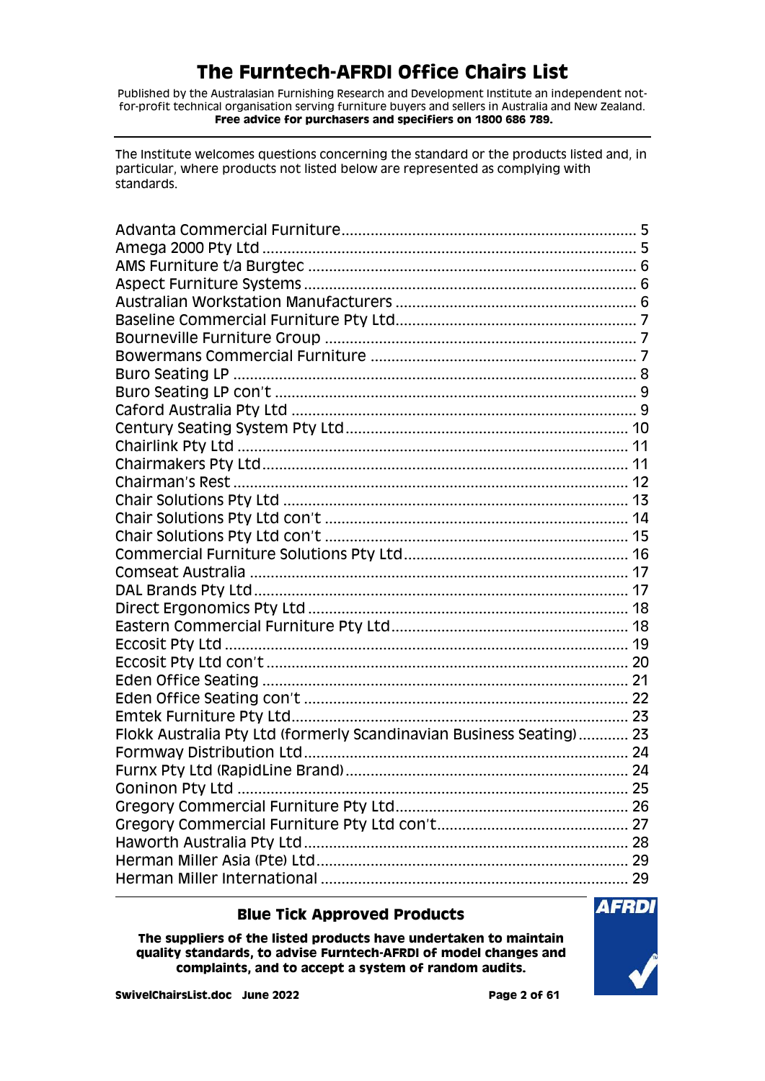Published by the Australasian Furnishing Research and Development Institute an independent notfor-profit technical organisation serving furniture buyers and sellers in Australia and New Zealand. **Free advice for purchasers and specifiers on 1800 686 789.**

The Institute welcomes questions concerning the standard or the products listed and, in particular, where products not listed below are represented as complying with standards.

| Flokk Australia Pty Ltd (formerly Scandinavian Business Seating) 23 |  |
|---------------------------------------------------------------------|--|
|                                                                     |  |
|                                                                     |  |
|                                                                     |  |
|                                                                     |  |
|                                                                     |  |
|                                                                     |  |
|                                                                     |  |
|                                                                     |  |

### **Blue Tick Approved Products**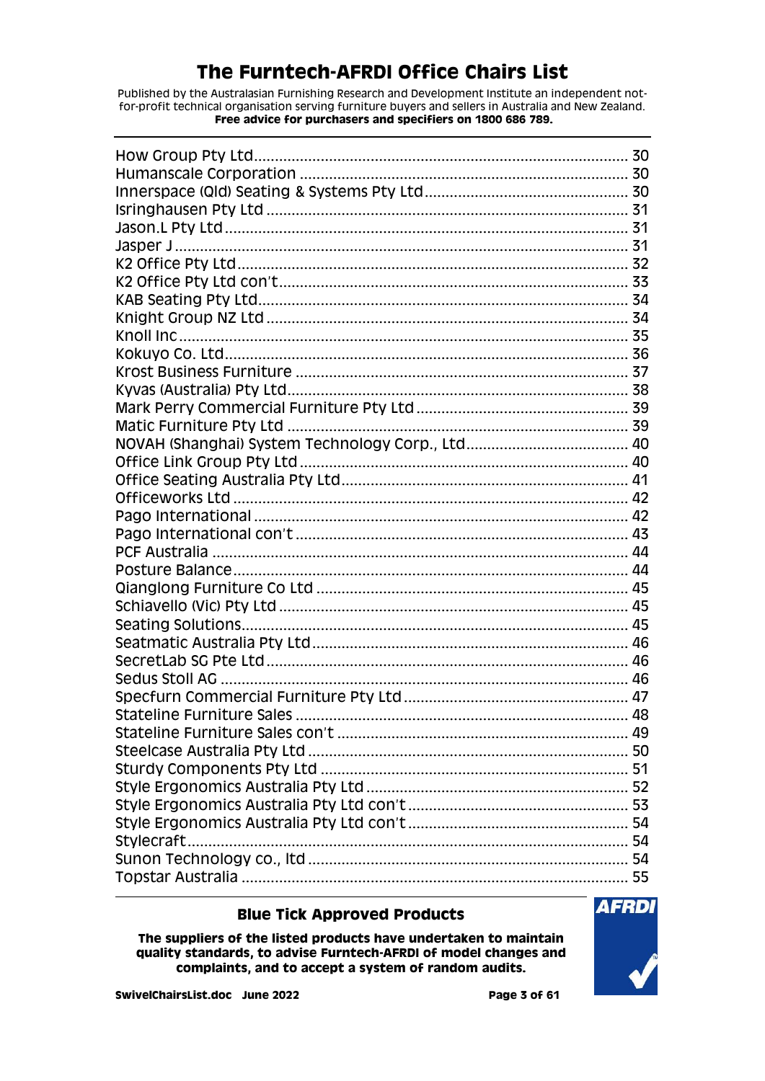Published by the Australasian Furnishing Research and Development Institute an independent notfor-profit technical organisation serving furniture buyers and sellers in Australia and New Zealand. Free advice for purchasers and specifiers on 1800 686 789.

| <b>Stateline Furniture Sales</b> |  |
|----------------------------------|--|
|                                  |  |
|                                  |  |
|                                  |  |
|                                  |  |
|                                  |  |
|                                  |  |
| Stylecraft                       |  |
|                                  |  |
|                                  |  |

### **Blue Tick Approved Products**

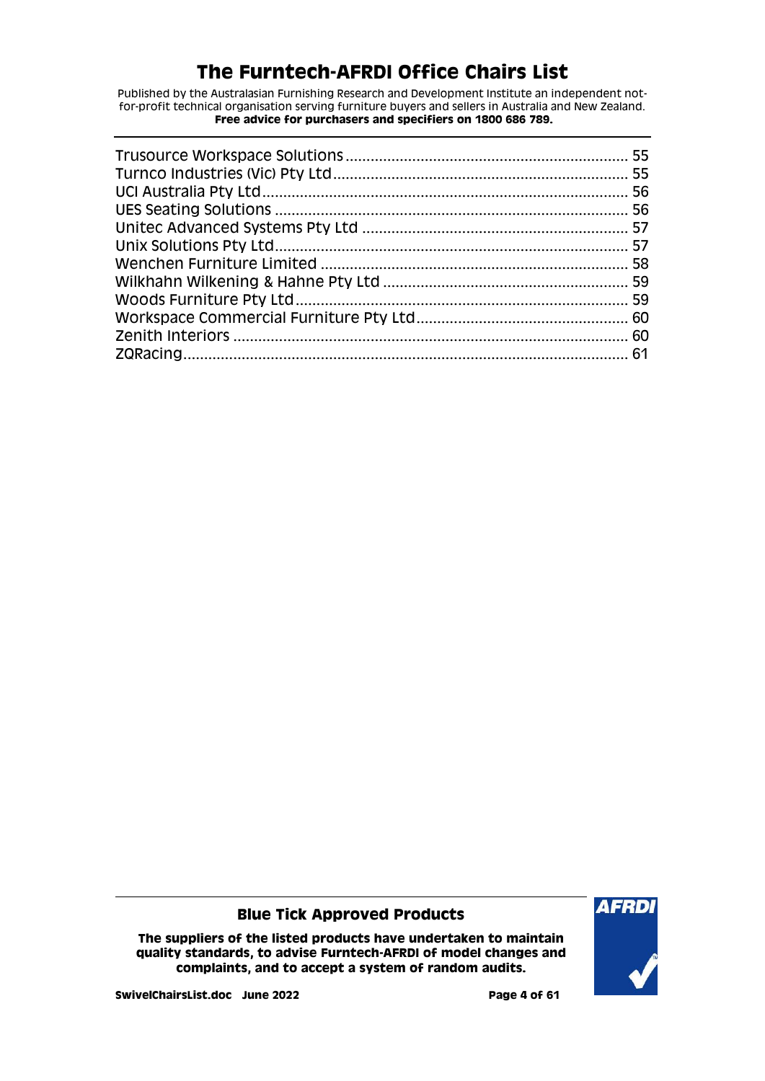Published by the Australasian Furnishing Research and Development Institute an independent notfor-profit technical organisation serving furniture buyers and sellers in Australia and New Zealand. **Free advice for purchasers and specifiers on 1800 686 789.**

### **Blue Tick Approved Products**

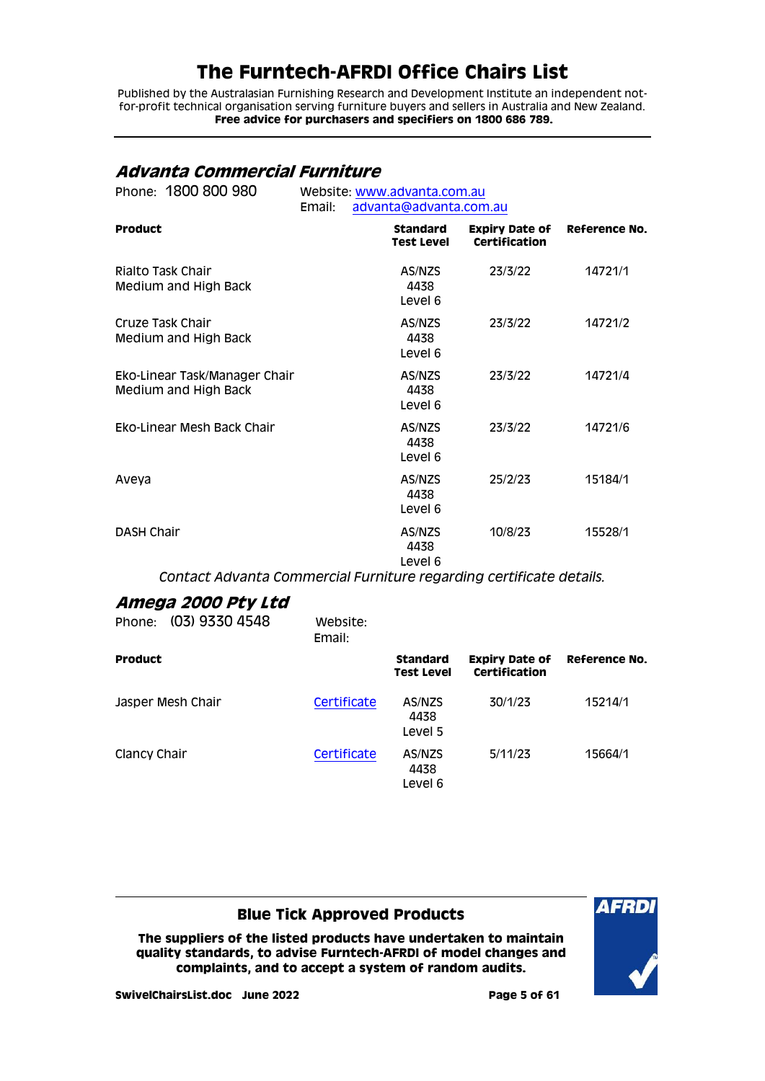Published by the Australasian Furnishing Research and Development Institute an independent notfor-profit technical organisation serving furniture buyers and sellers in Australia and New Zealand. **Free advice for purchasers and specifiers on 1800 686 789.**

## <span id="page-4-0"></span>**Advanta Commercial Furniture**

| Phone: 1800 800 980                                   | Website: www.advanta.com.au |                                      |                                        |                      |  |
|-------------------------------------------------------|-----------------------------|--------------------------------------|----------------------------------------|----------------------|--|
|                                                       | Email:                      | advanta@advanta.com.au               |                                        |                      |  |
| <b>Product</b>                                        |                             | <b>Standard</b><br><b>Test Level</b> | <b>Expiry Date of</b><br>Certification | <b>Reference No.</b> |  |
| Rialto Task Chair<br>Medium and High Back             |                             | AS/NZS<br>4438<br>Level 6            | 23/3/22                                | 14721/1              |  |
| Cruze Task Chair<br>Medium and High Back              |                             | AS/NZS<br>4438<br>Level 6            | 23/3/22                                | 14721/2              |  |
| Eko-Linear Task/Manager Chair<br>Medium and High Back |                             | AS/NZS<br>4438<br>Level 6            | 23/3/22                                | 14721/4              |  |
| Eko-Linear Mesh Back Chair                            |                             | AS/NZS<br>4438<br>Level 6            | 23/3/22                                | 14721/6              |  |
| Aveya                                                 |                             | AS/NZS<br>4438<br>Level 6            | 25/2/23                                | 15184/1              |  |
| <b>DASH Chair</b>                                     |                             | AS/NZS<br>4438<br>Level 6            | 10/8/23                                | 15528/1              |  |

*Contact Advanta Commercial Furniture regarding certificate details.*

## <span id="page-4-1"></span>**Amega 2000 Pty Ltd**

| Phone:            | (03) 9330 4548 | Website:<br>Email: |                                      |                                        |               |
|-------------------|----------------|--------------------|--------------------------------------|----------------------------------------|---------------|
| <b>Product</b>    |                |                    | <b>Standard</b><br><b>Test Level</b> | <b>Expiry Date of</b><br>Certification | Reference No. |
| Jasper Mesh Chair |                | Certificate        | AS/NZS<br>4438<br>Level 5            | 30/1/23                                | 15214/1       |
| Clancy Chair      |                | Certificate        | AS/NZS<br>4438<br>Level 6            | 5/11/23                                | 15664/1       |

### **Blue Tick Approved Products**

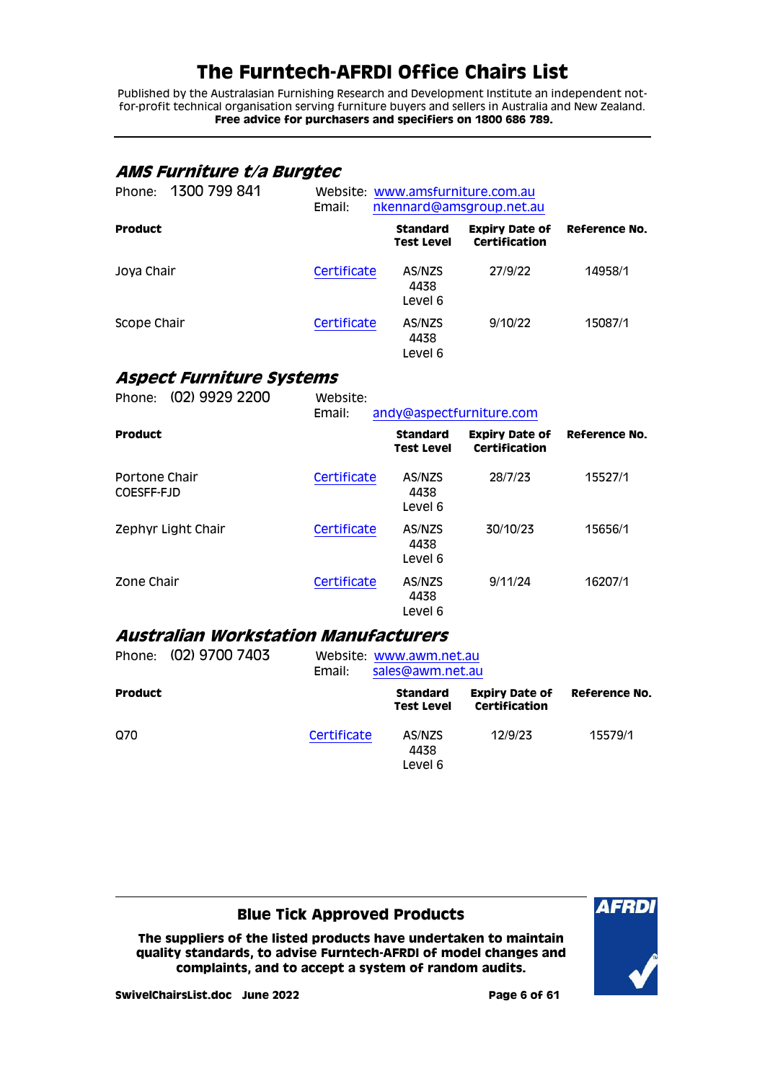Published by the Australasian Furnishing Research and Development Institute an independent notfor-profit technical organisation serving furniture buyers and sellers in Australia and New Zealand. **Free advice for purchasers and specifiers on 1800 686 789.**

## <span id="page-5-0"></span>**AMS Furniture t/a Burgtec**

| 1300 799 841<br>Phone: | Email:      | Website: www.amsfurniture.com.au<br>nkennard@amsgroup.net.au |                                        |               |
|------------------------|-------------|--------------------------------------------------------------|----------------------------------------|---------------|
| <b>Product</b>         |             | <b>Standard</b><br><b>Test Level</b>                         | <b>Expiry Date of</b><br>Certification | Reference No. |
| Joya Chair             | Certificate | AS/NZS<br>4438<br>Level 6                                    | 27/9/22                                | 14958/1       |
| Scope Chair            | Certificate | AS/NZS<br>4438<br>Level 6                                    | 9/10/22                                | 15087/1       |

## <span id="page-5-1"></span>**Aspect Furniture Systems**

| (02) 9929 2200<br>Phone:    | Website:<br>Email: | andy@aspectfurniture.com             |                                        |               |
|-----------------------------|--------------------|--------------------------------------|----------------------------------------|---------------|
| <b>Product</b>              |                    | <b>Standard</b><br><b>Test Level</b> | <b>Expiry Date of</b><br>Certification | Reference No. |
| Portone Chair<br>COESFF-FJD | Certificate        | AS/NZS<br>4438<br>Level 6            | 28/7/23                                | 15527/1       |
| Zephyr Light Chair          | Certificate        | AS/NZS<br>4438<br>Level 6            | 30/10/23                               | 15656/1       |
| Zone Chair                  | Certificate        | AS/NZS<br>4438<br>Level 6            | 9/11/24                                | 16207/1       |

### <span id="page-5-2"></span>**Australian Workstation Manufacturers**

|                | Phone: (02) 9700 7403 | Email:      | Website: www.awm.net.au<br>sales@awm.net.au |                                        |               |  |
|----------------|-----------------------|-------------|---------------------------------------------|----------------------------------------|---------------|--|
| <b>Product</b> |                       |             | <b>Standard</b><br><b>Test Level</b>        | <b>Expiry Date of</b><br>Certification | Reference No. |  |
| Q70            |                       | Certificate | AS/NZS<br>4438<br>Level 6                   | 12/9/23                                | 15579/1       |  |

### **Blue Tick Approved Products**

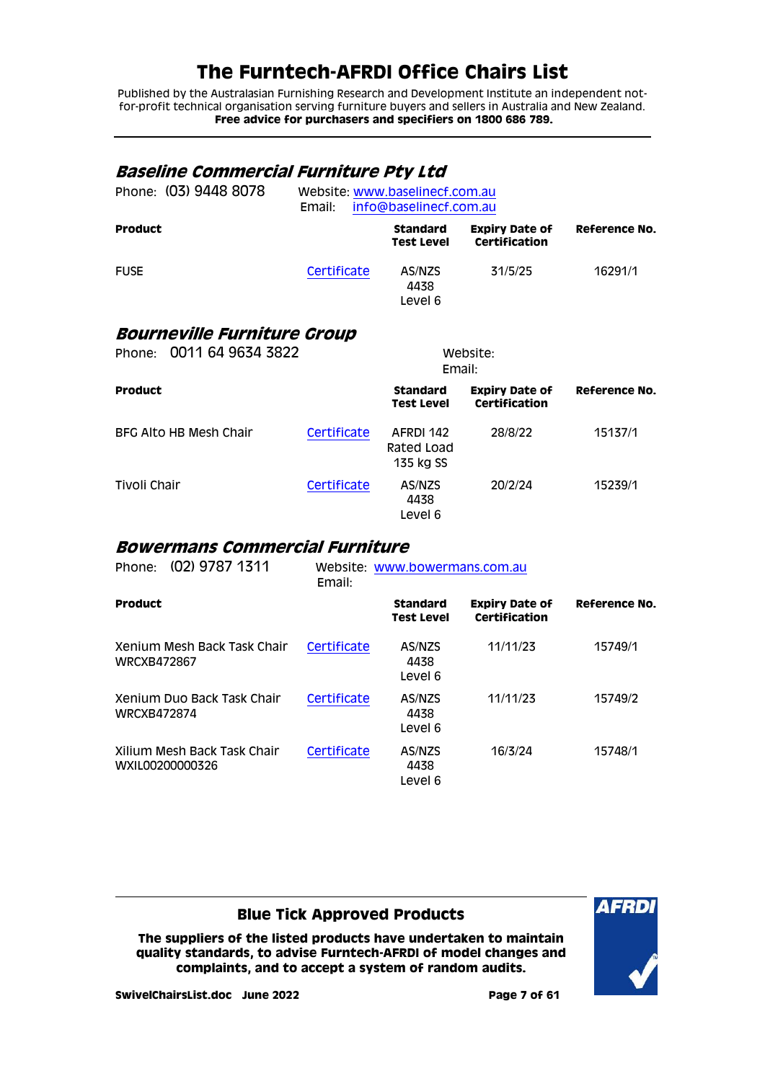Published by the Australasian Furnishing Research and Development Institute an independent notfor-profit technical organisation serving furniture buyers and sellers in Australia and New Zealand. **Free advice for purchasers and specifiers on 1800 686 789.**

#### <span id="page-6-1"></span><span id="page-6-0"></span>**Baseline Commercial Furniture Pty Ltd** Phone: (03) 9448 8078 Website: [www.baselinecf.com.au](http://www.baselinecf.com.au/) Email: [info@baselinecf.com.au](mailto:info@baselinecf.com.au) **Product Standard Test Level Expiry Date of Certification Reference No.** FUSE [Certificate](http://certifications.furntech.org.au/fs/index.php?dir=16000/16200/&file=16291-1_220530_ct.pdf) AS/NZS 4438 Level 6 31/5/25 16291/1 **Bourneville Furniture Group** Phone: 0011 64 9634 3822 Website: Email: **Product Standard Test Level Expiry Date of Certification Reference No.** BFG Alto HB Mesh Chair [Certificate](http://www.furntech.org.au/fs/index.php?dir=15000/15100/&file=15137-1_191015_ct.pdf) AFRDI 142 Rated Load 135 kg SS 28/8/22 15137/1 Tivoli Chair **[Certificate](http://www.furntech.org.au/fs/index.php?dir=15000/15200/&file=15239-1_210803_ct.pdf)** AS/NZS 4438 Level 6 20/2/24 15239/1

#### <span id="page-6-2"></span>**Bowermans Commercial Furniture**

| Phone:             | (02) 9787 1311                                 | Email:      | Website: www.bowermans.com.au        |                                        |                      |
|--------------------|------------------------------------------------|-------------|--------------------------------------|----------------------------------------|----------------------|
| <b>Product</b>     |                                                |             | <b>Standard</b><br><b>Test Level</b> | <b>Expiry Date of</b><br>Certification | <b>Reference No.</b> |
| <b>WRCXB472867</b> | Xenium Mesh Back Task Chair                    | Certificate | AS/NZS<br>4438<br>Level 6            | 11/11/23                               | 15749/1              |
| WRCXB472874        | Xenium Duo Back Task Chair                     | Certificate | AS/NZS<br>4438<br>Level 6            | 11/11/23                               | 15749/2              |
|                    | Xilium Mesh Back Task Chair<br>WXIL00200000326 | Certificate | AS/NZS<br>4438<br>Level 6            | 16/3/24                                | 15748/1              |

### **Blue Tick Approved Products**

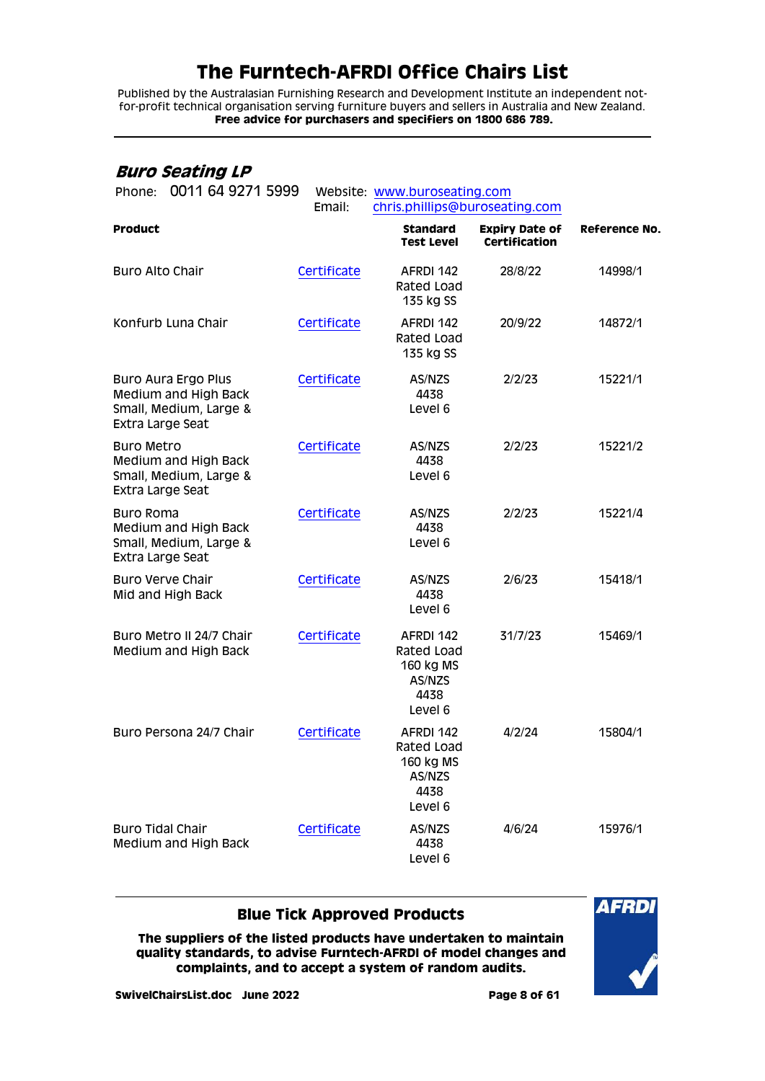Published by the Australasian Furnishing Research and Development Institute an independent notfor-profit technical organisation serving furniture buyers and sellers in Australia and New Zealand. **Free advice for purchasers and specifiers on 1800 686 789.**

### <span id="page-7-0"></span>**Buro Seating LP**

| 0011 64 9271 5999<br>Phone:                                                                      | Email:      | Website: www.buroseating.com<br>chris.phillips@buroseating.com    |                                               |                      |  |
|--------------------------------------------------------------------------------------------------|-------------|-------------------------------------------------------------------|-----------------------------------------------|----------------------|--|
| <b>Product</b>                                                                                   |             | <b>Standard</b><br><b>Test Level</b>                              | <b>Expiry Date of</b><br><b>Certification</b> | <b>Reference No.</b> |  |
| <b>Buro Alto Chair</b>                                                                           | Certificate | AFRDI 142<br>Rated Load<br>135 kg SS                              | 28/8/22                                       | 14998/1              |  |
| Konfurb Luna Chair                                                                               | Certificate | AFRDI 142<br>Rated Load<br>135 kg SS                              | 20/9/22                                       | 14872/1              |  |
| <b>Buro Aura Ergo Plus</b><br>Medium and High Back<br>Small, Medium, Large &<br>Extra Large Seat | Certificate | AS/NZS<br>4438<br>Level 6                                         | 2/2/23                                        | 15221/1              |  |
| <b>Buro Metro</b><br>Medium and High Back<br>Small, Medium, Large &<br>Extra Large Seat          | Certificate | AS/NZS<br>4438<br>Level 6                                         | 2/2/23                                        | 15221/2              |  |
| <b>Buro Roma</b><br>Medium and High Back<br>Small, Medium, Large &<br>Extra Large Seat           | Certificate | AS/NZS<br>4438<br>Level 6                                         | 2/2/23                                        | 15221/4              |  |
| <b>Buro Verve Chair</b><br>Mid and High Back                                                     | Certificate | AS/NZS<br>4438<br>Level 6                                         | 2/6/23                                        | 15418/1              |  |
| Buro Metro II 24/7 Chair<br>Medium and High Back                                                 | Certificate | AFRDI 142<br>Rated Load<br>160 kg MS<br>AS/NZS<br>4438<br>Level 6 | 31/7/23                                       | 15469/1              |  |
| Buro Persona 24/7 Chair                                                                          | Certificate | AFRDI 142<br>Rated Load<br>160 kg MS<br>AS/NZS<br>4438<br>Level 6 | 4/2/24                                        | 15804/1              |  |
| <b>Buro Tidal Chair</b><br>Medium and High Back                                                  | Certificate | AS/NZS<br>4438<br>Level 6                                         | 4/6/24                                        | 15976/1              |  |

### **Blue Tick Approved Products**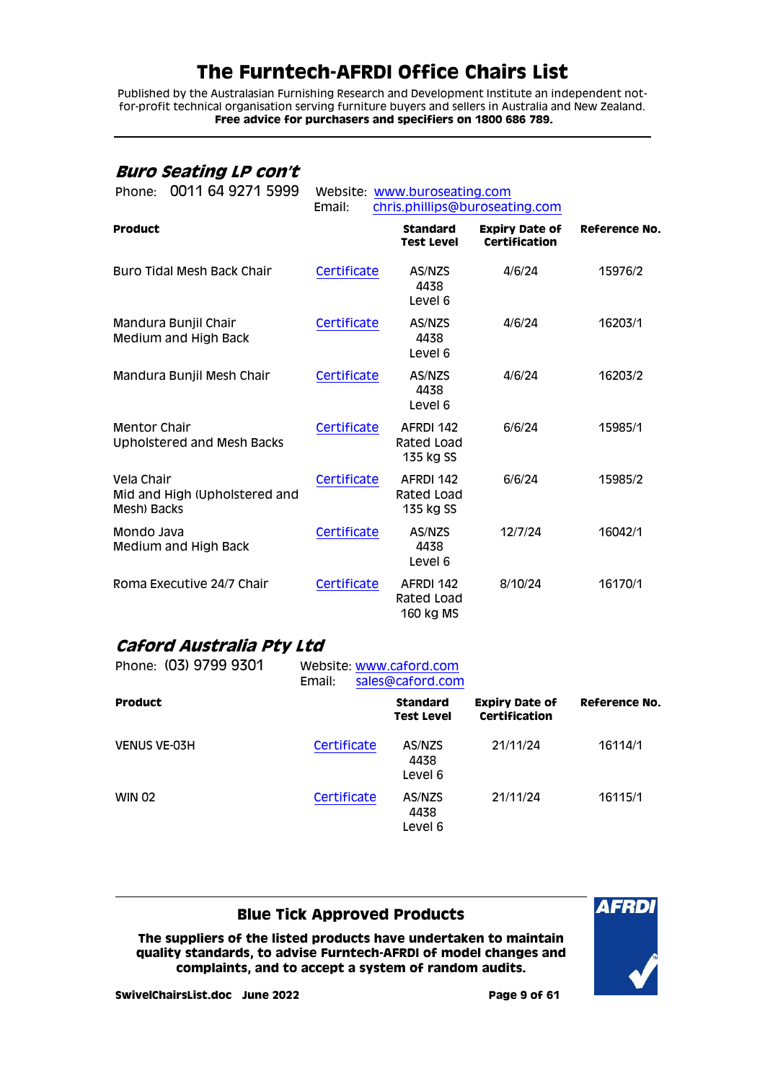Published by the Australasian Furnishing Research and Development Institute an independent notfor-profit technical organisation serving furniture buyers and sellers in Australia and New Zealand. **Free advice for purchasers and specifiers on 1800 686 789.**

### <span id="page-8-0"></span>**Buro Seating LP con't**

| 0011 64 9271 5999<br>Phone:                                | Email:      | Website: www.buroseating.com         | chris.phillips@buroseating.com                |               |
|------------------------------------------------------------|-------------|--------------------------------------|-----------------------------------------------|---------------|
| <b>Product</b>                                             |             | <b>Standard</b><br><b>Test Level</b> | <b>Expiry Date of</b><br><b>Certification</b> | Reference No. |
| Buro Tidal Mesh Back Chair                                 | Certificate | AS/NZS<br>4438<br>Level 6            | 4/6/24                                        | 15976/2       |
| Mandura Bunjil Chair<br>Medium and High Back               | Certificate | AS/NZS<br>4438<br>Level 6            | 4/6/24                                        | 16203/1       |
| Mandura Bunjil Mesh Chair                                  | Certificate | AS/NZS<br>4438<br>Level 6            | 4/6/24                                        | 16203/2       |
| <b>Mentor Chair</b><br><b>Upholstered and Mesh Backs</b>   | Certificate | AFRDI 142<br>Rated Load<br>135 kg SS | 6/6/24                                        | 15985/1       |
| Vela Chair<br>Mid and High (Upholstered and<br>Mesh) Backs | Certificate | AFRDI 142<br>Rated Load<br>135 kg SS | 6/6/24                                        | 15985/2       |
| Mondo Java<br>Medium and High Back                         | Certificate | AS/NZS<br>4438<br>Level 6            | 12/7/24                                       | 16042/1       |
| Roma Executive 24/7 Chair                                  | Certificate | AFRDI 142<br>Rated Load<br>160 kg MS | 8/10/24                                       | 16170/1       |

### <span id="page-8-1"></span>**Caford Australia Pty Ltd**

| Phone: (03) 9799 9301 | Website: www.caford.com<br>Email: | sales@caford.com                     |                                        | Reference No. |
|-----------------------|-----------------------------------|--------------------------------------|----------------------------------------|---------------|
| <b>Product</b>        |                                   | <b>Standard</b><br><b>Test Level</b> | <b>Expiry Date of</b><br>Certification |               |
| <b>VENUS VE-03H</b>   | Certificate                       | AS/NZS<br>4438<br>Level 6            | 21/11/24                               | 16114/1       |
| <b>WIN 02</b>         | Certificate                       | AS/NZS<br>4438<br>Level 6            | 21/11/24                               | 16115/1       |

### **Blue Tick Approved Products**

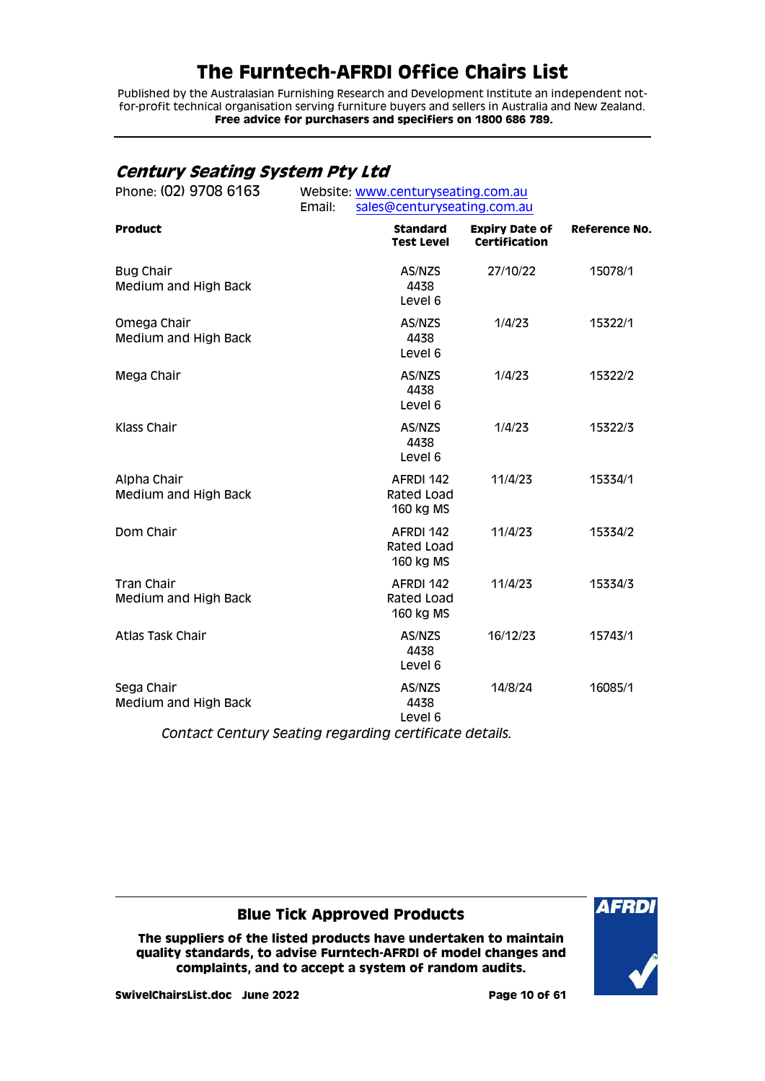Published by the Australasian Furnishing Research and Development Institute an independent notfor-profit technical organisation serving furniture buyers and sellers in Australia and New Zealand. **Free advice for purchasers and specifiers on 1800 686 789.**

## <span id="page-9-0"></span>**Century Seating System Pty Ltd**

| Phone: (02) 9708 6163                    | Website: www.centuryseating.com.au<br>Email:<br>sales@centuryseating.com.au |                                        |               |  |
|------------------------------------------|-----------------------------------------------------------------------------|----------------------------------------|---------------|--|
| <b>Product</b>                           | <b>Standard</b><br><b>Test Level</b>                                        | <b>Expiry Date of</b><br>Certification | Reference No. |  |
| <b>Bug Chair</b><br>Medium and High Back | AS/NZS<br>4438<br>Level 6                                                   | 27/10/22                               | 15078/1       |  |
| Omega Chair<br>Medium and High Back      | AS/NZS<br>4438<br>Level 6                                                   | 1/4/23                                 | 15322/1       |  |
| Mega Chair                               | AS/NZS<br>4438<br>Level 6                                                   | 1/4/23                                 | 15322/2       |  |
| Klass Chair                              | AS/NZS<br>4438<br>Level 6                                                   | 1/4/23                                 | 15322/3       |  |
| Alpha Chair<br>Medium and High Back      | AFRDI 142<br>Rated Load<br>160 kg MS                                        | 11/4/23                                | 15334/1       |  |
| Dom Chair                                | AFRDI 142<br>Rated Load<br>160 kg MS                                        | 11/4/23                                | 15334/2       |  |
| Tran Chair<br>Medium and High Back       | AFRDI 142<br>Rated Load<br>160 kg MS                                        | 11/4/23                                | 15334/3       |  |
| Atlas Task Chair                         | AS/NZS<br>4438<br>Level 6                                                   | 16/12/23                               | 15743/1       |  |
| Sega Chair<br>Medium and High Back       | AS/NZS<br>4438<br>Level 6                                                   | 14/8/24                                | 16085/1       |  |
|                                          | Contact Century Seating regarding certificate details.                      |                                        |               |  |

### **Blue Tick Approved Products**

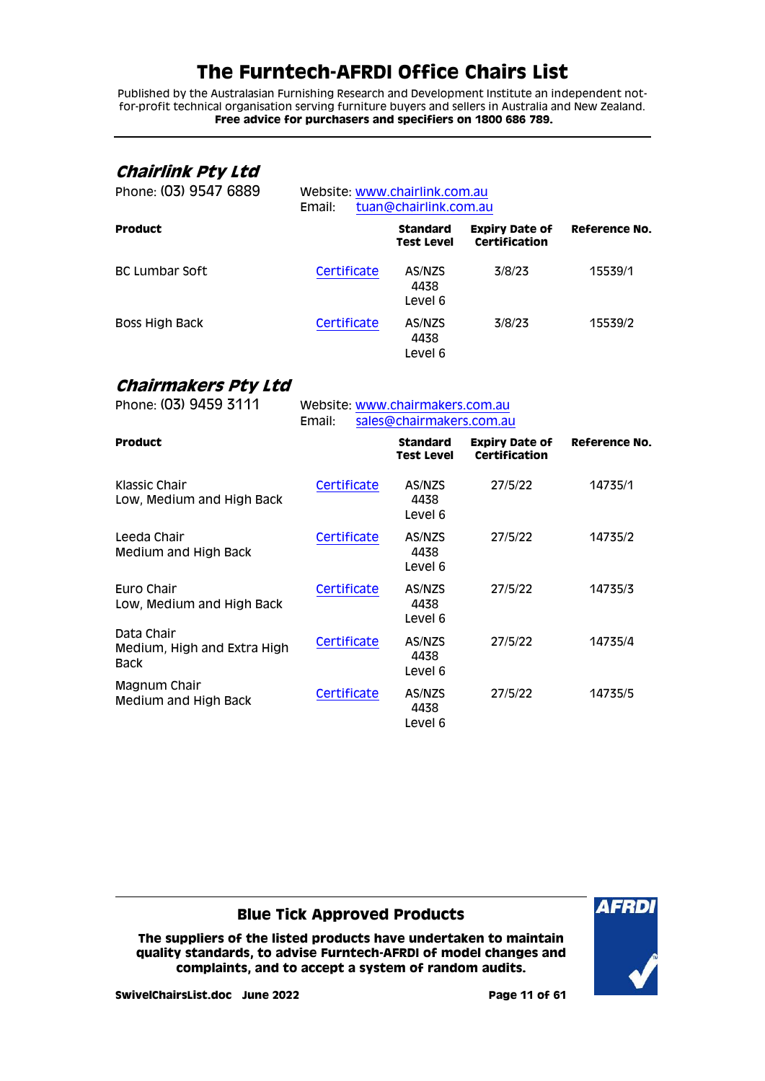Published by the Australasian Furnishing Research and Development Institute an independent notfor-profit technical organisation serving furniture buyers and sellers in Australia and New Zealand. **Free advice for purchasers and specifiers on 1800 686 789.**

## <span id="page-10-0"></span>**Chairlink Pty Ltd**

| Phone: (03) 9547 6889 | Website: www.chairlink.com.au<br>tuan@chairlink.com.au<br>Email: |                                      |                                               |               |
|-----------------------|------------------------------------------------------------------|--------------------------------------|-----------------------------------------------|---------------|
| <b>Product</b>        |                                                                  | <b>Standard</b><br><b>Test Level</b> | <b>Expiry Date of</b><br><b>Certification</b> | Reference No. |
| <b>BC Lumbar Soft</b> | Certificate                                                      | AS/NZS<br>4438<br>Level 6            | 3/8/23                                        | 15539/1       |
| Boss High Back        | Certificate                                                      | AS/NZS<br>4438<br>Level 6            | 3/8/23                                        | 15539/2       |

## <span id="page-10-1"></span>**Chairmakers Pty Ltd**

| Phone: (03) 9459 3111                                    | Website: www.chairmakers.com.au<br>sales@chairmakers.com.au<br>Email: |                               |                                               |               |
|----------------------------------------------------------|-----------------------------------------------------------------------|-------------------------------|-----------------------------------------------|---------------|
| <b>Product</b>                                           |                                                                       | <b>Standard</b><br>Test Level | <b>Expiry Date of</b><br><b>Certification</b> | Reference No. |
| Klassic Chair<br>Low, Medium and High Back               | Certificate                                                           | AS/NZS<br>4438<br>Level 6     | 27/5/22                                       | 14735/1       |
| Leeda Chair<br>Medium and High Back                      | Certificate                                                           | AS/NZS<br>4438<br>Level 6     | 27/5/22                                       | 14735/2       |
| Euro Chair<br>Low, Medium and High Back                  | Certificate                                                           | AS/NZS<br>4438<br>Level 6     | 27/5/22                                       | 14735/3       |
| Data Chair<br>Medium, High and Extra High<br><b>Back</b> | Certificate                                                           | AS/NZS<br>4438<br>Level 6     | 27/5/22                                       | 14735/4       |
| Magnum Chair<br>Medium and High Back                     | Certificate                                                           | AS/NZS<br>4438<br>Level 6     | 27/5/22                                       | 14735/5       |

### **Blue Tick Approved Products**

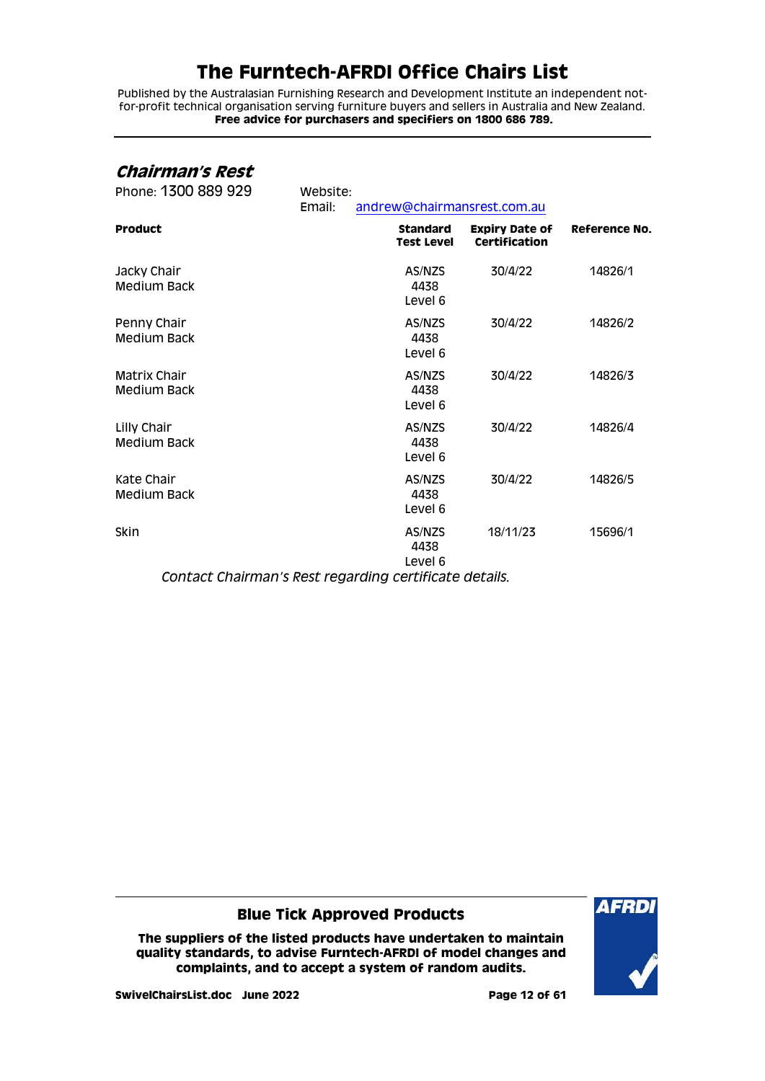Published by the Australasian Furnishing Research and Development Institute an independent notfor-profit technical organisation serving furniture buyers and sellers in Australia and New Zealand. **Free advice for purchasers and specifiers on 1800 686 789.**

### <span id="page-11-0"></span>**Chairman's Rest**

| Phone: 1300 889 929                                            | Website:<br>Email: | andrew@chairmansrest.com.au          |                                        |               |
|----------------------------------------------------------------|--------------------|--------------------------------------|----------------------------------------|---------------|
| <b>Product</b>                                                 |                    | <b>Standard</b><br><b>Test Level</b> | <b>Expiry Date of</b><br>Certification | Reference No. |
| Jacky Chair<br><b>Medium Back</b>                              |                    | AS/NZS<br>4438<br>Level 6            | 30/4/22                                | 14826/1       |
| Penny Chair<br><b>Medium Back</b>                              |                    | AS/NZS<br>4438<br>Level 6            | 30/4/22                                | 14826/2       |
| Matrix Chair<br><b>Medium Back</b>                             |                    | AS/NZS<br>4438<br>Level 6            | 30/4/22                                | 14826/3       |
| Lilly Chair<br><b>Medium Back</b>                              |                    | AS/NZS<br>4438<br>Level 6            | 30/4/22                                | 14826/4       |
| Kate Chair<br><b>Medium Back</b>                               |                    | AS/NZS<br>4438<br>Level 6            | 30/4/22                                | 14826/5       |
| Skin<br>Contact Chairman's Rest regarding certificate details. |                    | AS/NZS<br>4438<br>Level 6            | 18/11/23                               | 15696/1       |

**Blue Tick Approved Products**

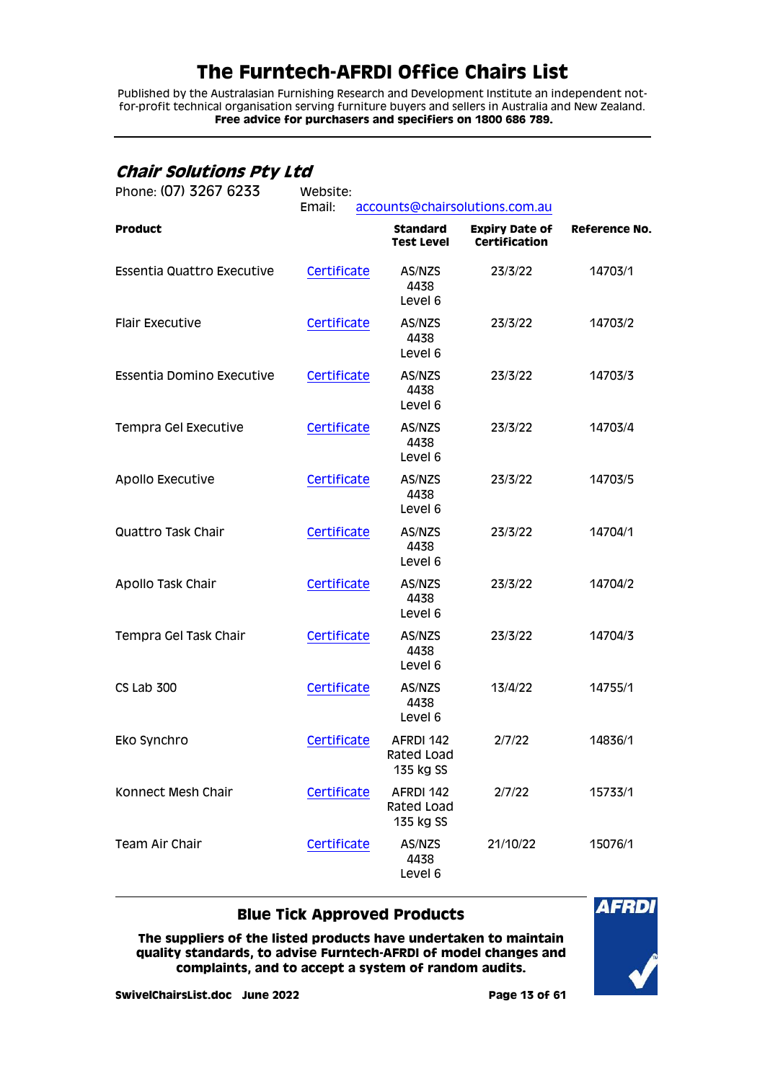Published by the Australasian Furnishing Research and Development Institute an independent notfor-profit technical organisation serving furniture buyers and sellers in Australia and New Zealand. **Free advice for purchasers and specifiers on 1800 686 789.**

## <span id="page-12-0"></span>**Chair Solutions Pty Ltd**

| Phone: (07) 3267 6233      | Website:<br>Email:<br>accounts@chairsolutions.com.au |                                      |                                               |                      |
|----------------------------|------------------------------------------------------|--------------------------------------|-----------------------------------------------|----------------------|
| <b>Product</b>             |                                                      | <b>Standard</b><br><b>Test Level</b> | <b>Expiry Date of</b><br><b>Certification</b> | <b>Reference No.</b> |
| Essentia Quattro Executive | Certificate                                          | AS/NZS<br>4438<br>Level 6            | 23/3/22                                       | 14703/1              |
| <b>Flair Executive</b>     | Certificate                                          | AS/NZS<br>4438<br>Level 6            | 23/3/22                                       | 14703/2              |
| Essentia Domino Executive  | Certificate                                          | AS/NZS<br>4438<br>Level 6            | 23/3/22                                       | 14703/3              |
| Tempra Gel Executive       | Certificate                                          | AS/NZS<br>4438<br>Level 6            | 23/3/22                                       | 14703/4              |
| <b>Apollo Executive</b>    | Certificate                                          | AS/NZS<br>4438<br>Level 6            | 23/3/22                                       | 14703/5              |
| Quattro Task Chair         | Certificate                                          | AS/NZS<br>4438<br>Level 6            | 23/3/22                                       | 14704/1              |
| Apollo Task Chair          | Certificate                                          | AS/NZS<br>4438<br>Level 6            | 23/3/22                                       | 14704/2              |
| Tempra Gel Task Chair      | Certificate                                          | AS/NZS<br>4438<br>Level 6            | 23/3/22                                       | 14704/3              |
| CS Lab 300                 | Certificate                                          | AS/NZS<br>4438<br>Level 6            | 13/4/22                                       | 14755/1              |
| Eko Synchro                | Certificate                                          | AFRDI 142<br>Rated Load<br>135 kg SS | 2/7/22                                        | 14836/1              |
| Konnect Mesh Chair         | Certificate                                          | AFRDI 142<br>Rated Load<br>135 kg SS | 2/7/22                                        | 15733/1              |
| <b>Team Air Chair</b>      | Certificate                                          | AS/NZS<br>4438<br>Level 6            | 21/10/22                                      | 15076/1              |

### **Blue Tick Approved Products**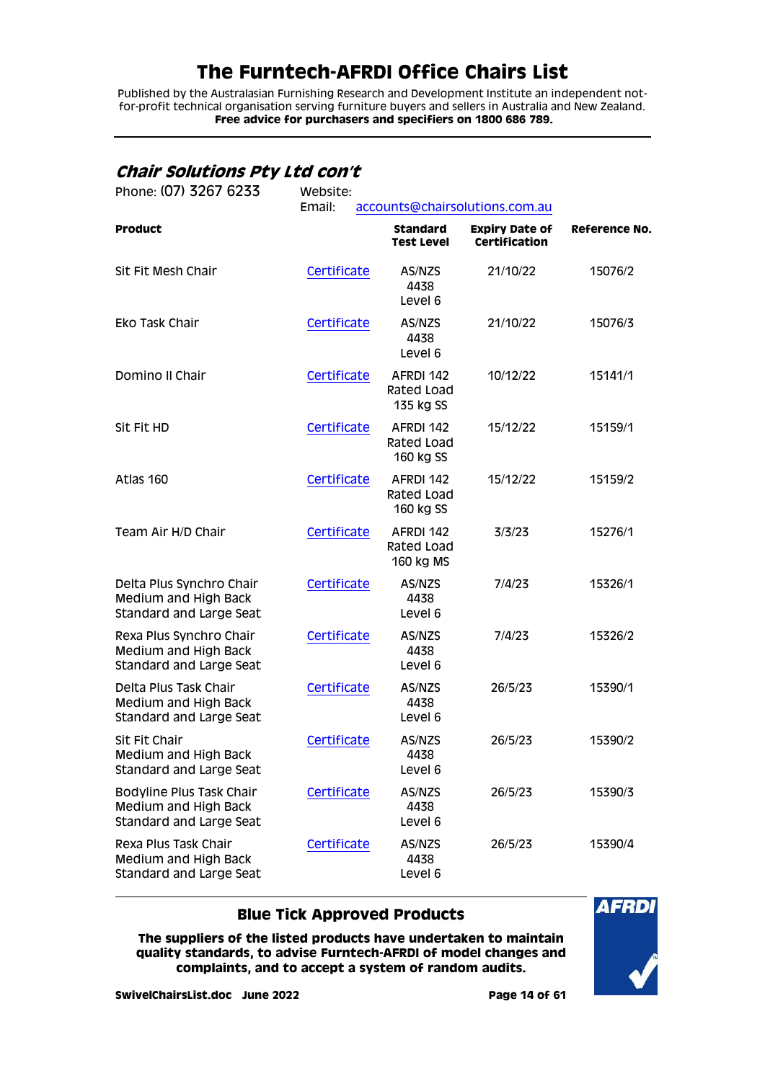Published by the Australasian Furnishing Research and Development Institute an independent notfor-profit technical organisation serving furniture buyers and sellers in Australia and New Zealand. **Free advice for purchasers and specifiers on 1800 686 789.**

## <span id="page-13-0"></span>**Chair Solutions Pty Ltd con't**

| Phone: (07) 3267 6233                                                       | Website:<br>Email:<br>accounts@chairsolutions.com.au |                                      |                                               |                      |  |
|-----------------------------------------------------------------------------|------------------------------------------------------|--------------------------------------|-----------------------------------------------|----------------------|--|
| <b>Product</b>                                                              |                                                      | <b>Standard</b><br><b>Test Level</b> | <b>Expiry Date of</b><br><b>Certification</b> | <b>Reference No.</b> |  |
| Sit Fit Mesh Chair                                                          | Certificate                                          | AS/NZS<br>4438<br>Level 6            | 21/10/22                                      | 15076/2              |  |
| Eko Task Chair                                                              | Certificate                                          | AS/NZS<br>4438<br>Level 6            | 21/10/22                                      | 15076/3              |  |
| Domino II Chair                                                             | Certificate                                          | AFRDI 142<br>Rated Load<br>135 kg SS | 10/12/22                                      | 15141/1              |  |
| Sit Fit HD                                                                  | Certificate                                          | AFRDI 142<br>Rated Load<br>160 kg SS | 15/12/22                                      | 15159/1              |  |
| Atlas 160                                                                   | Certificate                                          | AFRDI 142<br>Rated Load<br>160 kg SS | 15/12/22                                      | 15159/2              |  |
| Team Air H/D Chair                                                          | Certificate                                          | AFRDI 142<br>Rated Load<br>160 kg MS | 3/3/23                                        | 15276/1              |  |
| Delta Plus Synchro Chair<br>Medium and High Back<br>Standard and Large Seat | Certificate                                          | AS/NZS<br>4438<br>Level 6            | 7/4/23                                        | 15326/1              |  |
| Rexa Plus Synchro Chair<br>Medium and High Back<br>Standard and Large Seat  | Certificate                                          | AS/NZS<br>4438<br>Level 6            | 7/4/23                                        | 15326/2              |  |
| Delta Plus Task Chair<br>Medium and High Back<br>Standard and Large Seat    | Certificate                                          | AS/NZS<br>4438<br>Level 6            | 26/5/23                                       | 15390/1              |  |
| Sit Fit Chair<br>Medium and High Back<br>Standard and Large Seat            | Certificate                                          | AS/NZS<br>4438<br>Level 6            | 26/5/23                                       | 15390/2              |  |
| Bodyline Plus Task Chair<br>Medium and High Back<br>Standard and Large Seat | Certificate                                          | AS/NZS<br>4438<br>Level 6            | 26/5/23                                       | 15390/3              |  |
| Rexa Plus Task Chair<br>Medium and High Back<br>Standard and Large Seat     | Certificate                                          | AS/NZS<br>4438<br>Level 6            | 26/5/23                                       | 15390/4              |  |

### **Blue Tick Approved Products**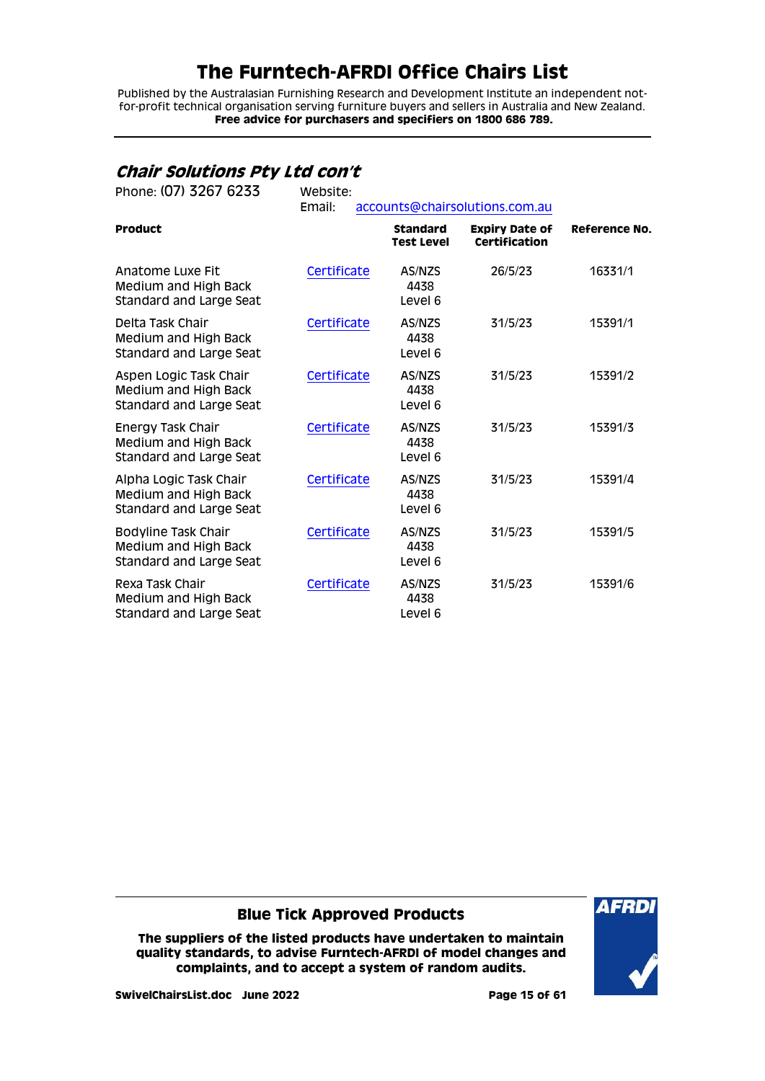Published by the Australasian Furnishing Research and Development Institute an independent notfor-profit technical organisation serving furniture buyers and sellers in Australia and New Zealand. **Free advice for purchasers and specifiers on 1800 686 789.**

## <span id="page-14-0"></span>**Chair Solutions Pty Ltd con't**

| Phone: (07) 3267 6233                                                       | Website:<br>Email: |                                      | accounts@chairsolutions.com.au                |               |
|-----------------------------------------------------------------------------|--------------------|--------------------------------------|-----------------------------------------------|---------------|
| <b>Product</b>                                                              |                    | <b>Standard</b><br><b>Test Level</b> | <b>Expiry Date of</b><br><b>Certification</b> | Reference No. |
| Anatome Luxe Fit<br>Medium and High Back<br>Standard and Large Seat         | Certificate        | AS/NZS<br>4438<br>Level 6            | 26/5/23                                       | 16331/1       |
| Delta Task Chair<br><b>Medium and High Back</b><br>Standard and Large Seat  | Certificate        | AS/NZS<br>4438<br>Level 6            | 31/5/23                                       | 15391/1       |
| Aspen Logic Task Chair<br>Medium and High Back<br>Standard and Large Seat   | Certificate        | AS/NZS<br>4438<br>Level 6            | 31/5/23                                       | 15391/2       |
| Energy Task Chair<br><b>Medium and High Back</b><br>Standard and Large Seat | Certificate        | AS/NZS<br>4438<br>Level 6            | 31/5/23                                       | 15391/3       |
| Alpha Logic Task Chair<br>Medium and High Back<br>Standard and Large Seat   | Certificate        | AS/NZS<br>4438<br>Level 6            | 31/5/23                                       | 15391/4       |
| Bodyline Task Chair<br>Medium and High Back<br>Standard and Large Seat      | Certificate        | AS/NZS<br>4438<br>Level 6            | 31/5/23                                       | 15391/5       |
| Rexa Task Chair<br>Medium and High Back<br>Standard and Large Seat          | Certificate        | AS/NZS<br>4438<br>Level 6            | 31/5/23                                       | 15391/6       |

### **Blue Tick Approved Products**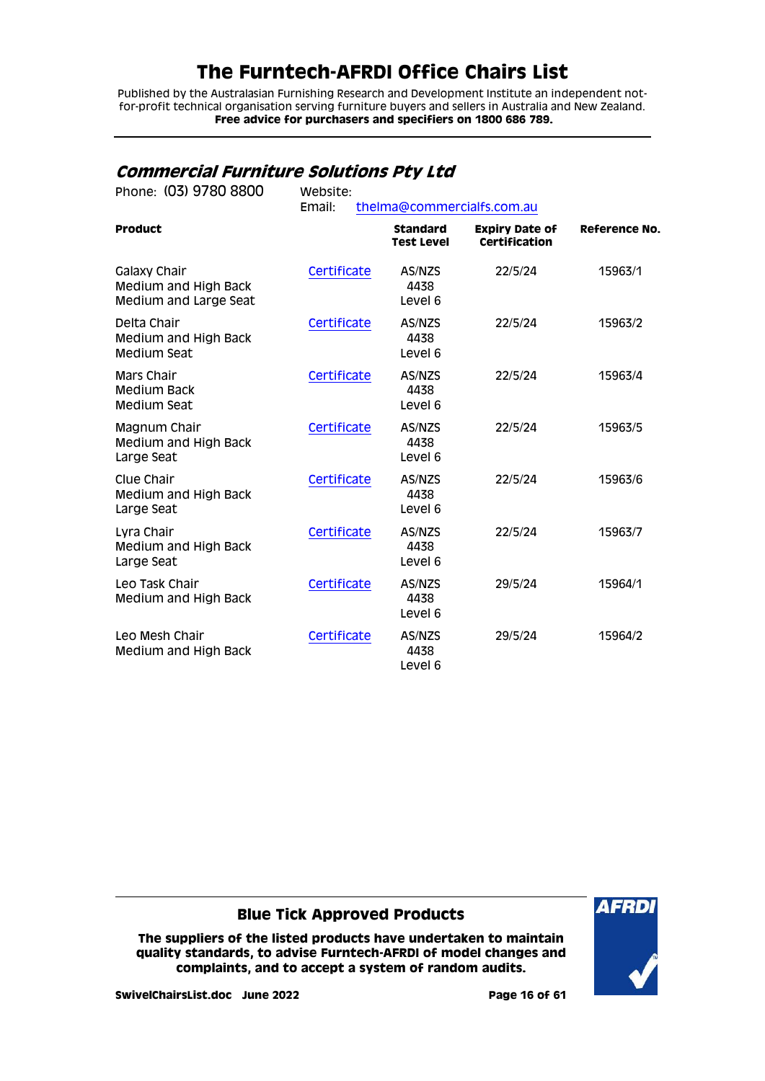Published by the Australasian Furnishing Research and Development Institute an independent notfor-profit technical organisation serving furniture buyers and sellers in Australia and New Zealand. **Free advice for purchasers and specifiers on 1800 686 789.**

## <span id="page-15-0"></span>**Commercial Furniture Solutions Pty Ltd**

| Phone: (03) 9780 8800                                         | Website:<br>Email:<br>thelma@commercialfs.com.au |                                      |                                               |                      |  |
|---------------------------------------------------------------|--------------------------------------------------|--------------------------------------|-----------------------------------------------|----------------------|--|
| <b>Product</b>                                                |                                                  | <b>Standard</b><br><b>Test Level</b> | <b>Expiry Date of</b><br><b>Certification</b> | <b>Reference No.</b> |  |
| Galaxy Chair<br>Medium and High Back<br>Medium and Large Seat | Certificate                                      | AS/NZS<br>4438<br>Level 6            | 22/5/24                                       | 15963/1              |  |
| Delta Chair<br>Medium and High Back<br>Medium Seat            | Certificate                                      | AS/NZS<br>4438<br>Level 6            | 22/5/24                                       | 15963/2              |  |
| Mars Chair<br><b>Medium Back</b><br>Medium Seat               | Certificate                                      | AS/NZS<br>4438<br>Level 6            | 22/5/24                                       | 15963/4              |  |
| Magnum Chair<br>Medium and High Back<br>Large Seat            | Certificate                                      | AS/NZS<br>4438<br>Level 6            | 22/5/24                                       | 15963/5              |  |
| Clue Chair<br>Medium and High Back<br>Large Seat              | Certificate                                      | AS/NZS<br>4438<br>Level 6            | 22/5/24                                       | 15963/6              |  |
| Lyra Chair<br>Medium and High Back<br>Large Seat              | Certificate                                      | AS/NZS<br>4438<br>Level 6            | 22/5/24                                       | 15963/7              |  |
| Leo Task Chair<br>Medium and High Back                        | Certificate                                      | AS/NZS<br>4438<br>Level 6            | 29/5/24                                       | 15964/1              |  |
| Leo Mesh Chair<br>Medium and High Back                        | Certificate                                      | AS/NZS<br>4438<br>Level 6            | 29/5/24                                       | 15964/2              |  |

### **Blue Tick Approved Products**

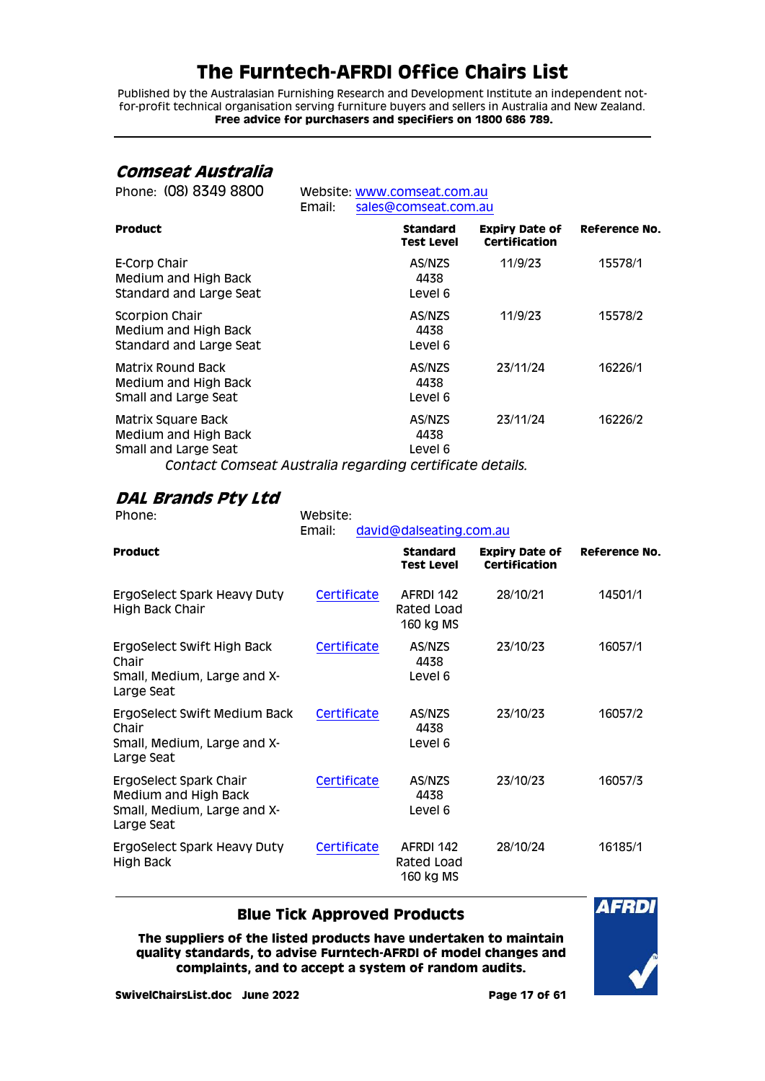Published by the Australasian Furnishing Research and Development Institute an independent notfor-profit technical organisation serving furniture buyers and sellers in Australia and New Zealand. **Free advice for purchasers and specifiers on 1800 686 789.**

### <span id="page-16-0"></span>**Comseat Australia**

| Website: www.comseat.com.au          |                                               |                                                                                  |
|--------------------------------------|-----------------------------------------------|----------------------------------------------------------------------------------|
|                                      |                                               |                                                                                  |
| <b>Standard</b><br><b>Test Level</b> | <b>Expiry Date of</b><br><b>Certification</b> | <b>Reference No.</b>                                                             |
| AS/NZS<br>4438<br>Level 6            | 11/9/23                                       | 15578/1                                                                          |
| AS/NZS<br>4438<br>Level 6            | 11/9/23                                       | 15578/2                                                                          |
| AS/NZS<br>4438<br>Level 6            | 23/11/24                                      | 16226/1                                                                          |
| AS/NZS<br>4438<br>Level 6            | 23/11/24                                      | 16226/2                                                                          |
|                                      |                                               | sales@comseat.com.au<br>Contact Comseat Australia regarding certificate details. |

<span id="page-16-1"></span>*DAL Brands Pty Ltd*<br>Phone:

Website: Email: [david@dalseating.com.au](mailto:david@dalseating.com.au)

| <b>Product</b>                                                                              |             | <b>Standard</b><br><b>Test Level</b> | <b>Expiry Date of</b><br>Certification | <b>Reference No.</b> |
|---------------------------------------------------------------------------------------------|-------------|--------------------------------------|----------------------------------------|----------------------|
| ErgoSelect Spark Heavy Duty<br>High Back Chair                                              | Certificate | AFRDI 142<br>Rated Load<br>160 kg MS | 28/10/21                               | 14501/1              |
| ErgoSelect Swift High Back<br>Chair<br>Small, Medium, Large and X-<br>Large Seat            | Certificate | AS/NZS<br>4438<br>Level 6            | 23/10/23                               | 16057/1              |
| ErgoSelect Swift Medium Back<br>Chair<br>Small, Medium, Large and X-<br>Large Seat          | Certificate | AS/NZS<br>4438<br>Level 6            | 23/10/23                               | 16057/2              |
| ErgoSelect Spark Chair<br>Medium and High Back<br>Small, Medium, Large and X-<br>Large Seat | Certificate | AS/NZS<br>4438<br>Level 6            | 23/10/23                               | 16057/3              |
| ErgoSelect Spark Heavy Duty<br>High Back                                                    | Certificate | AFRDI 142<br>Rated Load<br>160 kg MS | 28/10/24                               | 16185/1              |

### **Blue Tick Approved Products**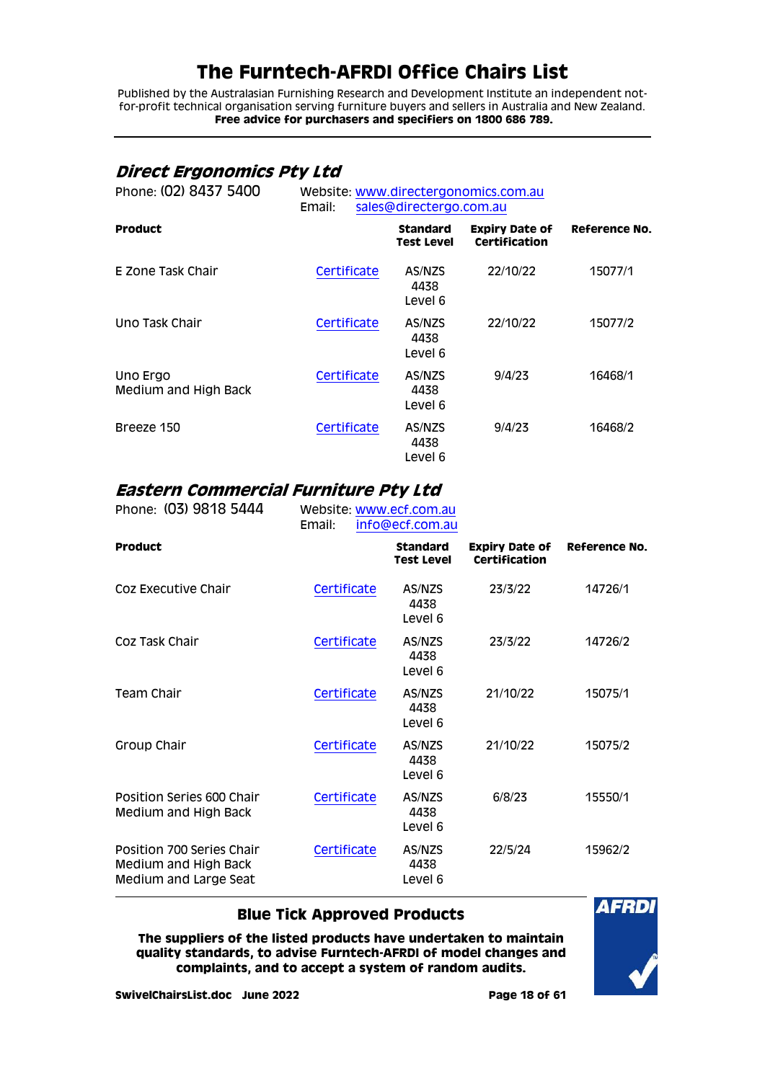Published by the Australasian Furnishing Research and Development Institute an independent notfor-profit technical organisation serving furniture buyers and sellers in Australia and New Zealand. **Free advice for purchasers and specifiers on 1800 686 789.**

## <span id="page-17-0"></span>**Direct Ergonomics Pty Ltd**

| Phone: (02) 8437 5400            | Website: www.directergonomics.com.au<br>sales@directergo.com.au<br>Email: |                               |                                        |               |
|----------------------------------|---------------------------------------------------------------------------|-------------------------------|----------------------------------------|---------------|
| <b>Product</b>                   |                                                                           | <b>Standard</b><br>Test Level | <b>Expiry Date of</b><br>Certification | Reference No. |
| E Zone Task Chair                | Certificate                                                               | AS/NZS<br>4438<br>Level 6     | 22/10/22                               | 15077/1       |
| Uno Task Chair                   | Certificate                                                               | AS/NZS<br>4438<br>Level 6     | 22/10/22                               | 15077/2       |
| Uno Ergo<br>Medium and High Back | Certificate                                                               | AS/NZS<br>4438<br>Level 6     | 9/4/23                                 | 16468/1       |
| Breeze 150                       | Certificate                                                               | AS/NZS<br>4438<br>Level 6     | 9/4/23                                 | 16468/2       |

# <span id="page-17-1"></span>**Eastern Commercial Furniture Pty Ltd**

| Phone: (03) 9818 5444                                                      | Website: www.ecf.com.au<br>Email: | info@ecf.com.au                      |                                               |               |
|----------------------------------------------------------------------------|-----------------------------------|--------------------------------------|-----------------------------------------------|---------------|
| <b>Product</b>                                                             |                                   | <b>Standard</b><br><b>Test Level</b> | <b>Expiry Date of</b><br><b>Certification</b> | Reference No. |
| Coz Executive Chair                                                        | Certificate                       | AS/NZS<br>4438<br>Level 6            | 23/3/22                                       | 14726/1       |
| Coz Task Chair                                                             | Certificate                       | AS/NZS<br>4438<br>Level 6            | 23/3/22                                       | 14726/2       |
| Team Chair                                                                 | Certificate                       | AS/NZS<br>4438<br>Level 6            | 21/10/22                                      | 15075/1       |
| Group Chair                                                                | Certificate                       | AS/NZS<br>4438<br>Level 6            | 21/10/22                                      | 15075/2       |
| Position Series 600 Chair<br>Medium and High Back                          | Certificate                       | AS/NZS<br>4438<br>Level 6            | 6/8/23                                        | 15550/1       |
| Position 700 Series Chair<br>Medium and High Back<br>Medium and Large Seat | Certificate                       | AS/NZS<br>4438<br>Level 6            | 22/5/24                                       | 15962/2       |

### **Blue Tick Approved Products**

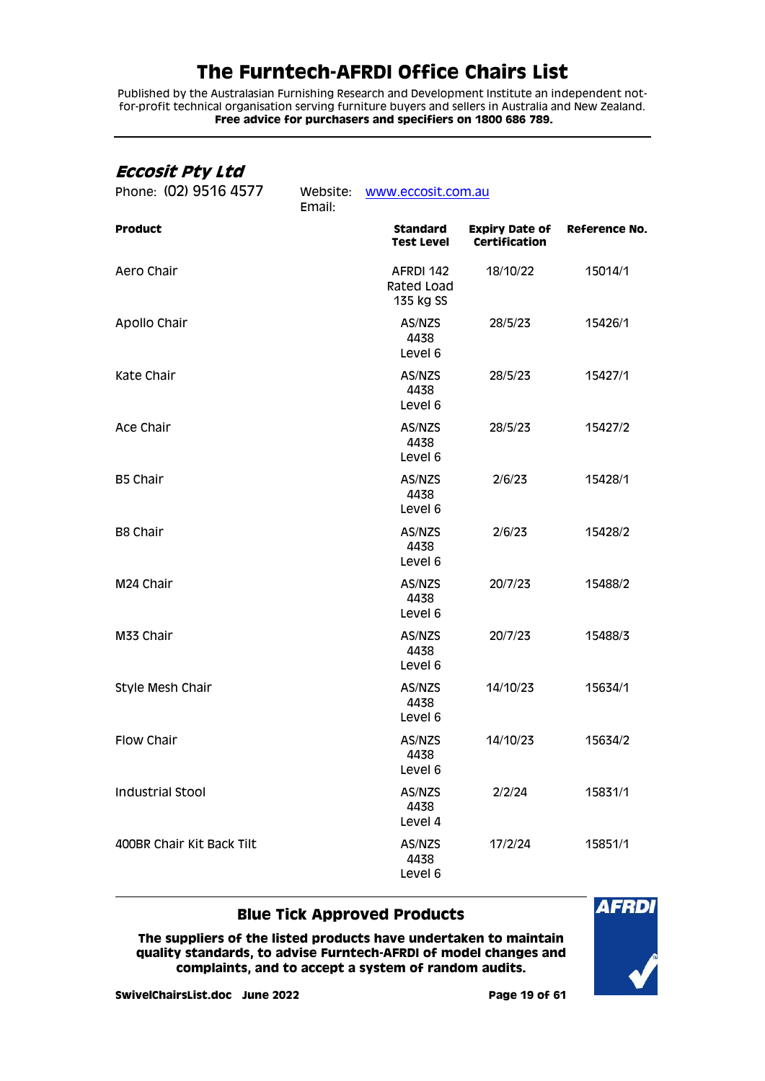Published by the Australasian Furnishing Research and Development Institute an independent notfor-profit technical organisation serving furniture buyers and sellers in Australia and New Zealand. **Free advice for purchasers and specifiers on 1800 686 789.**

### <span id="page-18-0"></span>**Eccosit Pty Ltd**

| Phone: (02) 9516 4577     | Website:<br>Email: | www.eccosit.com.au                   |                                               |                      |  |
|---------------------------|--------------------|--------------------------------------|-----------------------------------------------|----------------------|--|
| <b>Product</b>            |                    | <b>Standard</b><br><b>Test Level</b> | <b>Expiry Date of</b><br><b>Certification</b> | <b>Reference No.</b> |  |
| Aero Chair                |                    | AFRDI 142<br>Rated Load<br>135 kg SS | 18/10/22                                      | 15014/1              |  |
| Apollo Chair              |                    | AS/NZS<br>4438<br>Level 6            | 28/5/23                                       | 15426/1              |  |
| Kate Chair                |                    | AS/NZS<br>4438<br>Level 6            | 28/5/23                                       | 15427/1              |  |
| Ace Chair                 |                    | AS/NZS<br>4438<br>Level 6            | 28/5/23                                       | 15427/2              |  |
| B5 Chair                  |                    | AS/NZS<br>4438<br>Level 6            | 2/6/23                                        | 15428/1              |  |
| <b>B8 Chair</b>           |                    | AS/NZS<br>4438<br>Level 6            | 2/6/23                                        | 15428/2              |  |
| M24 Chair                 |                    | AS/NZS<br>4438<br>Level 6            | 20/7/23                                       | 15488/2              |  |
| M33 Chair                 |                    | AS/NZS<br>4438<br>Level 6            | 20/7/23                                       | 15488/3              |  |
| Style Mesh Chair          |                    | AS/NZS<br>4438<br>Level 6            | 14/10/23                                      | 15634/1              |  |
| Flow Chair                |                    | AS/NZS<br>4438<br>Level 6            | 14/10/23                                      | 15634/2              |  |
| <b>Industrial Stool</b>   |                    | AS/NZS<br>4438<br>Level 4            | 2/2/24                                        | 15831/1              |  |
| 400BR Chair Kit Back Tilt |                    | AS/NZS<br>4438<br>Level 6            | 17/2/24                                       | 15851/1              |  |

### **Blue Tick Approved Products**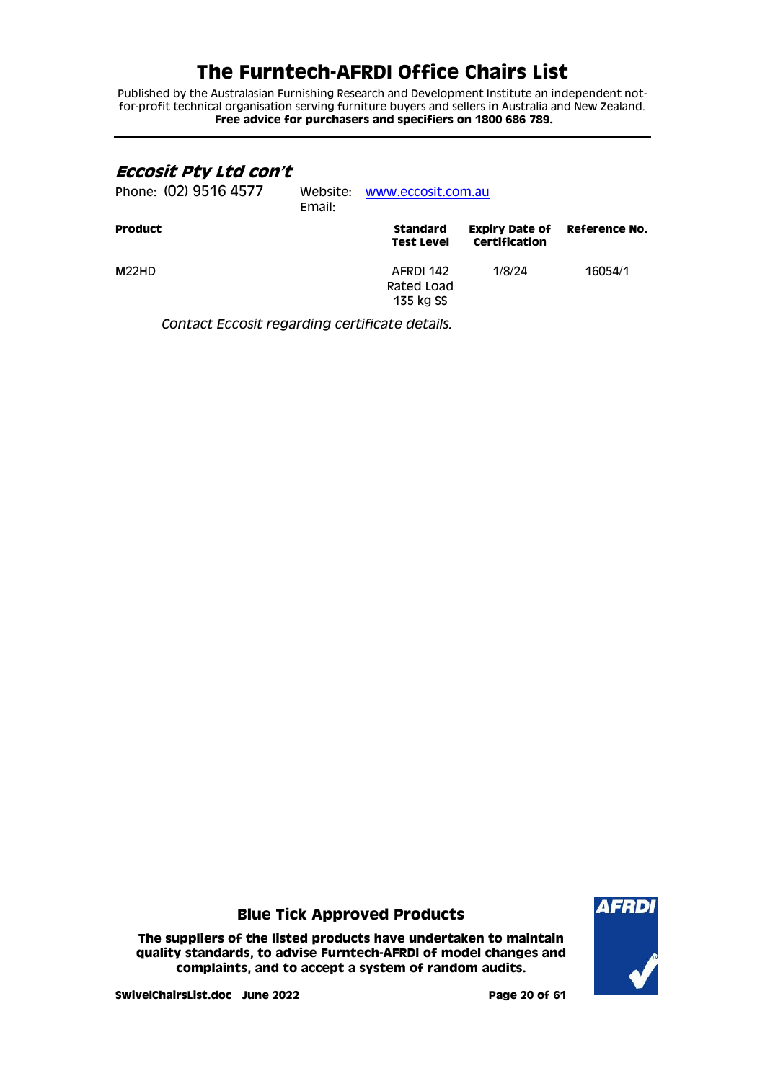Published by the Australasian Furnishing Research and Development Institute an independent notfor-profit technical organisation serving furniture buyers and sellers in Australia and New Zealand. **Free advice for purchasers and specifiers on 1800 686 789.**

### <span id="page-19-0"></span>**Eccosit Pty Ltd con't**

| Phone: (02) 9516 4577 | Email: | Website: www.eccosit.com.au          |                                        |               |  |
|-----------------------|--------|--------------------------------------|----------------------------------------|---------------|--|
| <b>Product</b>        |        | <b>Standard</b><br><b>Test Level</b> | <b>Expiry Date of</b><br>Certification | Reference No. |  |
| M <sub>22</sub> HD    |        | AFRDI 142<br>Rated Load<br>135 kg SS | 1/8/24                                 | 16054/1       |  |

*Contact Eccosit regarding certificate details.*

### **Blue Tick Approved Products**

**The suppliers of the listed products have undertaken to maintain quality standards, to advise Furntech-AFRDI of model changes and complaints, and to accept a system of random audits.**



**SwivelChairsList.doc June 2022 Page 20 of 61**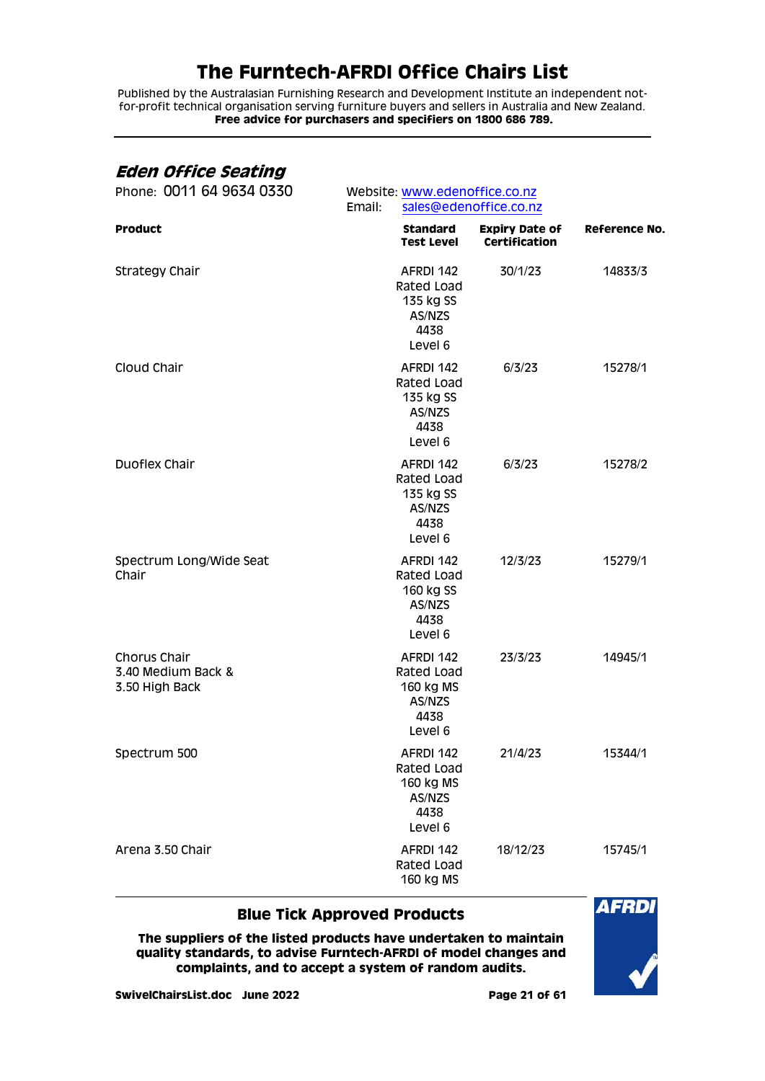Published by the Australasian Furnishing Research and Development Institute an independent notfor-profit technical organisation serving furniture buyers and sellers in Australia and New Zealand. **Free advice for purchasers and specifiers on 1800 686 789.**

## <span id="page-20-0"></span>**Eden Office Seating**

| Phone: 0011 64 9634 0330                             | Email:                                                            | Website: www.edenoffice.co.nz<br>sales@edenoffice.co.nz |                      |  |  |
|------------------------------------------------------|-------------------------------------------------------------------|---------------------------------------------------------|----------------------|--|--|
| <b>Product</b>                                       | <b>Standard</b><br><b>Test Level</b>                              | <b>Expiry Date of</b><br>Certification                  | <b>Reference No.</b> |  |  |
| <b>Strategy Chair</b>                                | AFRDI 142<br>Rated Load<br>135 kg SS<br>AS/NZS<br>4438<br>Level 6 | 30/1/23                                                 | 14833/3              |  |  |
| Cloud Chair                                          | AFRDI 142<br>Rated Load<br>135 kg SS<br>AS/NZS<br>4438<br>Level 6 | 6/3/23                                                  | 15278/1              |  |  |
| Duoflex Chair                                        | AFRDI 142<br>Rated Load<br>135 kg SS<br>AS/NZS<br>4438<br>Level 6 | 6/3/23                                                  | 15278/2              |  |  |
| Spectrum Long/Wide Seat<br>Chair                     | AFRDI 142<br>Rated Load<br>160 kg SS<br>AS/NZS<br>4438<br>Level 6 | 12/3/23                                                 | 15279/1              |  |  |
| Chorus Chair<br>3.40 Medium Back &<br>3.50 High Back | AFRDI 142<br>Rated Load<br>160 kg MS<br>AS/NZS<br>4438<br>Level 6 | 23/3/23                                                 | 14945/1              |  |  |
| Spectrum 500                                         | AFRDI 142<br>Rated Load<br>160 kg MS<br>AS/NZS<br>4438<br>Level 6 | 21/4/23                                                 | 15344/1              |  |  |
| Arena 3.50 Chair                                     | AFRDI 142<br>Rated Load<br>160 kg MS                              | 18/12/23                                                | 15745/1              |  |  |

### **Blue Tick Approved Products**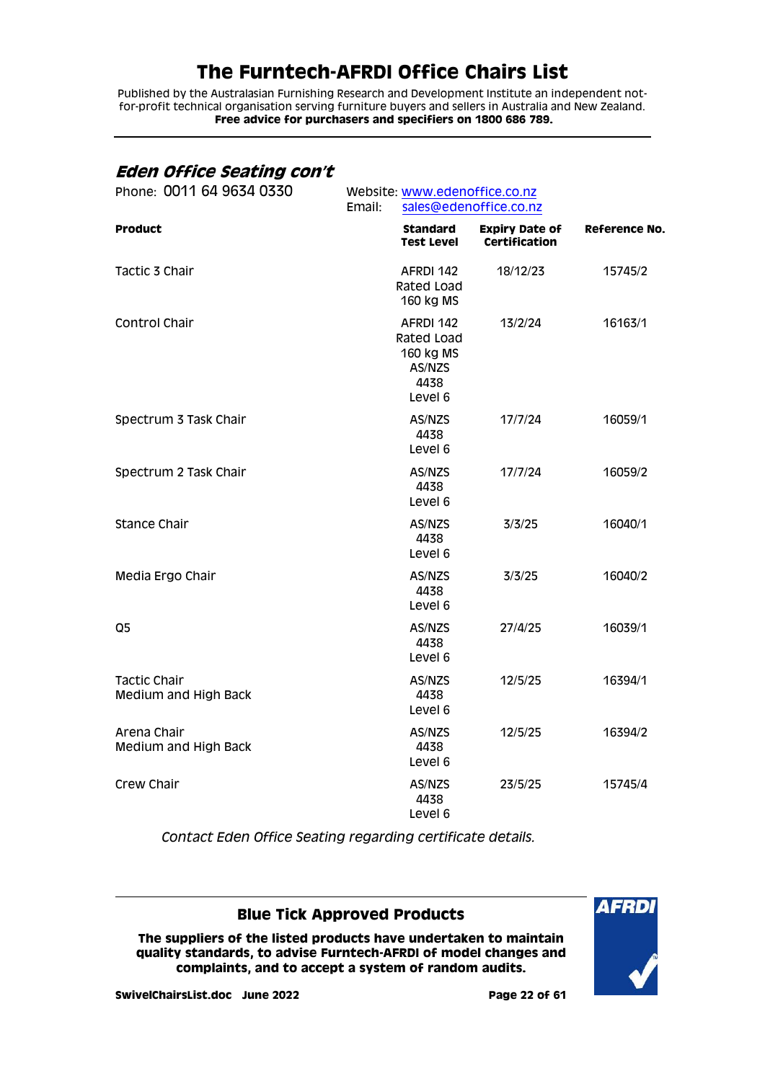Published by the Australasian Furnishing Research and Development Institute an independent notfor-profit technical organisation serving furniture buyers and sellers in Australia and New Zealand. **Free advice for purchasers and specifiers on 1800 686 789.**

## <span id="page-21-0"></span>**Eden Office Seating con't**

| Phone: 0011 64 9634 0330                    |                                                                   | Website: www.edenoffice.co.nz                 |                      |  |  |
|---------------------------------------------|-------------------------------------------------------------------|-----------------------------------------------|----------------------|--|--|
|                                             | Email:                                                            | sales@edenoffice.co.nz                        |                      |  |  |
| <b>Product</b>                              | <b>Standard</b><br><b>Test Level</b>                              | <b>Expiry Date of</b><br><b>Certification</b> | <b>Reference No.</b> |  |  |
| Tactic 3 Chair                              | AFRDI 142<br>Rated Load<br>160 kg MS                              | 18/12/23                                      | 15745/2              |  |  |
| Control Chair                               | AFRDI 142<br>Rated Load<br>160 kg MS<br>AS/NZS<br>4438<br>Level 6 | 13/2/24                                       | 16163/1              |  |  |
| Spectrum 3 Task Chair                       | AS/NZS<br>4438<br>Level 6                                         | 17/7/24                                       | 16059/1              |  |  |
| Spectrum 2 Task Chair                       | AS/NZS<br>4438<br>Level 6                                         | 17/7/24                                       | 16059/2              |  |  |
| <b>Stance Chair</b>                         | AS/NZS<br>4438<br>Level 6                                         | 3/3/25                                        | 16040/1              |  |  |
| Media Ergo Chair                            | AS/NZS<br>4438<br>Level 6                                         | 3/3/25                                        | 16040/2              |  |  |
| Q <sub>5</sub>                              | AS/NZS<br>4438<br>Level 6                                         | 27/4/25                                       | 16039/1              |  |  |
| <b>Tactic Chair</b><br>Medium and High Back | AS/NZS<br>4438<br>Level 6                                         | 12/5/25                                       | 16394/1              |  |  |
| Arena Chair<br>Medium and High Back         | AS/NZS<br>4438<br>Level 6                                         | 12/5/25                                       | 16394/2              |  |  |
| Crew Chair                                  | AS/NZS<br>4438<br>Level 6                                         | 23/5/25                                       | 15745/4              |  |  |

*Contact Eden Office Seating regarding certificate details.*

### **Blue Tick Approved Products**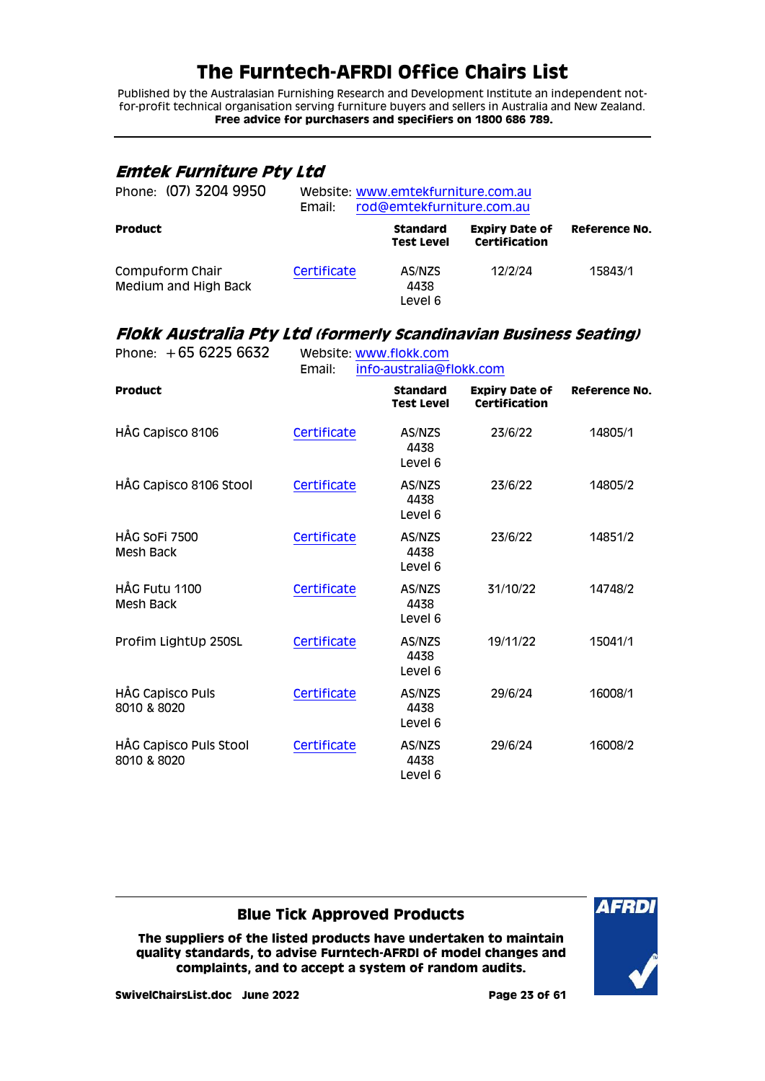Published by the Australasian Furnishing Research and Development Institute an independent notfor-profit technical organisation serving furniture buyers and sellers in Australia and New Zealand. **Free advice for purchasers and specifiers on 1800 686 789.**

### <span id="page-22-0"></span>**Emtek Furniture Pty Ltd**

| Phone: (07) 3204 9950                   | Website: www.emtekfurniture.com.au<br>rod@emtekfurniture.com.au<br>Email: |                                      |                                        |                      |
|-----------------------------------------|---------------------------------------------------------------------------|--------------------------------------|----------------------------------------|----------------------|
| <b>Product</b>                          |                                                                           | <b>Standard</b><br><b>Test Level</b> | <b>Expiry Date of</b><br>Certification | <b>Reference No.</b> |
| Compuform Chair<br>Medium and High Back | Certificate                                                               | AS/NZS<br>4438<br>Level 6            | 12/2/24                                | 15843/1              |

# <span id="page-22-1"></span>**Flokk Australia Pty Ltd (formerly Scandinavian Business Seating)**

| Phone: $+6562256632$                  | Website: www.flokk.com<br>info-australia@flokk.com<br>Email: |                                      |                                               |                      |
|---------------------------------------|--------------------------------------------------------------|--------------------------------------|-----------------------------------------------|----------------------|
| <b>Product</b>                        |                                                              | <b>Standard</b><br><b>Test Level</b> | <b>Expiry Date of</b><br><b>Certification</b> | <b>Reference No.</b> |
| HÅG Capisco 8106                      | Certificate                                                  | AS/NZS<br>4438<br>Level 6            | 23/6/22                                       | 14805/1              |
| HÅG Capisco 8106 Stool                | Certificate                                                  | AS/NZS<br>4438<br>Level 6            | 23/6/22                                       | 14805/2              |
| HÅG SOFI 7500<br>Mesh Back            | Certificate                                                  | AS/NZS<br>4438<br>Level 6            | 23/6/22                                       | 14851/2              |
| HÅG Futu 1100<br>Mesh Back            | Certificate                                                  | AS/NZS<br>4438<br>Level 6            | 31/10/22                                      | 14748/2              |
| Profim LightUp 250SL                  | Certificate                                                  | AS/NZS<br>4438<br>Level 6            | 19/11/22                                      | 15041/1              |
| HÅG Capisco Puls<br>8010 & 8020       | Certificate                                                  | AS/NZS<br>4438<br>Level 6            | 29/6/24                                       | 16008/1              |
| HÅG Capisco Puls Stool<br>8010 & 8020 | Certificate                                                  | AS/NZS<br>4438<br>Level 6            | 29/6/24                                       | 16008/2              |

### **Blue Tick Approved Products**

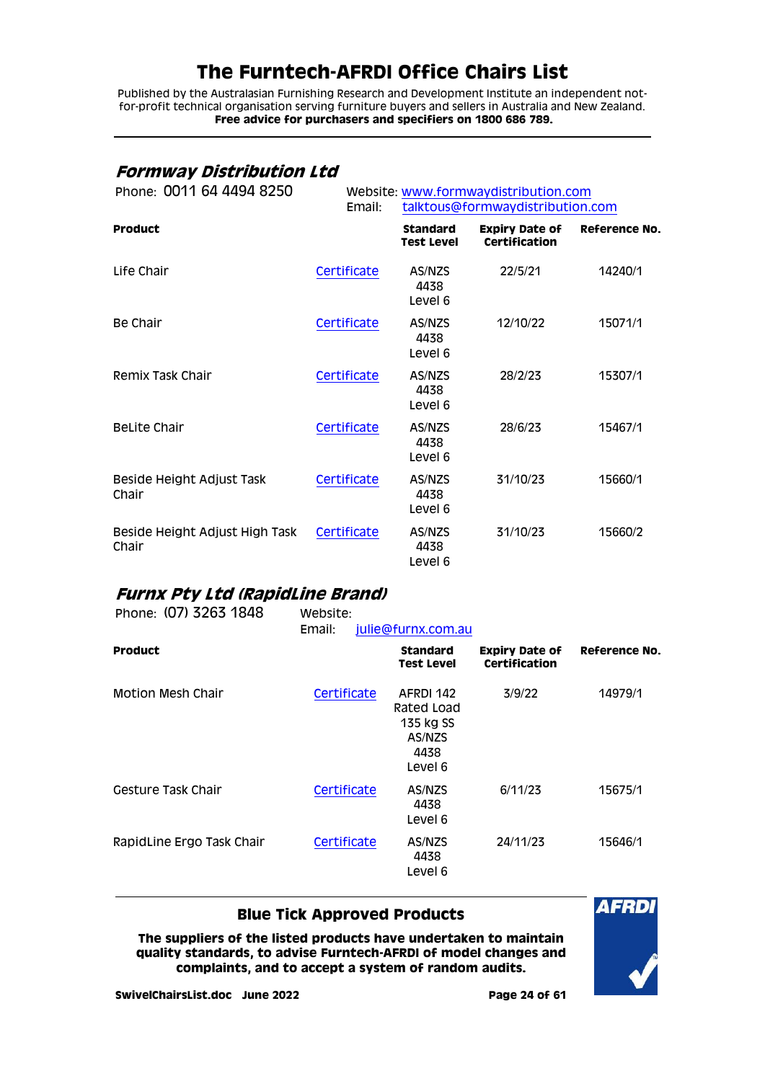Published by the Australasian Furnishing Research and Development Institute an independent notfor-profit technical organisation serving furniture buyers and sellers in Australia and New Zealand. **Free advice for purchasers and specifiers on 1800 686 789.**

## <span id="page-23-0"></span>**Formway Distribution Ltd**

| Phone: 0011 64 4494 8250                | Email:      | Website: www.formwaydistribution.com<br>talktous@formwaydistribution.com |                                        |                      |
|-----------------------------------------|-------------|--------------------------------------------------------------------------|----------------------------------------|----------------------|
| <b>Product</b>                          |             | <b>Standard</b><br><b>Test Level</b>                                     | <b>Expiry Date of</b><br>Certification | <b>Reference No.</b> |
| Life Chair                              | Certificate | AS/NZS<br>4438<br>Level 6                                                | 22/5/21                                | 14240/1              |
| Be Chair                                | Certificate | AS/NZS<br>4438<br>Level 6                                                | 12/10/22                               | 15071/1              |
| Remix Task Chair                        | Certificate | AS/NZS<br>4438<br>Level 6                                                | 28/2/23                                | 15307/1              |
| <b>BeLite Chair</b>                     | Certificate | AS/NZS<br>4438<br>Level 6                                                | 28/6/23                                | 15467/1              |
| Beside Height Adjust Task<br>Chair      | Certificate | AS/NZS<br>4438<br>Level 6                                                | 31/10/23                               | 15660/1              |
| Beside Height Adjust High Task<br>Chair | Certificate | AS/NZS<br>4438<br>Level 6                                                | 31/10/23                               | 15660/2              |

# <span id="page-23-1"></span>**Furnx Pty Ltd (RapidLine Brand)**

| Phone: (07) 3263 1848     | Website:<br>Email: | julie@furnx.com.au                                                |                                        |               |
|---------------------------|--------------------|-------------------------------------------------------------------|----------------------------------------|---------------|
| <b>Product</b>            |                    | <b>Standard</b><br>Test Level                                     | <b>Expiry Date of</b><br>Certification | Reference No. |
| <b>Motion Mesh Chair</b>  | Certificate        | AFRDI 142<br>Rated Load<br>135 kg SS<br>AS/NZS<br>4438<br>Level 6 | 3/9/22                                 | 14979/1       |
| Gesture Task Chair        | Certificate        | AS/NZS<br>4438<br>Level 6                                         | 6/11/23                                | 15675/1       |
| RapidLine Ergo Task Chair | Certificate        | AS/NZS<br>4438<br>Level 6                                         | 24/11/23                               | 15646/1       |

### **Blue Tick Approved Products**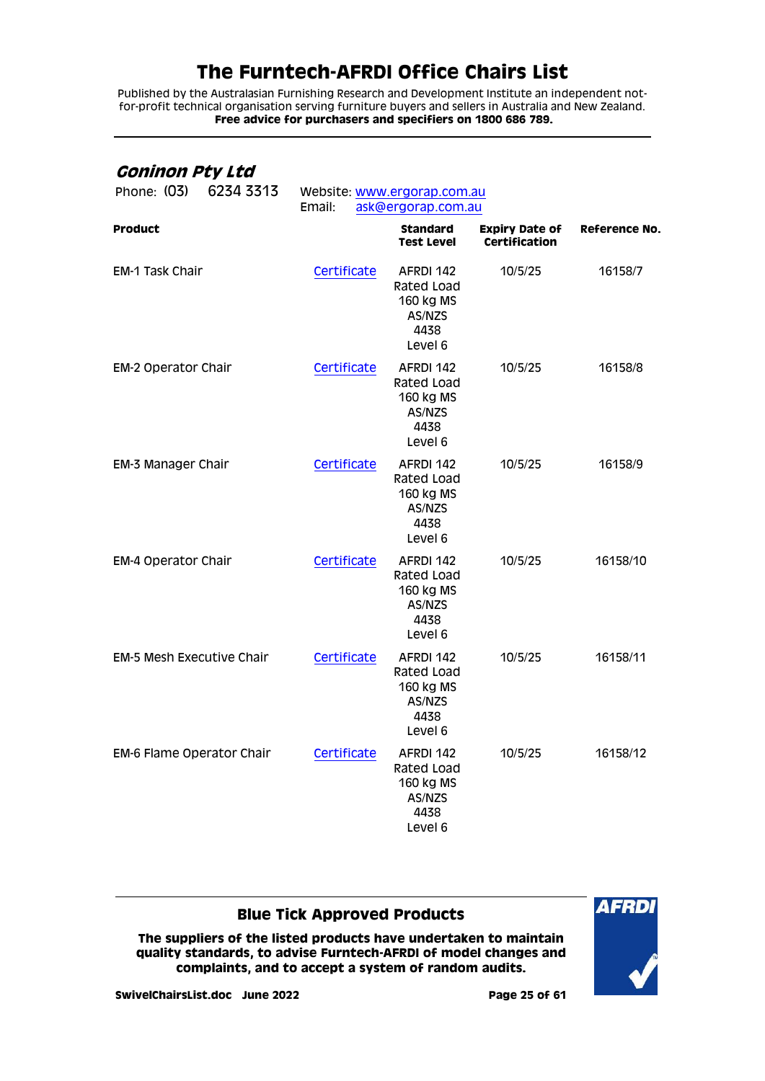Published by the Australasian Furnishing Research and Development Institute an independent notfor-profit technical organisation serving furniture buyers and sellers in Australia and New Zealand. **Free advice for purchasers and specifiers on 1800 686 789.**

## <span id="page-24-0"></span>**Goninon Pty Ltd**

| 6234 3313<br>Phone: (03)         | Website: www.ergorap.com.au<br>Email:<br>ask@ergorap.com.au |                                                                   |                                               |                      |  |  |
|----------------------------------|-------------------------------------------------------------|-------------------------------------------------------------------|-----------------------------------------------|----------------------|--|--|
| <b>Product</b>                   |                                                             | <b>Standard</b><br><b>Test Level</b>                              | <b>Expiry Date of</b><br><b>Certification</b> | <b>Reference No.</b> |  |  |
| <b>EM-1 Task Chair</b>           | Certificate                                                 | AFRDI 142<br>Rated Load<br>160 kg MS<br>AS/NZS<br>4438<br>Level 6 | 10/5/25                                       | 16158/7              |  |  |
| <b>EM-2 Operator Chair</b>       | Certificate                                                 | AFRDI 142<br>Rated Load<br>160 kg MS<br>AS/NZS<br>4438<br>Level 6 | 10/5/25                                       | 16158/8              |  |  |
| <b>EM-3 Manager Chair</b>        | Certificate                                                 | AFRDI 142<br>Rated Load<br>160 kg MS<br>AS/NZS<br>4438<br>Level 6 | 10/5/25                                       | 16158/9              |  |  |
| <b>EM-4 Operator Chair</b>       | Certificate                                                 | AFRDI 142<br>Rated Load<br>160 kg MS<br>AS/NZS<br>4438<br>Level 6 | 10/5/25                                       | 16158/10             |  |  |
| <b>EM-5 Mesh Executive Chair</b> | Certificate                                                 | AFRDI 142<br>Rated Load<br>160 kg MS<br>AS/NZS<br>4438<br>Level 6 | 10/5/25                                       | 16158/11             |  |  |
| EM-6 Flame Operator Chair        | Certificate                                                 | AFRDI 142<br>Rated Load<br>160 kg MS<br>AS/NZS<br>4438<br>Level 6 | 10/5/25                                       | 16158/12             |  |  |

### **Blue Tick Approved Products**

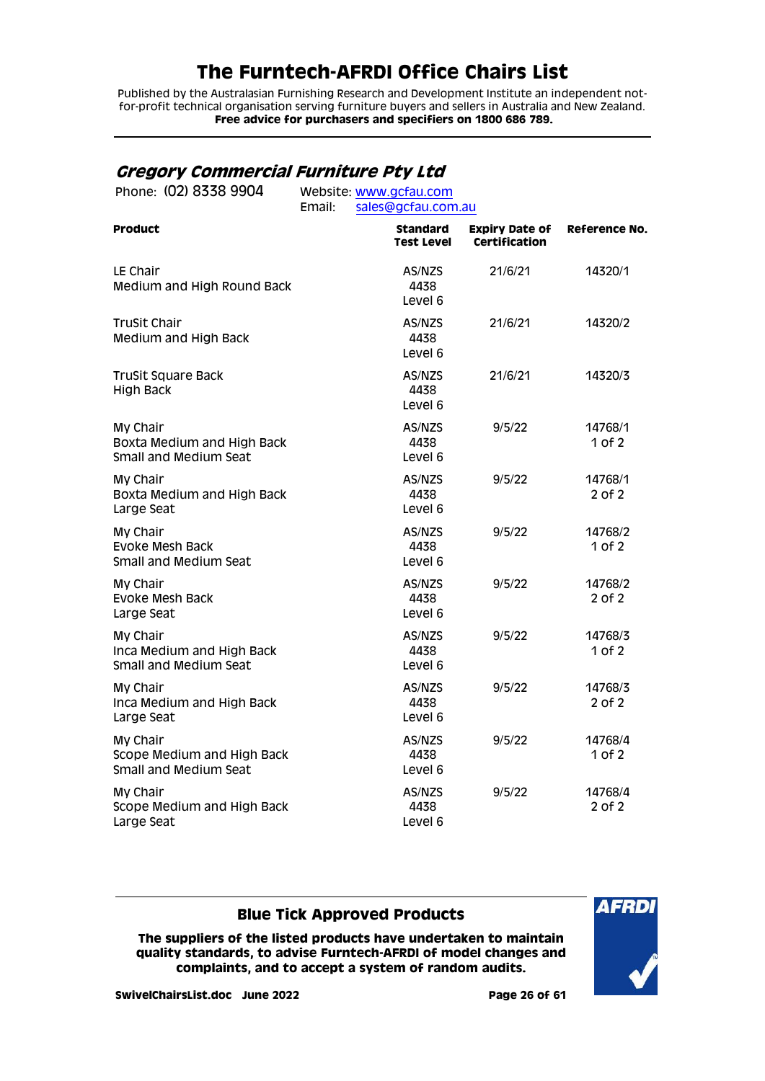Published by the Australasian Furnishing Research and Development Institute an independent notfor-profit technical organisation serving furniture buyers and sellers in Australia and New Zealand. **Free advice for purchasers and specifiers on 1800 686 789.**

## <span id="page-25-0"></span>**Gregory Commercial Furniture Pty Ltd**

| Phone: (02) 8338 9904                                           | Website: www.gcfau.com<br>Email:<br>sales@gcfau.com.au |                               |                                        |                      |
|-----------------------------------------------------------------|--------------------------------------------------------|-------------------------------|----------------------------------------|----------------------|
| Product                                                         |                                                        | <b>Standard</b><br>Test Level | <b>Expiry Date of</b><br>Certification | <b>Reference No.</b> |
| LE Chair<br>Medium and High Round Back                          |                                                        | AS/NZS<br>4438<br>Level 6     | 21/6/21                                | 14320/1              |
| <b>TruSit Chair</b><br>Medium and High Back                     |                                                        | AS/NZS<br>4438<br>Level 6     | 21/6/21                                | 14320/2              |
| <b>TruSit Square Back</b><br><b>High Back</b>                   |                                                        | AS/NZS<br>4438<br>Level 6     | 21/6/21                                | 14320/3              |
| My Chair<br>Boxta Medium and High Back<br>Small and Medium Seat |                                                        | AS/NZS<br>4438<br>Level 6     | 9/5/22                                 | 14768/1<br>1 of 2    |
| My Chair<br>Boxta Medium and High Back<br>Large Seat            |                                                        | AS/NZS<br>4438<br>Level 6     | 9/5/22                                 | 14768/1<br>2 of 2    |
| My Chair<br>Evoke Mesh Back<br>Small and Medium Seat            |                                                        | AS/NZS<br>4438<br>Level 6     | 9/5/22                                 | 14768/2<br>1 of 2    |
| My Chair<br>Evoke Mesh Back<br>Large Seat                       |                                                        | AS/NZS<br>4438<br>Level 6     | 9/5/22                                 | 14768/2<br>2 of 2    |
| My Chair<br>Inca Medium and High Back<br>Small and Medium Seat  |                                                        | AS/NZS<br>4438<br>Level 6     | 9/5/22                                 | 14768/3<br>1 of 2    |
| My Chair<br>Inca Medium and High Back<br>Large Seat             |                                                        | AS/NZS<br>4438<br>Level 6     | 9/5/22                                 | 14768/3<br>2 of 2    |
| My Chair<br>Scope Medium and High Back<br>Small and Medium Seat |                                                        | AS/NZS<br>4438<br>Level 6     | 9/5/22                                 | 14768/4<br>1 of 2    |
| My Chair<br>Scope Medium and High Back<br>Large Seat            |                                                        | AS/NZS<br>4438<br>Level 6     | 9/5/22                                 | 14768/4<br>2 of 2    |

### **Blue Tick Approved Products**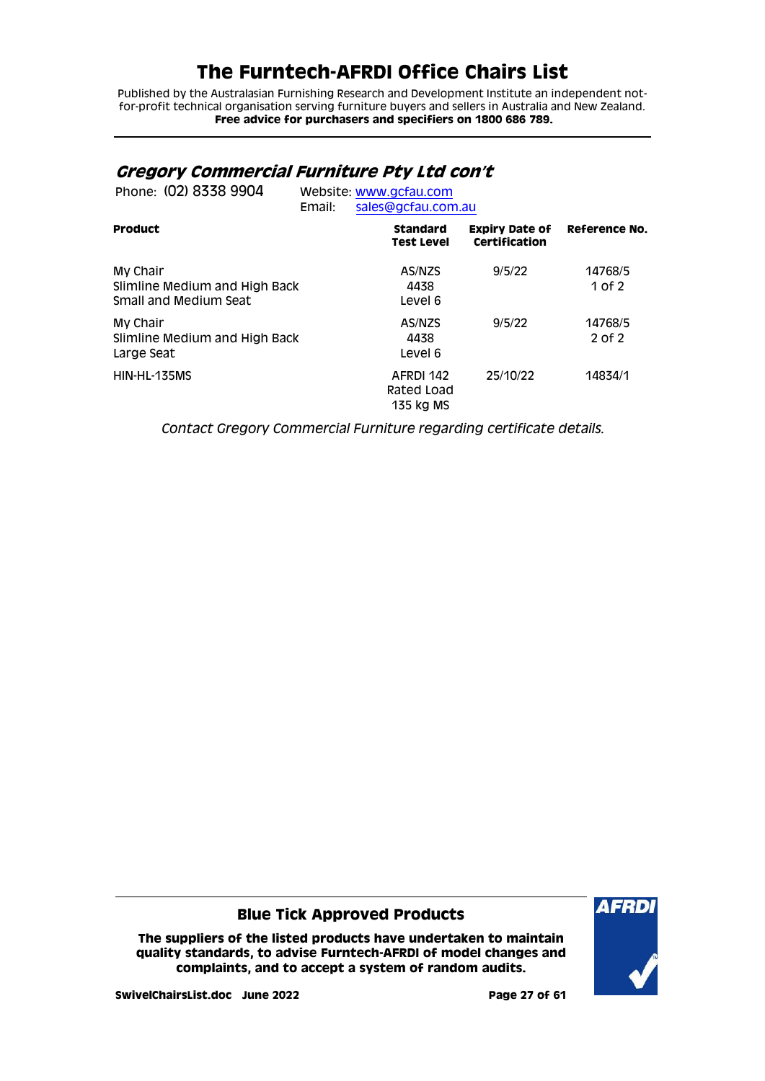Published by the Australasian Furnishing Research and Development Institute an independent notfor-profit technical organisation serving furniture buyers and sellers in Australia and New Zealand. **Free advice for purchasers and specifiers on 1800 686 789.**

## <span id="page-26-0"></span>**Gregory Commercial Furniture Pty Ltd con't**

| Phone: (02) 8338 9904                                              | Email: | Website: www.gcfau.com<br>sales@gcfau.com.au |                                        |                      |  |
|--------------------------------------------------------------------|--------|----------------------------------------------|----------------------------------------|----------------------|--|
| <b>Product</b>                                                     |        | <b>Standard</b><br><b>Test Level</b>         | <b>Expiry Date of</b><br>Certification | <b>Reference No.</b> |  |
| My Chair<br>Slimline Medium and High Back<br>Small and Medium Seat |        | AS/NZS<br>4438<br>Level 6                    | 9/5/22                                 | 14768/5<br>1 of 2    |  |
| My Chair<br>Slimline Medium and High Back<br>Large Seat            |        | AS/NZS<br>4438<br>Level 6                    | 9/5/22                                 | 14768/5<br>2 of 2    |  |
| HIN-HL-135MS                                                       |        | AFRDI 142<br>Rated Load<br>135 kg MS         | 25/10/22                               | 14834/1              |  |

*Contact Gregory Commercial Furniture regarding certificate details.*

#### **Blue Tick Approved Products**

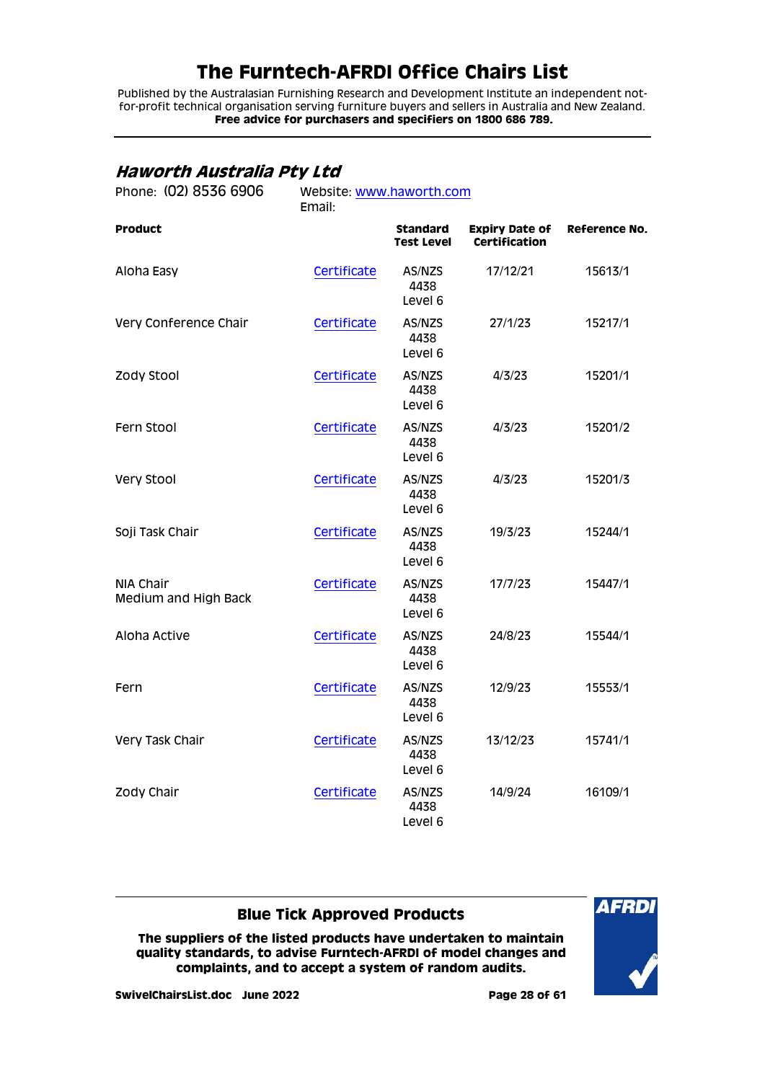Published by the Australasian Furnishing Research and Development Institute an independent notfor-profit technical organisation serving furniture buyers and sellers in Australia and New Zealand. **Free advice for purchasers and specifiers on 1800 686 789.**

## <span id="page-27-0"></span>**Haworth Australia Pty Ltd**

| Phone: (02) 8536 6906             | Website: www.haworth.com<br>Email: |                                      |                                        |               |  |  |
|-----------------------------------|------------------------------------|--------------------------------------|----------------------------------------|---------------|--|--|
| <b>Product</b>                    |                                    | <b>Standard</b><br><b>Test Level</b> | <b>Expiry Date of</b><br>Certification | Reference No. |  |  |
| Aloha Easy                        | Certificate                        | AS/NZS<br>4438<br>Level 6            | 17/12/21                               | 15613/1       |  |  |
| Very Conference Chair             | Certificate                        | AS/NZS<br>4438<br>Level 6            | 27/1/23                                | 15217/1       |  |  |
| Zody Stool                        | Certificate                        | AS/NZS<br>4438<br>Level 6            | 4/3/23                                 | 15201/1       |  |  |
| Fern Stool                        | Certificate                        | AS/NZS<br>4438<br>Level 6            | 4/3/23                                 | 15201/2       |  |  |
| Very Stool                        | Certificate                        | AS/NZS<br>4438<br>Level 6            | 4/3/23                                 | 15201/3       |  |  |
| Soji Task Chair                   | Certificate                        | AS/NZS<br>4438<br>Level 6            | 19/3/23                                | 15244/1       |  |  |
| NIA Chair<br>Medium and High Back | Certificate                        | AS/NZS<br>4438<br>Level 6            | 17/7/23                                | 15447/1       |  |  |
| Aloha Active                      | Certificate                        | AS/NZS<br>4438<br>Level 6            | 24/8/23                                | 15544/1       |  |  |
| Fern                              | Certificate                        | AS/NZS<br>4438<br>Level 6            | 12/9/23                                | 15553/1       |  |  |
| Very Task Chair                   | Certificate                        | AS/NZS<br>4438<br>Level 6            | 13/12/23                               | 15741/1       |  |  |
| Zody Chair                        | Certificate                        | AS/NZS<br>4438<br>Level 6            | 14/9/24                                | 16109/1       |  |  |

### **Blue Tick Approved Products**

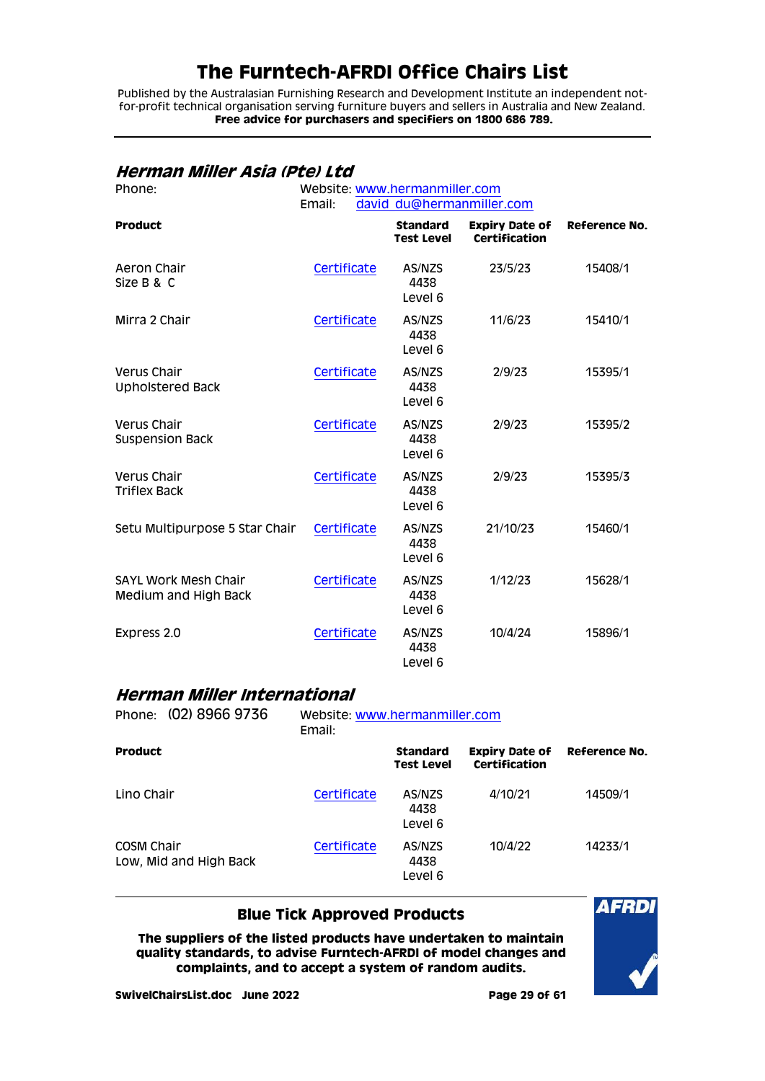Published by the Australasian Furnishing Research and Development Institute an independent notfor-profit technical organisation serving furniture buyers and sellers in Australia and New Zealand. **Free advice for purchasers and specifiers on 1800 686 789.**

### <span id="page-28-0"></span>**Herman Miller Asia (Pte) Ltd**

| Phone:                                              | Website: www.hermanmiller.com<br>Email:<br>david du@hermanmiller.com |                                      |                                               |                      |
|-----------------------------------------------------|----------------------------------------------------------------------|--------------------------------------|-----------------------------------------------|----------------------|
| <b>Product</b>                                      |                                                                      | <b>Standard</b><br><b>Test Level</b> | <b>Expiry Date of</b><br><b>Certification</b> | <b>Reference No.</b> |
| Aeron Chair<br>Size B & C                           | Certificate                                                          | AS/NZS<br>4438<br>Level 6            | 23/5/23                                       | 15408/1              |
| Mirra 2 Chair                                       | Certificate                                                          | AS/NZS<br>4438<br>Level 6            | 11/6/23                                       | 15410/1              |
| Verus Chair<br><b>Upholstered Back</b>              | Certificate                                                          | AS/NZS<br>4438<br>Level 6            | 2/9/23                                        | 15395/1              |
| Verus Chair<br><b>Suspension Back</b>               | Certificate                                                          | AS/NZS<br>4438<br>Level 6            | 2/9/23                                        | 15395/2              |
| Verus Chair<br><b>Triflex Back</b>                  | Certificate                                                          | AS/NZS<br>4438<br>Level 6            | 2/9/23                                        | 15395/3              |
| Setu Multipurpose 5 Star Chair                      | Certificate                                                          | AS/NZS<br>4438<br>Level 6            | 21/10/23                                      | 15460/1              |
| <b>SAYL Work Mesh Chair</b><br>Medium and High Back | Certificate                                                          | AS/NZS<br>4438<br>Level 6            | 1/12/23                                       | 15628/1              |
| Express 2.0                                         | Certificate                                                          | AS/NZS<br>4438<br>Level 6            | 10/4/24                                       | 15896/1              |

### <span id="page-28-1"></span>**Herman Miller International**

| Phone: (02) 8966 9736                | Website: www.hermanmiller.com<br>Email: |                                      |                                        |                      |
|--------------------------------------|-----------------------------------------|--------------------------------------|----------------------------------------|----------------------|
| <b>Product</b>                       |                                         | <b>Standard</b><br><b>Test Level</b> | <b>Expiry Date of</b><br>Certification | <b>Reference No.</b> |
| Lino Chair                           | Certificate                             | AS/NZS<br>4438<br>Level 6            | 4/10/21                                | 14509/1              |
| COSM Chair<br>Low, Mid and High Back | Certificate                             | AS/NZS<br>4438<br>Level 6            | 10/4/22                                | 14233/1              |

### **Blue Tick Approved Products**

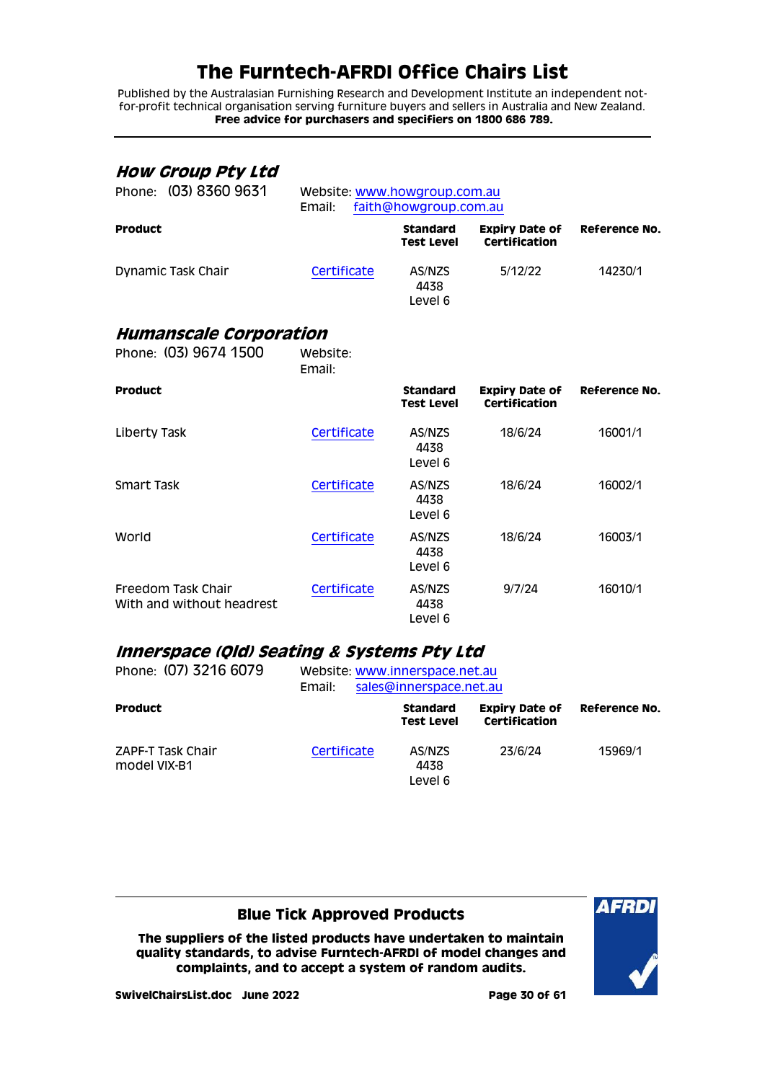Published by the Australasian Furnishing Research and Development Institute an independent notfor-profit technical organisation serving furniture buyers and sellers in Australia and New Zealand. **Free advice for purchasers and specifiers on 1800 686 789.**

### <span id="page-29-0"></span>**How Group Pty Ltd**

| Phone: (03) 8360 9631                                  | Website: www.howgroup.com.au<br>Email: | faith@howgroup.com.au                |                                        |               |
|--------------------------------------------------------|----------------------------------------|--------------------------------------|----------------------------------------|---------------|
| <b>Product</b>                                         |                                        | <b>Standard</b><br><b>Test Level</b> | <b>Expiry Date of</b><br>Certification | Reference No. |
| Dynamic Task Chair                                     | Certificate                            | AS/NZS<br>4438<br>Level 6            | 5/12/22                                | 14230/1       |
| <b>Humanscale Corporation</b><br>Phone: (03) 9674 1500 | Website:                               |                                      |                                        |               |

<span id="page-29-1"></span>Email: **Product Standard Test Level Expiry Date of Certification Reference No.** Liberty Task [Certificate](http://www.furntech.org.au/fs/index.php?dir=16000/16000/&file=16001-1_210916_ct.pdf) AS/NZS 4438 Level 6 18/6/24 16001/1 Smart Task [Certificate](http://www.furntech.org.au/fs/index.php?dir=16000/16000/&file=16002-1_210916_ct.pdf) AS/NZS 4438 Level 6 18/6/24 16002/1 World **[Certificate](http://www.furntech.org.au/fs/index.php?dir=16000/16000/&file=16003-1_210916_ct.pdf)** AS/NZS 4438 Level 6 18/6/24 16003/1 Freedom Task Chair With and without headrest [Certificate](http://www.furntech.org.au/fs/index.php?dir=16000/16000/&file=16010-1_210916_ct.pdf) AS/NZS 4438 Level 6 9/7/24 16010/1

### <span id="page-29-2"></span>**Innerspace (Qld) Seating & Systems Pty Ltd**

| Phone: (07) 3216 6079                    | Website: www.innerspace.net.au<br>sales@innerspace.net.au<br>Email: |                                      |                                        |               |
|------------------------------------------|---------------------------------------------------------------------|--------------------------------------|----------------------------------------|---------------|
| <b>Product</b>                           |                                                                     | <b>Standard</b><br><b>Test Level</b> | <b>Expiry Date of</b><br>Certification | Reference No. |
| <b>ZAPF-T Task Chair</b><br>model VIX-B1 | Certificate                                                         | AS/NZS<br>4438<br>Level 6            | 23/6/24                                | 15969/1       |

### **Blue Tick Approved Products**

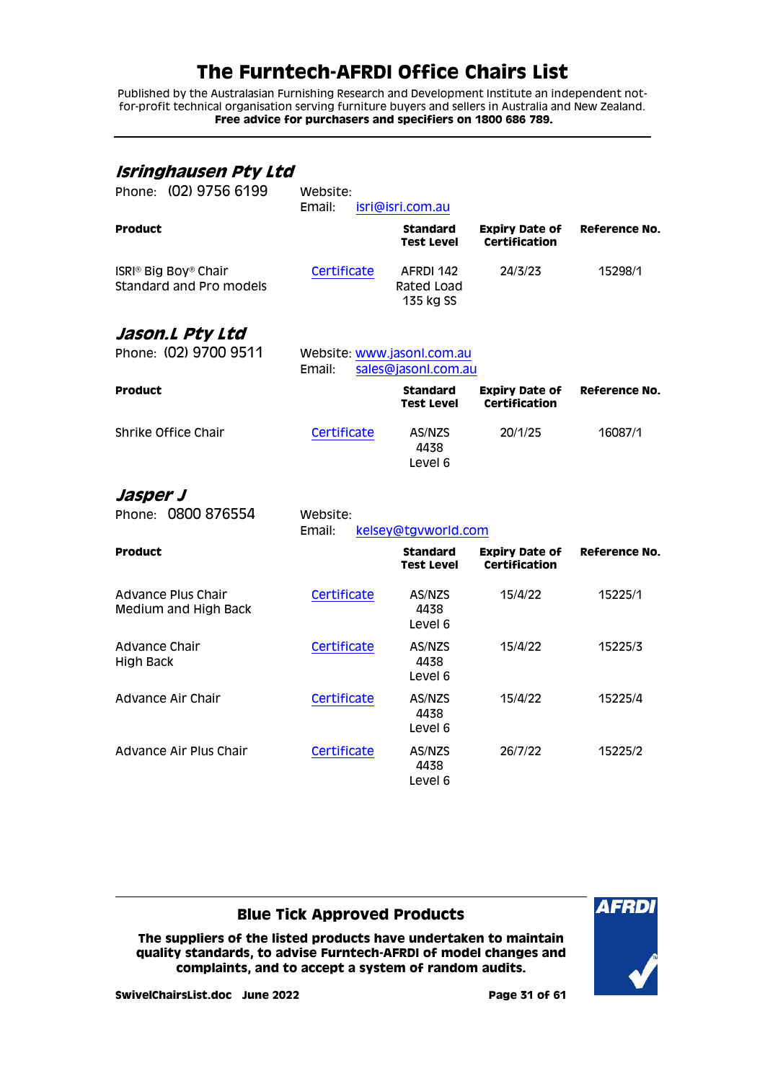Published by the Australasian Furnishing Research and Development Institute an independent notfor-profit technical organisation serving furniture buyers and sellers in Australia and New Zealand. **Free advice for purchasers and specifiers on 1800 686 789.**

<span id="page-30-2"></span><span id="page-30-1"></span><span id="page-30-0"></span>

| Isringhausen Pty Ltd<br>Phone: (02) 9756 6199                           | Website:<br>Email:                   | isri@isri.com.au                     |                                               |                      |
|-------------------------------------------------------------------------|--------------------------------------|--------------------------------------|-----------------------------------------------|----------------------|
| <b>Product</b>                                                          |                                      | <b>Standard</b><br><b>Test Level</b> | <b>Expiry Date of</b><br><b>Certification</b> | <b>Reference No.</b> |
| ISRI <sup>®</sup> Big Boy <sup>®</sup> Chair<br>Standard and Pro models | Certificate                          | AFRDI 142<br>Rated Load<br>135 kg SS | 24/3/23                                       | 15298/1              |
| Jason.L Pty Ltd<br>Phone: (02) 9700 9511                                | Website: www.jasonl.com.au<br>Email: | sales@jasonl.com.au                  |                                               |                      |
| <b>Product</b>                                                          |                                      | <b>Standard</b><br>Test Level        | Expiry Date of<br><b>Certification</b>        | <b>Reference No.</b> |
| Shrike Office Chair                                                     | Certificate                          | AS/NZS<br>4438<br>Level 6            | 20/1/25                                       | 16087/1              |
| Jasper J<br>Phone: 0800 876554                                          | Website:<br>Email:                   | kelsey@tgvworld.com                  |                                               |                      |
| <b>Product</b>                                                          |                                      | <b>Standard</b><br><b>Test Level</b> | <b>Expiry Date of</b><br><b>Certification</b> | Reference No.        |
| Advance Plus Chair<br>Medium and High Back                              | Certificate                          | AS/NZS<br>4438<br>Level 6            | 15/4/22                                       | 15225/1              |
| Advance Chair<br><b>High Back</b>                                       | Certificate                          | AS/NZS<br>4438<br>Level 6            | 15/4/22                                       | 15225/3              |
| Advance Air Chair                                                       | Certificate                          | AS/NZS<br>4438<br>Level 6            | 15/4/22                                       | 15225/4              |
| Advance Air Plus Chair                                                  | Certificate                          | AS/NZS<br>4438<br>Level 6            | 26/7/22                                       | 15225/2              |

### **Blue Tick Approved Products**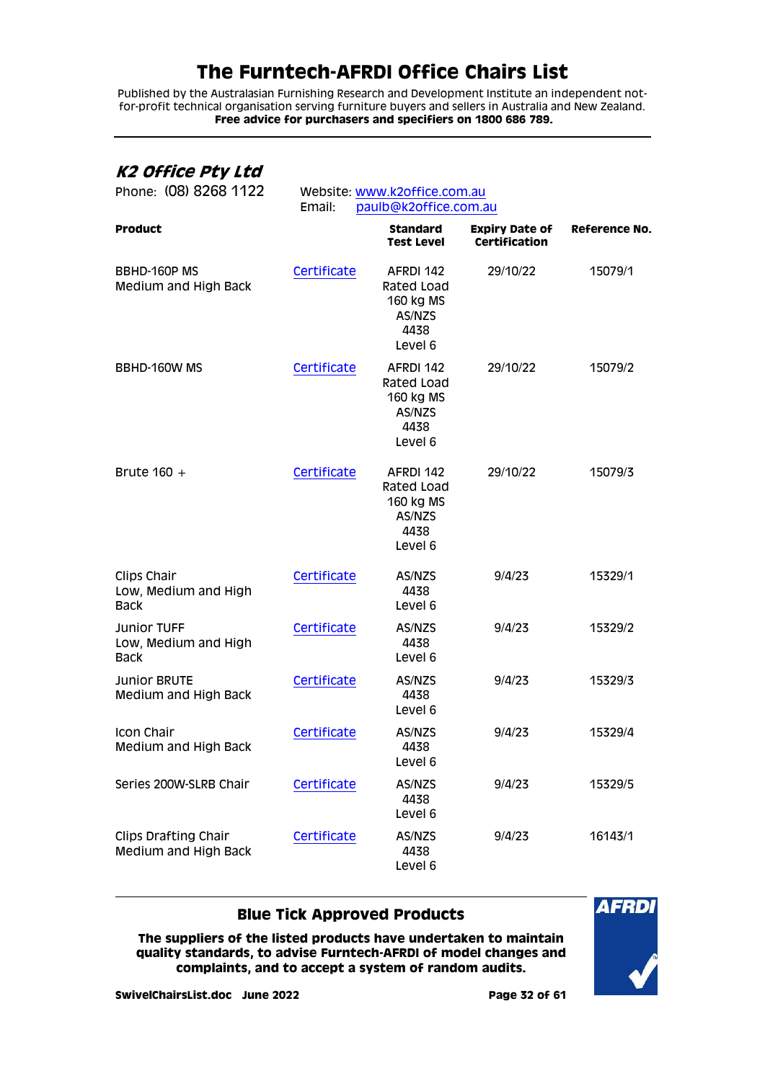Published by the Australasian Furnishing Research and Development Institute an independent notfor-profit technical organisation serving furniture buyers and sellers in Australia and New Zealand. **Free advice for purchasers and specifiers on 1800 686 789.**

## <span id="page-31-0"></span>**K2 Office Pty Ltd**

| Phone: (08) 8268 1122                                     | Website: www.k2office.com.au<br>paulb@k2office.com.au<br>Email: |                                                                   |                                               |                      |
|-----------------------------------------------------------|-----------------------------------------------------------------|-------------------------------------------------------------------|-----------------------------------------------|----------------------|
| <b>Product</b>                                            |                                                                 | <b>Standard</b><br>Test Level                                     | <b>Expiry Date of</b><br><b>Certification</b> | <b>Reference No.</b> |
| BBHD-160P MS<br>Medium and High Back                      | Certificate                                                     | AFRDI 142<br>Rated Load<br>160 kg MS<br>AS/NZS<br>4438<br>Level 6 | 29/10/22                                      | 15079/1              |
| BBHD-160W MS                                              | Certificate                                                     | AFRDI 142<br>Rated Load<br>160 kg MS<br>AS/NZS<br>4438<br>Level 6 | 29/10/22                                      | 15079/2              |
| Brute $160 +$                                             | Certificate                                                     | AFRDI 142<br>Rated Load<br>160 kg MS<br>AS/NZS<br>4438<br>Level 6 | 29/10/22                                      | 15079/3              |
| Clips Chair<br>Low, Medium and High<br><b>Back</b>        | Certificate                                                     | AS/NZS<br>4438<br>Level 6                                         | 9/4/23                                        | 15329/1              |
| <b>Junior TUFF</b><br>Low, Medium and High<br><b>Back</b> | Certificate                                                     | AS/NZS<br>4438<br>Level 6                                         | 9/4/23                                        | 15329/2              |
| <b>Junior BRUTE</b><br>Medium and High Back               | Certificate                                                     | AS/NZS<br>4438<br>Level 6                                         | 9/4/23                                        | 15329/3              |
| <b>Icon Chair</b><br>Medium and High Back                 | Certificate                                                     | AS/NZS<br>4438<br>Level 6                                         | 9/4/23                                        | 15329/4              |
| Series 200W-SLRB Chair                                    | Certificate                                                     | AS/NZS<br>4438<br>Level 6                                         | 9/4/23                                        | 15329/5              |
| <b>Clips Drafting Chair</b><br>Medium and High Back       | Certificate                                                     | AS/NZS<br>4438<br>Level 6                                         | 9/4/23                                        | 16143/1              |

### **Blue Tick Approved Products**

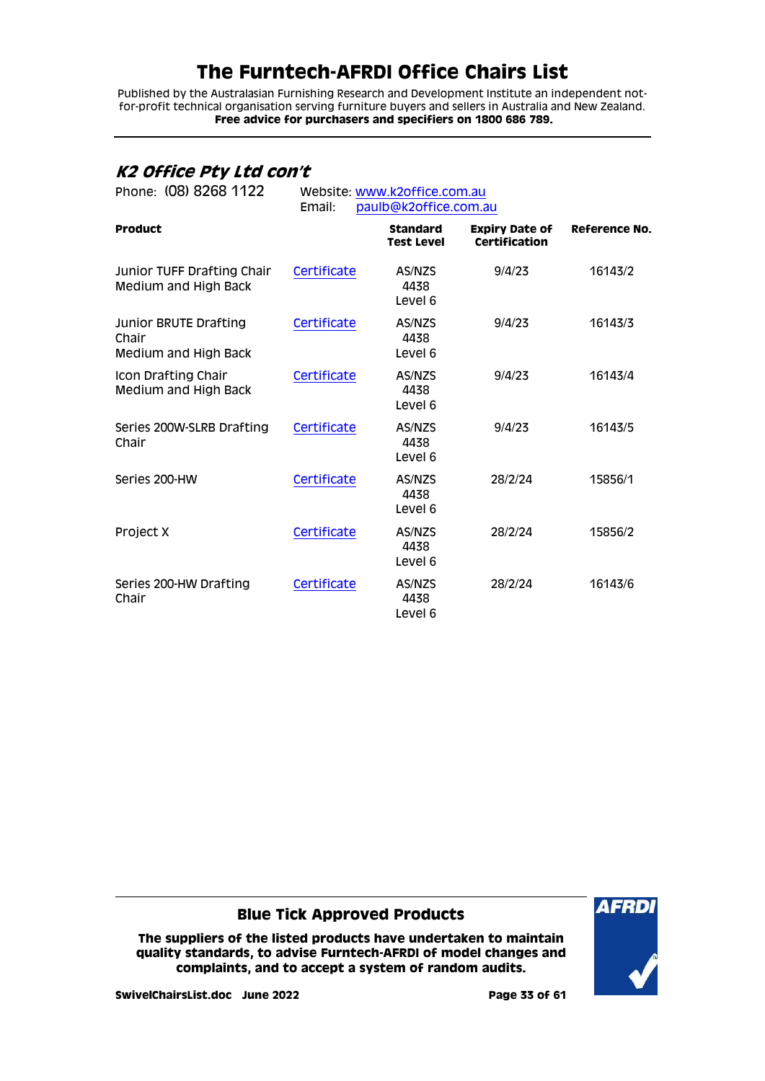Published by the Australasian Furnishing Research and Development Institute an independent notfor-profit technical organisation serving furniture buyers and sellers in Australia and New Zealand. **Free advice for purchasers and specifiers on 1800 686 789.**

## <span id="page-32-0"></span>**K2 Office Pty Ltd con't**

| Phone: (08) 8268 1122                                  | Website: www.k2office.com.au<br>Email:<br>paulb@k2office.com.au |                                      |                                               |               |
|--------------------------------------------------------|-----------------------------------------------------------------|--------------------------------------|-----------------------------------------------|---------------|
| <b>Product</b>                                         |                                                                 | <b>Standard</b><br><b>Test Level</b> | <b>Expiry Date of</b><br><b>Certification</b> | Reference No. |
| Junior TUFF Drafting Chair<br>Medium and High Back     | Certificate                                                     | AS/NZS<br>4438<br>Level 6            | 9/4/23                                        | 16143/2       |
| Junior BRUTE Drafting<br>Chair<br>Medium and High Back | Certificate                                                     | AS/NZS<br>4438<br>Level 6            | 9/4/23                                        | 16143/3       |
| Icon Drafting Chair<br>Medium and High Back            | Certificate                                                     | AS/NZS<br>4438<br>Level 6            | 9/4/23                                        | 16143/4       |
| Series 200W-SLRB Drafting<br>Chair                     | Certificate                                                     | AS/NZS<br>4438<br>Level 6            | 9/4/23                                        | 16143/5       |
| Series 200-HW                                          | Certificate                                                     | AS/NZS<br>4438<br>Level 6            | 28/2/24                                       | 15856/1       |
| Project X                                              | Certificate                                                     | AS/NZS<br>4438<br>Level 6            | 28/2/24                                       | 15856/2       |
| Series 200-HW Drafting<br>Chair                        | Certificate                                                     | AS/NZS<br>4438<br>Level 6            | 28/2/24                                       | 16143/6       |

### **Blue Tick Approved Products**

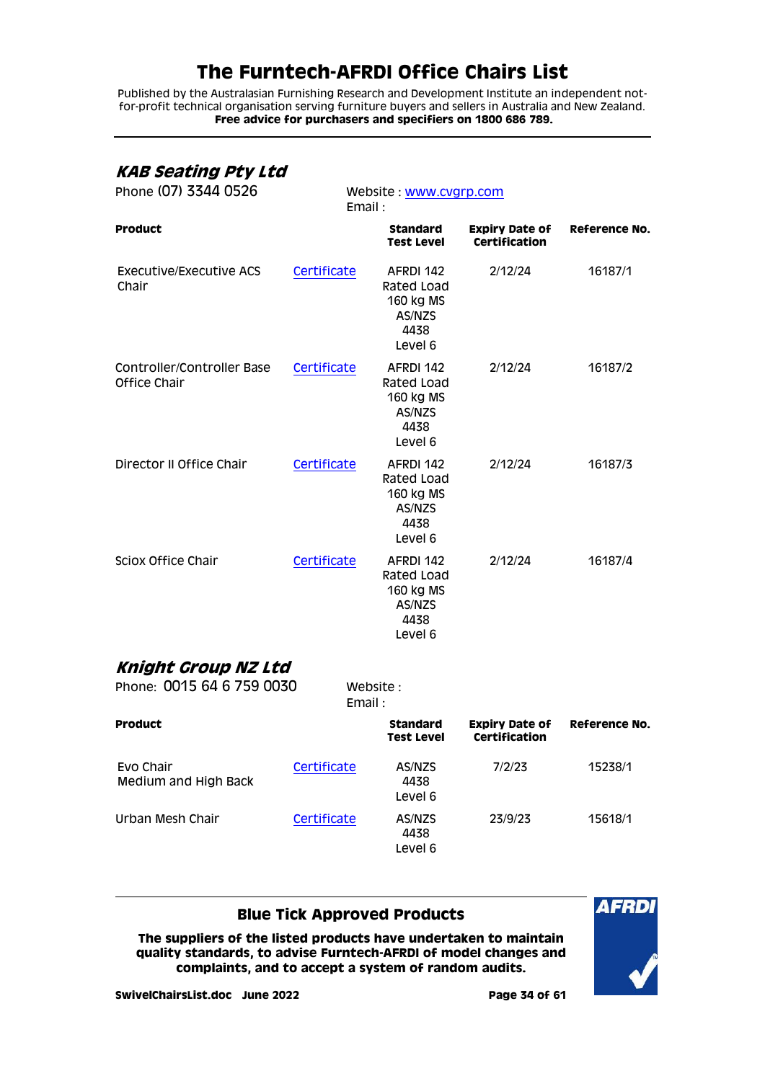Published by the Australasian Furnishing Research and Development Institute an independent notfor-profit technical organisation serving furniture buyers and sellers in Australia and New Zealand. **Free advice for purchasers and specifiers on 1800 686 789.**

## <span id="page-33-0"></span>**KAB Seating Pty Ltd**

| Phone (07) 3344 0526                       |             | Website: www.cvgrp.com<br>Email:                                  |                                        |                      |  |
|--------------------------------------------|-------------|-------------------------------------------------------------------|----------------------------------------|----------------------|--|
| <b>Product</b>                             |             | <b>Standard</b><br><b>Test Level</b>                              | Expiry Date of<br><b>Certification</b> | <b>Reference No.</b> |  |
| Executive/Executive ACS<br>Chair           | Certificate | AFRDI 142<br>Rated Load<br>160 kg MS<br>AS/NZS<br>4438<br>Level 6 | 2/12/24                                | 16187/1              |  |
| Controller/Controller Base<br>Office Chair | Certificate | AFRDI 142<br>Rated Load<br>160 kg MS<br>AS/NZS<br>4438<br>Level 6 | 2/12/24                                | 16187/2              |  |
| Director II Office Chair                   | Certificate | AFRDI 142<br>Rated Load<br>160 kg MS<br>AS/NZS<br>4438<br>Level 6 | 2/12/24                                | 16187/3              |  |
| Sciox Office Chair                         | Certificate | AFRDI 142<br>Rated Load<br>160 kg MS<br>AS/NZS<br>4438<br>Level 6 | 2/12/24                                | 16187/4              |  |
| Knight Group NZ Ltd                        |             |                                                                   |                                        |                      |  |
| Phone: 0015 64 6 759 0030                  | Email:      | Website:                                                          |                                        |                      |  |
| <b>Product</b>                             |             | <b>Standard</b><br><b>Test Level</b>                              | <b>Expiry Date of</b><br>Certification | <b>Reference No.</b> |  |
| Evo Chair<br>Medium and High Back          | Certificate | AS/NZS<br>4438<br>Level 6                                         | 7/2/23                                 | 15238/1              |  |
| Urban Mesh Chair                           | Certificate | AS/NZS<br>4438<br>Level 6                                         | 23/9/23                                | 15618/1              |  |

### <span id="page-33-1"></span>**Blue Tick Approved Products**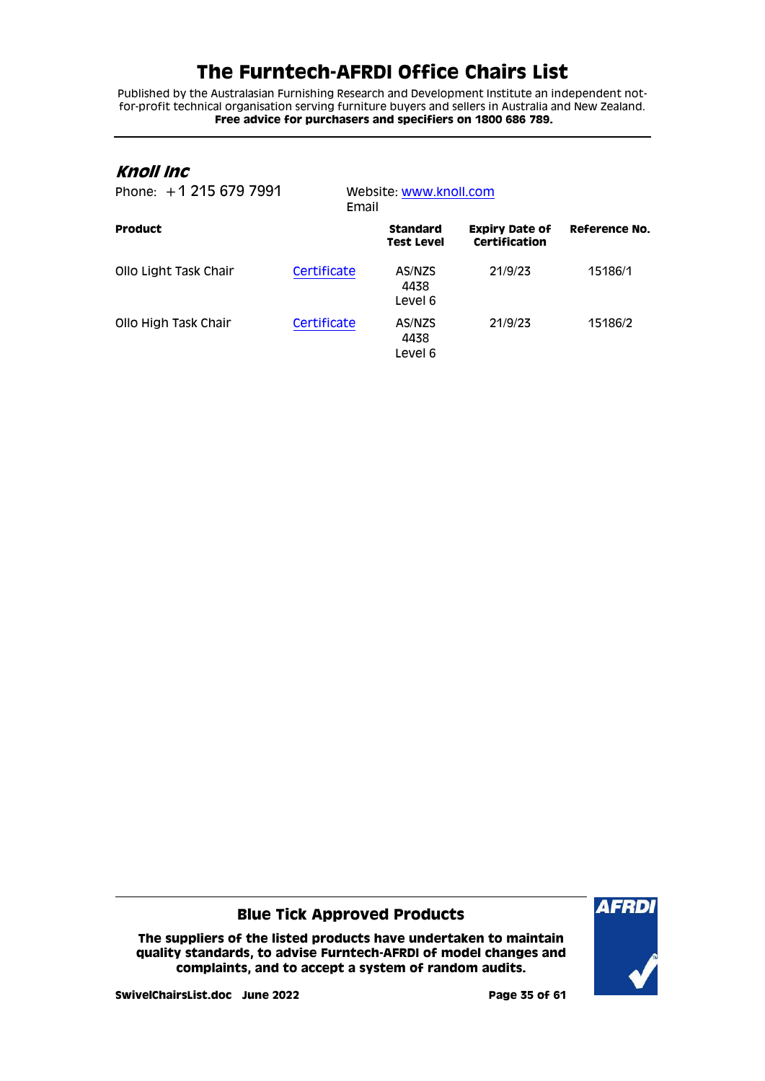Published by the Australasian Furnishing Research and Development Institute an independent notfor-profit technical organisation serving furniture buyers and sellers in Australia and New Zealand. **Free advice for purchasers and specifiers on 1800 686 789.**

### <span id="page-34-0"></span>**Knoll Inc**

| Phone: $+12156797991$ |             | Website: www.knoll.com<br>Email      |                                        |               |  |
|-----------------------|-------------|--------------------------------------|----------------------------------------|---------------|--|
| <b>Product</b>        |             | <b>Standard</b><br><b>Test Level</b> | <b>Expiry Date of</b><br>Certification | Reference No. |  |
| Ollo Light Task Chair | Certificate | AS/NZS<br>4438<br>Level 6            | 21/9/23                                | 15186/1       |  |
| Ollo High Task Chair  | Certificate | AS/NZS<br>4438<br>Level 6            | 21/9/23                                | 15186/2       |  |

### **Blue Tick Approved Products**

**The suppliers of the listed products have undertaken to maintain quality standards, to advise Furntech-AFRDI of model changes and complaints, and to accept a system of random audits.**



**SwivelChairsList.doc June 2022 Page 35 of 61**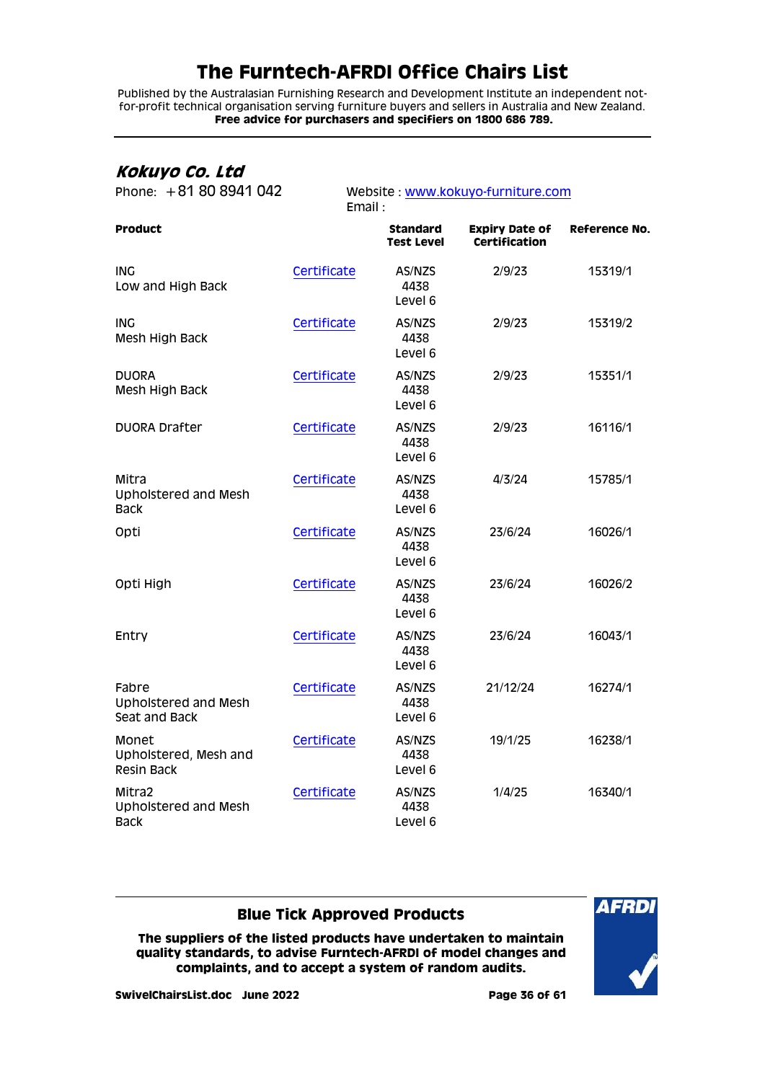Published by the Australasian Furnishing Research and Development Institute an independent notfor-profit technical organisation serving furniture buyers and sellers in Australia and New Zealand. **Free advice for purchasers and specifiers on 1800 686 789.**

## <span id="page-35-0"></span>**Kokuyo Co. Ltd**

| Phone: +81 80 8941 042                               | Website: www.kokuyo-furniture.com |                                      |                                               |               |  |
|------------------------------------------------------|-----------------------------------|--------------------------------------|-----------------------------------------------|---------------|--|
|                                                      | Email:                            |                                      |                                               |               |  |
| <b>Product</b>                                       |                                   | <b>Standard</b><br><b>Test Level</b> | <b>Expiry Date of</b><br><b>Certification</b> | Reference No. |  |
| <b>ING</b><br>Low and High Back                      | Certificate                       | AS/NZS<br>4438<br>Level 6            | 2/9/23                                        | 15319/1       |  |
| <b>ING</b><br>Mesh High Back                         | Certificate                       | AS/NZS<br>4438<br>Level 6            | 2/9/23                                        | 15319/2       |  |
| <b>DUORA</b><br>Mesh High Back                       | Certificate                       | AS/NZS<br>4438<br>Level 6            | 2/9/23                                        | 15351/1       |  |
| <b>DUORA Drafter</b>                                 | Certificate                       | AS/NZS<br>4438<br>Level 6            | 2/9/23                                        | 16116/1       |  |
| Mitra<br><b>Upholstered and Mesh</b><br><b>Back</b>  | Certificate                       | AS/NZS<br>4438<br>Level 6            | 4/3/24                                        | 15785/1       |  |
| Opti                                                 | Certificate                       | AS/NZS<br>4438<br>Level 6            | 23/6/24                                       | 16026/1       |  |
| Opti High                                            | Certificate                       | AS/NZS<br>4438<br>Level 6            | 23/6/24                                       | 16026/2       |  |
| Entry                                                | Certificate                       | AS/NZS<br>4438<br>Level 6            | 23/6/24                                       | 16043/1       |  |
| Fabre<br>Upholstered and Mesh<br>Seat and Back       | Certificate                       | AS/NZS<br>4438<br>Level 6            | 21/12/24                                      | 16274/1       |  |
| Monet<br>Upholstered, Mesh and<br><b>Resin Back</b>  | Certificate                       | AS/NZS<br>4438<br>Level 6            | 19/1/25                                       | 16238/1       |  |
| Mitra2<br><b>Upholstered and Mesh</b><br><b>Back</b> | Certificate                       | AS/NZS<br>4438<br>Level 6            | 1/4/25                                        | 16340/1       |  |

### **Blue Tick Approved Products**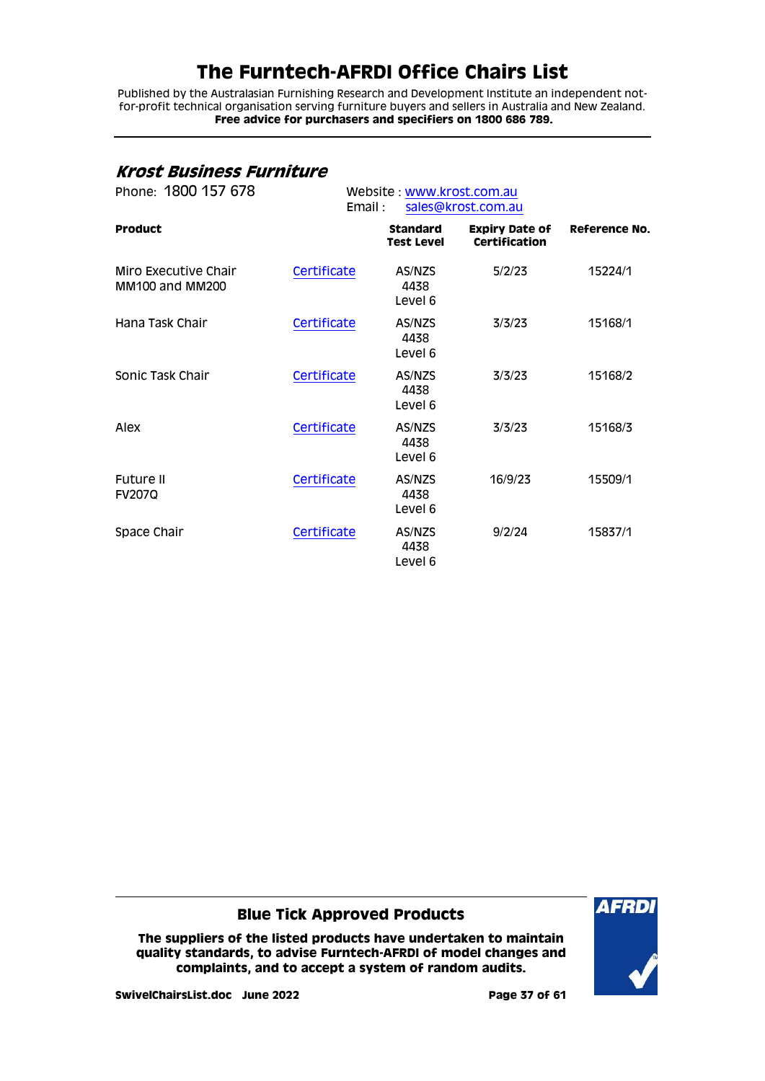Published by the Australasian Furnishing Research and Development Institute an independent notfor-profit technical organisation serving furniture buyers and sellers in Australia and New Zealand. **Free advice for purchasers and specifiers on 1800 686 789.**

### <span id="page-36-0"></span>**Krost Business Furniture**

| Phone: 1800 157 678                            | Website: www.krost.com.au<br>Email:<br>sales@krost.com.au |                                      |                                               |               |  |
|------------------------------------------------|-----------------------------------------------------------|--------------------------------------|-----------------------------------------------|---------------|--|
| <b>Product</b>                                 |                                                           | <b>Standard</b><br><b>Test Level</b> | <b>Expiry Date of</b><br><b>Certification</b> | Reference No. |  |
| Miro Executive Chair<br><b>MM100 and MM200</b> | Certificate                                               | AS/NZS<br>4438<br>Level 6            | 5/2/23                                        | 15224/1       |  |
| Hana Task Chair                                | Certificate                                               | AS/NZS<br>4438<br>Level 6            | 3/3/23                                        | 15168/1       |  |
| Sonic Task Chair                               | Certificate                                               | AS/NZS<br>4438<br>Level 6            | 3/3/23                                        | 15168/2       |  |
| Alex                                           | Certificate                                               | AS/NZS<br>4438<br>Level 6            | 3/3/23                                        | 15168/3       |  |
| <b>Future II</b><br><b>FV2070</b>              | Certificate                                               | AS/NZS<br>4438<br>Level 6            | 16/9/23                                       | 15509/1       |  |
| Space Chair                                    | Certificate                                               | AS/NZS<br>4438<br>Level 6            | 9/2/24                                        | 15837/1       |  |

**Blue Tick Approved Products**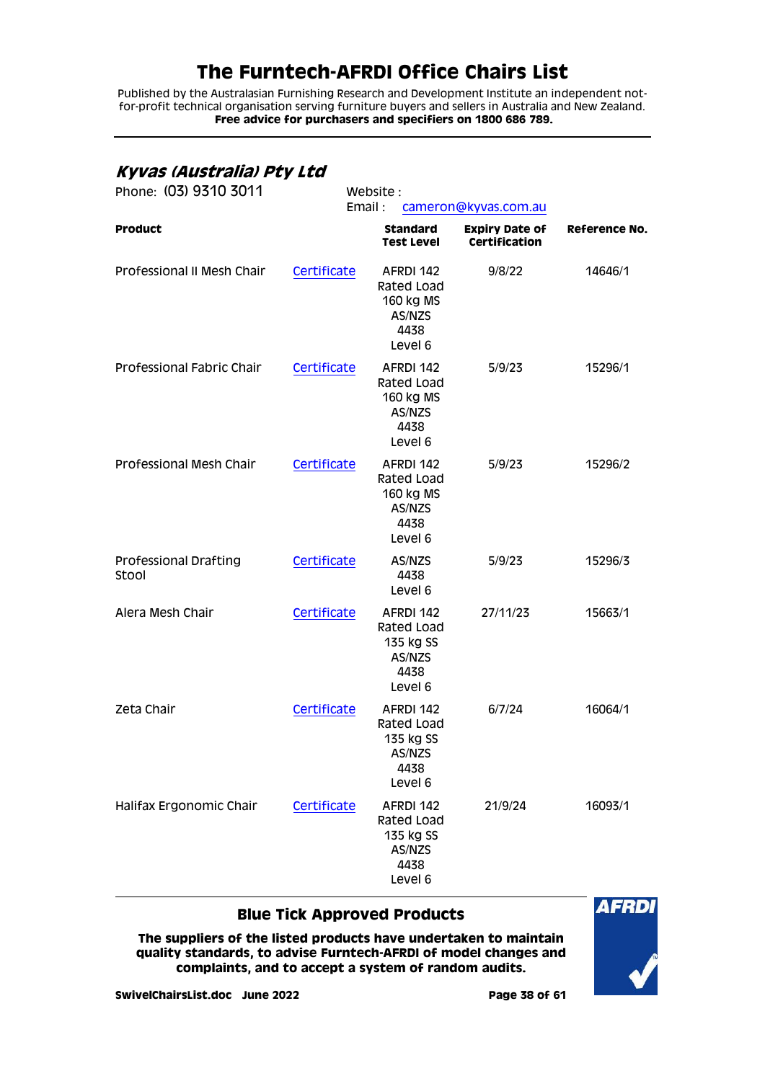Published by the Australasian Furnishing Research and Development Institute an independent notfor-profit technical organisation serving furniture buyers and sellers in Australia and New Zealand. **Free advice for purchasers and specifiers on 1800 686 789.**

## <span id="page-37-0"></span>**Kyvas (Australia) Pty Ltd**

| Phone: (03) 9310 3011          | Website:<br>Email: |                                                                   |                                               |                      |
|--------------------------------|--------------------|-------------------------------------------------------------------|-----------------------------------------------|----------------------|
| Product                        |                    | Standard<br><b>Test Level</b>                                     | <b>Expiry Date of</b><br><b>Certification</b> | <b>Reference No.</b> |
| Professional II Mesh Chair     | Certificate        | AFRDI 142<br>Rated Load<br>160 kg MS<br>AS/NZS<br>4438<br>Level 6 | 9/8/22                                        | 14646/1              |
| Professional Fabric Chair      | Certificate        | AFRDI 142<br>Rated Load<br>160 kg MS<br>AS/NZS<br>4438<br>Level 6 | 5/9/23                                        | 15296/1              |
| Professional Mesh Chair        | Certificate        | AFRDI 142<br>Rated Load<br>160 kg MS<br>AS/NZS<br>4438<br>Level 6 | 5/9/23                                        | 15296/2              |
| Professional Drafting<br>Stool | Certificate        | AS/NZS<br>4438<br>Level 6                                         | 5/9/23                                        | 15296/3              |
| Alera Mesh Chair               | Certificate        | AFRDI 142<br>Rated Load<br>135 kg SS<br>AS/NZS<br>4438<br>Level 6 | 27/11/23                                      | 15663/1              |
| Zeta Chair                     | Certificate        | AFRDI 142<br>Rated Load<br>135 kg SS<br>AS/NZS<br>4438<br>Level 6 | 6/7/24                                        | 16064/1              |
| Halifax Ergonomic Chair        | Certificate        | AFRDI 142<br>Rated Load<br>135 kg SS<br>AS/NZS<br>4438<br>Level 6 | 21/9/24                                       | 16093/1              |

### **Blue Tick Approved Products**

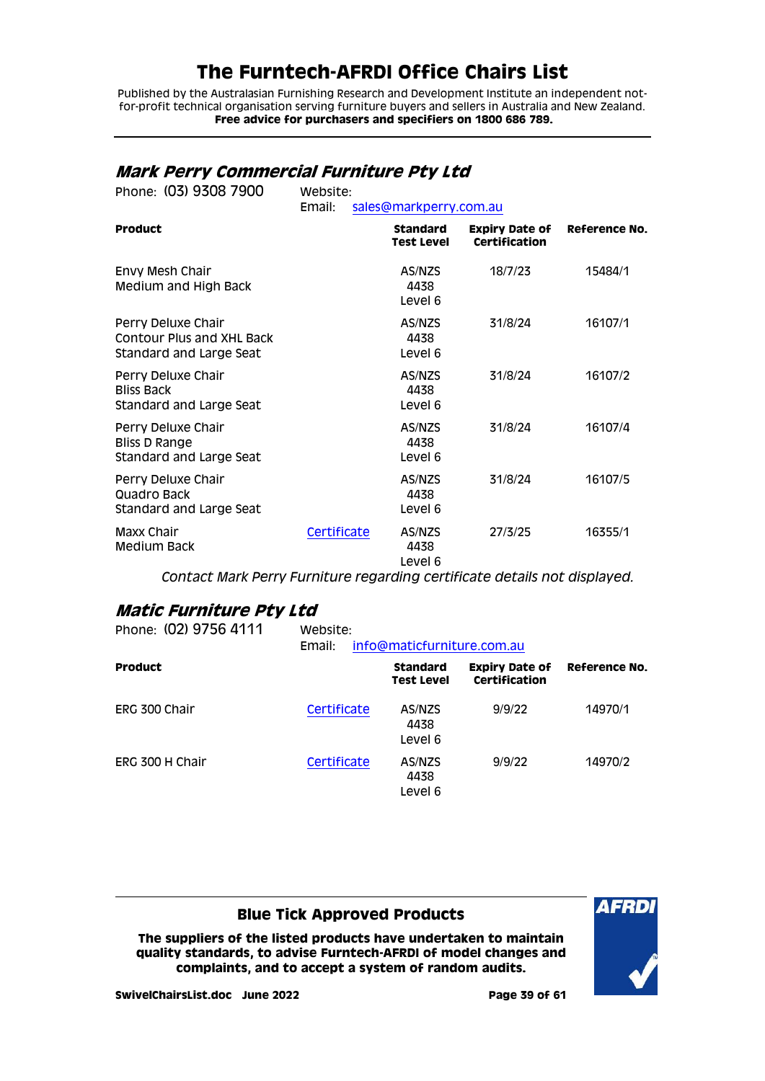Published by the Australasian Furnishing Research and Development Institute an independent notfor-profit technical organisation serving furniture buyers and sellers in Australia and New Zealand. **Free advice for purchasers and specifiers on 1800 686 789.**

## <span id="page-38-0"></span>**Mark Perry Commercial Furniture Pty Ltd**

| Phone: (03) 9308 7900                                                             | Website:<br>Email: | sales@markperry.com.au               |                                               |               |  |
|-----------------------------------------------------------------------------------|--------------------|--------------------------------------|-----------------------------------------------|---------------|--|
| <b>Product</b>                                                                    |                    | <b>Standard</b><br><b>Test Level</b> | <b>Expiry Date of</b><br><b>Certification</b> | Reference No. |  |
| Envy Mesh Chair<br>Medium and High Back                                           |                    | AS/NZS<br>4438<br>Level 6            | 18/7/23                                       | 15484/1       |  |
| Perry Deluxe Chair<br><b>Contour Plus and XHL Back</b><br>Standard and Large Seat |                    | AS/NZS<br>4438<br>Level 6            | 31/8/24                                       | 16107/1       |  |
| Perry Deluxe Chair<br><b>Bliss Back</b><br>Standard and Large Seat                |                    | AS/NZS<br>4438<br>Level 6            | 31/8/24                                       | 16107/2       |  |
| Perry Deluxe Chair<br>Bliss D Range<br>Standard and Large Seat                    |                    | AS/NZS<br>4438<br>Level 6            | 31/8/24                                       | 16107/4       |  |
| Perry Deluxe Chair<br>Quadro Back<br>Standard and Large Seat                      |                    | AS/NZS<br>4438<br>Level 6            | 31/8/24                                       | 16107/5       |  |
| Maxx Chair<br>Medium Back                                                         | Certificate        | AS/NZS<br>4438<br>Level 6            | 27/3/25                                       | 16355/1       |  |

*Contact Mark Perry Furniture regarding certificate details not displayed.*

## <span id="page-38-1"></span>**Matic Furniture Pty Ltd**

| Phone: (02) 9756 4111 | Website:<br>info@maticfurniture.com.au<br>Email: |                                      |                                               |               |  |
|-----------------------|--------------------------------------------------|--------------------------------------|-----------------------------------------------|---------------|--|
| <b>Product</b>        |                                                  | <b>Standard</b><br><b>Test Level</b> | <b>Expiry Date of</b><br><b>Certification</b> | Reference No. |  |
| ERG 300 Chair         | Certificate                                      | AS/NZS<br>4438<br>Level 6            | 9/9/22                                        | 14970/1       |  |
| ERG 300 H Chair       | Certificate                                      | AS/NZS<br>4438<br>Level 6            | 9/9/22                                        | 14970/2       |  |

### **Blue Tick Approved Products**

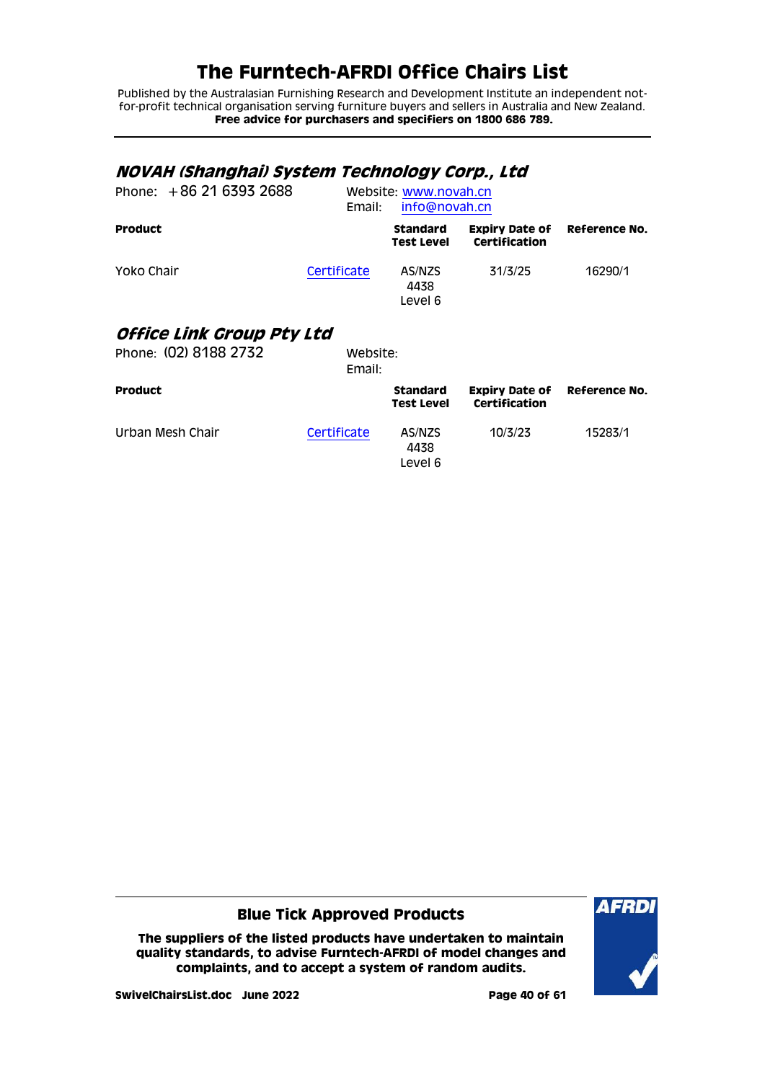Published by the Australasian Furnishing Research and Development Institute an independent notfor-profit technical organisation serving furniture buyers and sellers in Australia and New Zealand. **Free advice for purchasers and specifiers on 1800 686 789.**

<span id="page-39-1"></span><span id="page-39-0"></span>

| NOVAH (Shanghai) System Technology Corp., Ltd<br>Phone: $+862163932688$ | Email:             | Website: www.novah.cn<br>info@novah.cn |                                                             |         |
|-------------------------------------------------------------------------|--------------------|----------------------------------------|-------------------------------------------------------------|---------|
| <b>Product</b>                                                          |                    | Standard<br>Test Level                 | <b>Expiry Date of Reference No.</b><br><b>Certification</b> |         |
| Yoko Chair                                                              | Certificate        | AS/NZS<br>4438<br>Level 6              | 31/3/25                                                     | 16290/1 |
| Office Link Group Pty Ltd                                               |                    |                                        |                                                             |         |
| Phone: (02) 8188 2732                                                   | Website:<br>Email: |                                        |                                                             |         |
| Product                                                                 |                    | <b>Standard</b><br><b>Test Level</b>   | <b>Expiry Date of Reference No.</b><br><b>Certification</b> |         |
| Urban Mesh Chair                                                        | Certificate        | AS/NZS<br>4438<br>Level 6              | 10/3/23                                                     | 15283/1 |

**Blue Tick Approved Products**

**The suppliers of the listed products have undertaken to maintain quality standards, to advise Furntech-AFRDI of model changes and complaints, and to accept a system of random audits.**



**SwivelChairsList.doc June 2022 Page 40 of 61**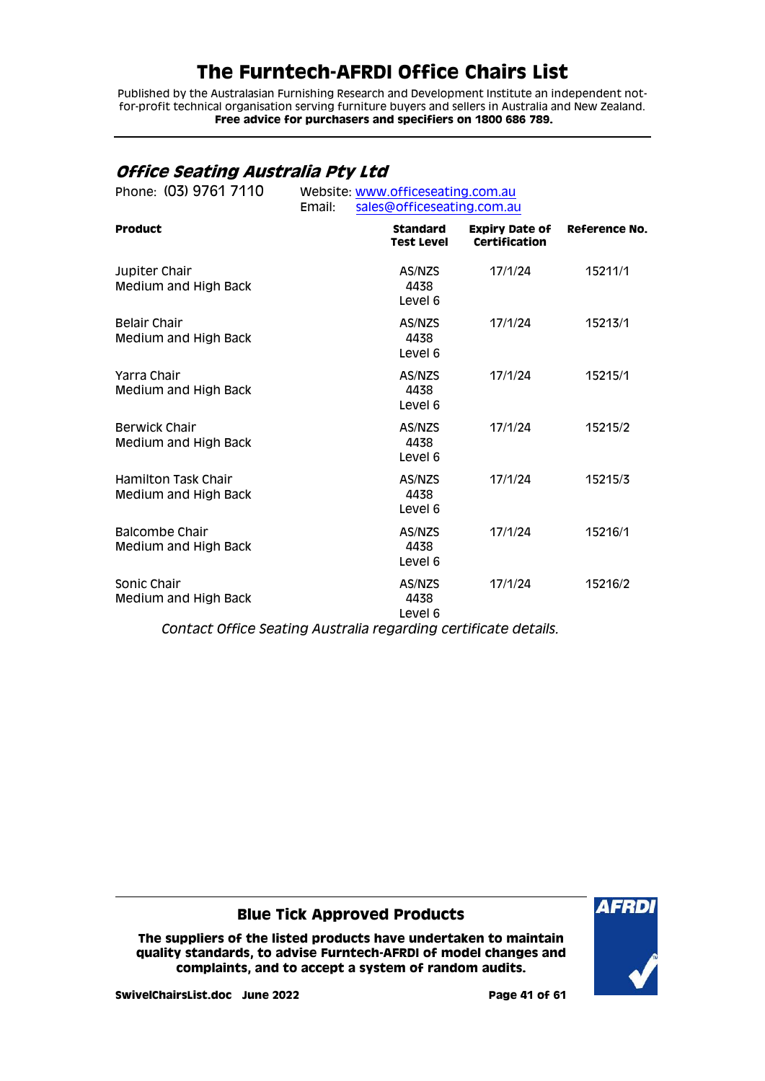Published by the Australasian Furnishing Research and Development Institute an independent notfor-profit technical organisation serving furniture buyers and sellers in Australia and New Zealand. **Free advice for purchasers and specifiers on 1800 686 789.**

## <span id="page-40-0"></span>**Office Seating Australia Pty Ltd**

| Phone: (03) 9761 7110                              | Website: www.officeseating.com.au<br>sales@officeseating.com.au<br>Email: |                                      |                                               |                      |  |
|----------------------------------------------------|---------------------------------------------------------------------------|--------------------------------------|-----------------------------------------------|----------------------|--|
| <b>Product</b>                                     |                                                                           | <b>Standard</b><br><b>Test Level</b> | <b>Expiry Date of</b><br><b>Certification</b> | <b>Reference No.</b> |  |
| Jupiter Chair<br>Medium and High Back              |                                                                           | AS/NZS<br>4438<br>Level 6            | 17/1/24                                       | 15211/1              |  |
| <b>Belair Chair</b><br>Medium and High Back        |                                                                           | AS/NZS<br>4438<br>Level 6            | 17/1/24                                       | 15213/1              |  |
| Yarra Chair<br>Medium and High Back                |                                                                           | AS/NZS<br>4438<br>Level 6            | 17/1/24                                       | 15215/1              |  |
| <b>Berwick Chair</b><br>Medium and High Back       |                                                                           | AS/NZS<br>4438<br>Level 6            | 17/1/24                                       | 15215/2              |  |
| <b>Hamilton Task Chair</b><br>Medium and High Back |                                                                           | AS/NZS<br>4438<br>Level 6            | 17/1/24                                       | 15215/3              |  |
| Balcombe Chair<br>Medium and High Back             |                                                                           | AS/NZS<br>4438<br>Level 6            | 17/1/24                                       | 15216/1              |  |
| Sonic Chair<br>Medium and High Back                |                                                                           | AS/NZS<br>4438<br>Level 6            | 17/1/24                                       | 15216/2              |  |

*Contact Office Seating Australia regarding certificate details.*

**Blue Tick Approved Products**

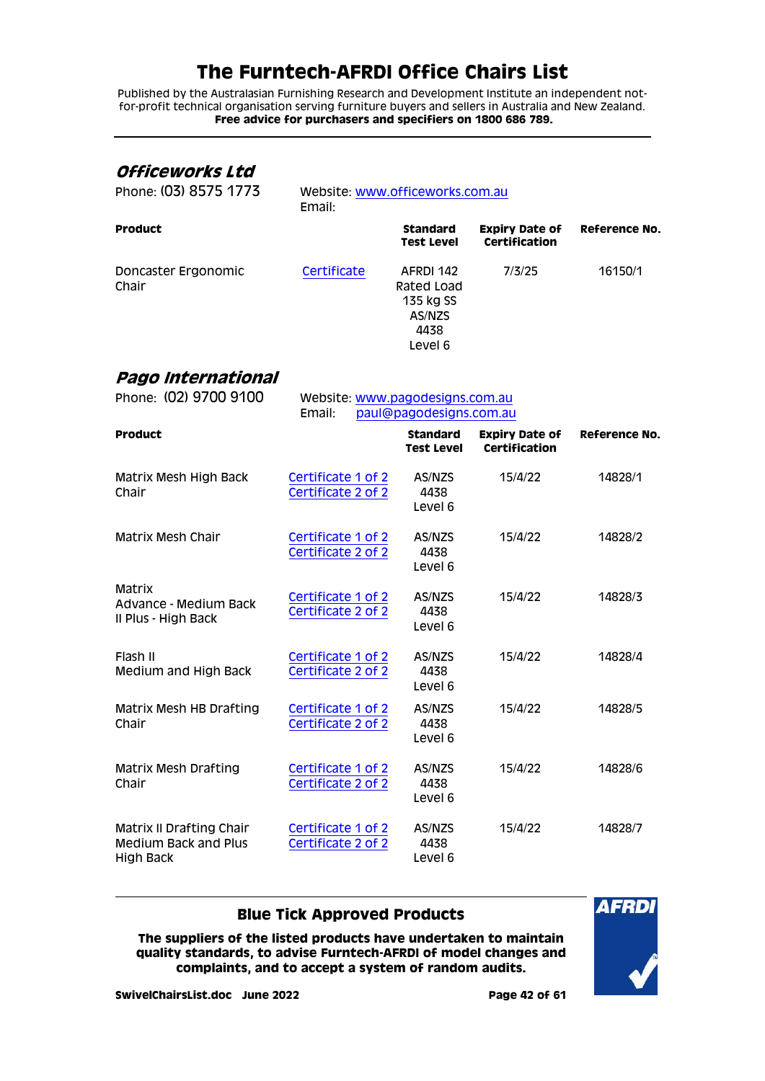Published by the Australasian Furnishing Research and Development Institute an independent notfor-profit technical organisation serving furniture buyers and sellers in Australia and New Zealand. **Free advice for purchasers and specifiers on 1800 686 789.**

### <span id="page-41-0"></span>**Officeworks Ltd**

| Phone: (03) 8575 1773        | Email:      | Website: www.officeworks.com.au                                   |                                        |               |
|------------------------------|-------------|-------------------------------------------------------------------|----------------------------------------|---------------|
| <b>Product</b>               |             | <b>Standard</b><br><b>Test Level</b>                              | <b>Expiry Date of</b><br>Certification | Reference No. |
| Doncaster Ergonomic<br>Chair | Certificate | AFRDI 142<br>Rated Load<br>135 kg SS<br>AS/NZS<br>4438<br>Level 6 | 7/3/25                                 | 16150/1       |

### <span id="page-41-1"></span>**Pago International**

| Phone: (02) 9700 9100                                                              | Website: www.pagodesigns.com.au<br>Email:<br>paul@pagodesigns.com.au |                                      |                                               |                      |
|------------------------------------------------------------------------------------|----------------------------------------------------------------------|--------------------------------------|-----------------------------------------------|----------------------|
| <b>Product</b>                                                                     |                                                                      | <b>Standard</b><br><b>Test Level</b> | <b>Expiry Date of</b><br><b>Certification</b> | <b>Reference No.</b> |
| Matrix Mesh High Back<br>Chair                                                     | Certificate 1 of 2<br>Certificate 2 of 2                             | AS/NZS<br>4438<br>Level 6            | 15/4/22                                       | 14828/1              |
| Matrix Mesh Chair                                                                  | Certificate 1 of 2<br>Certificate 2 of 2                             | AS/NZS<br>4438<br>Level 6            | 15/4/22                                       | 14828/2              |
| Matrix<br>Advance - Medium Back<br>Il Plus - High Back                             | Certificate 1 of 2<br>Certificate 2 of 2                             | AS/NZS<br>4438<br>Level 6            | 15/4/22                                       | 14828/3              |
| Flash II<br>Medium and High Back                                                   | Certificate 1 of 2<br>Certificate 2 of 2                             | AS/NZS<br>4438<br>Level 6            | 15/4/22                                       | 14828/4              |
| Matrix Mesh HB Drafting<br>Chair                                                   | Certificate 1 of 2<br>Certificate 2 of 2                             | AS/NZS<br>4438<br>Level 6            | 15/4/22                                       | 14828/5              |
| <b>Matrix Mesh Drafting</b><br>Chair                                               | Certificate 1 of 2<br>Certificate 2 of 2                             | AS/NZS<br>4438<br>Level 6            | 15/4/22                                       | 14828/6              |
| <b>Matrix II Drafting Chair</b><br><b>Medium Back and Plus</b><br><b>High Back</b> | Certificate 1 of 2<br>Certificate 2 of 2                             | AS/NZS<br>4438<br>Level 6            | 15/4/22                                       | 14828/7              |

### **Blue Tick Approved Products**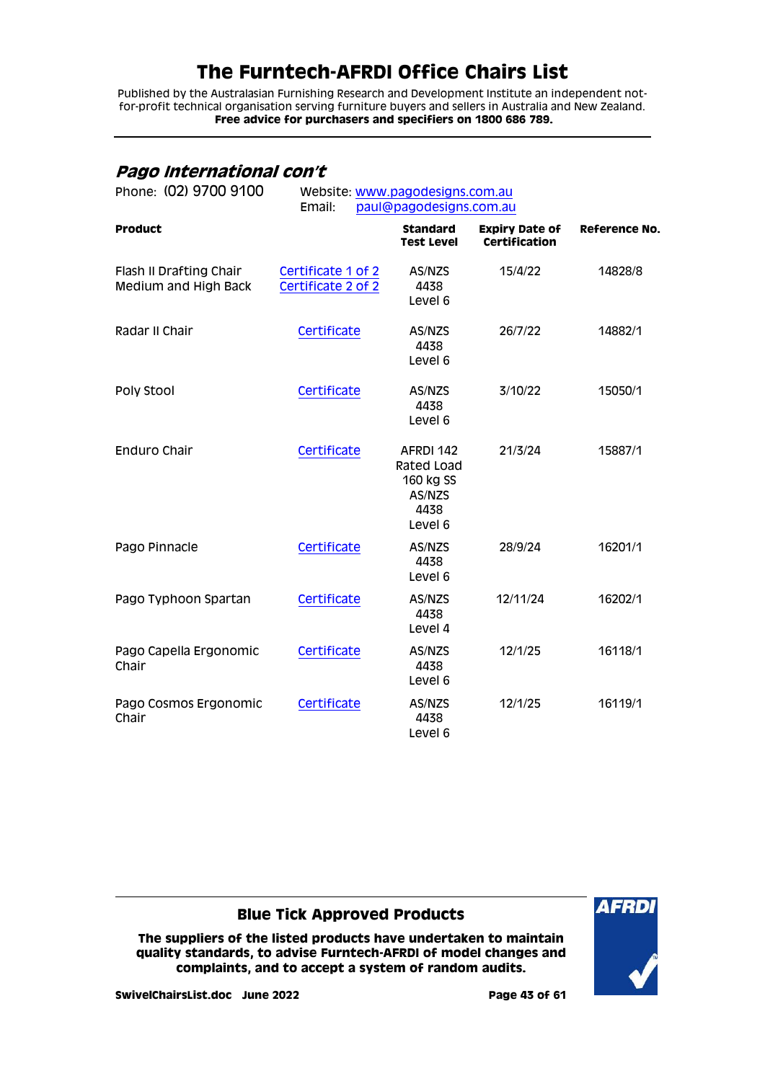Published by the Australasian Furnishing Research and Development Institute an independent notfor-profit technical organisation serving furniture buyers and sellers in Australia and New Zealand. **Free advice for purchasers and specifiers on 1800 686 789.**

## <span id="page-42-0"></span>**Pago International con't**

| Phone: (02) 9700 9100                           | Website: www.pagodesigns.com.au<br>Email:<br>paul@pagodesigns.com.au |                                                                   |                                               |                      |
|-------------------------------------------------|----------------------------------------------------------------------|-------------------------------------------------------------------|-----------------------------------------------|----------------------|
| <b>Product</b>                                  |                                                                      | <b>Standard</b><br><b>Test Level</b>                              | <b>Expiry Date of</b><br><b>Certification</b> | <b>Reference No.</b> |
| Flash II Drafting Chair<br>Medium and High Back | Certificate 1 of 2<br>Certificate 2 of 2                             | AS/NZS<br>4438<br>Level 6                                         | 15/4/22                                       | 14828/8              |
| Radar II Chair                                  | Certificate                                                          | AS/NZS<br>4438<br>Level 6                                         | 26/7/22                                       | 14882/1              |
| Poly Stool                                      | Certificate                                                          | AS/NZS<br>4438<br>Level 6                                         | 3/10/22                                       | 15050/1              |
| Enduro Chair                                    | Certificate                                                          | AFRDI 142<br>Rated Load<br>160 kg SS<br>AS/NZS<br>4438<br>Level 6 | 21/3/24                                       | 15887/1              |
| Pago Pinnacle                                   | Certificate                                                          | AS/NZS<br>4438<br>Level 6                                         | 28/9/24                                       | 16201/1              |
| Pago Typhoon Spartan                            | Certificate                                                          | AS/NZS<br>4438<br>Level 4                                         | 12/11/24                                      | 16202/1              |
| Pago Capella Ergonomic<br>Chair                 | Certificate                                                          | AS/NZS<br>4438<br>Level 6                                         | 12/1/25                                       | 16118/1              |
| Pago Cosmos Ergonomic<br>Chair                  | Certificate                                                          | AS/NZS<br>4438<br>Level 6                                         | 12/1/25                                       | 16119/1              |

### **Blue Tick Approved Products**

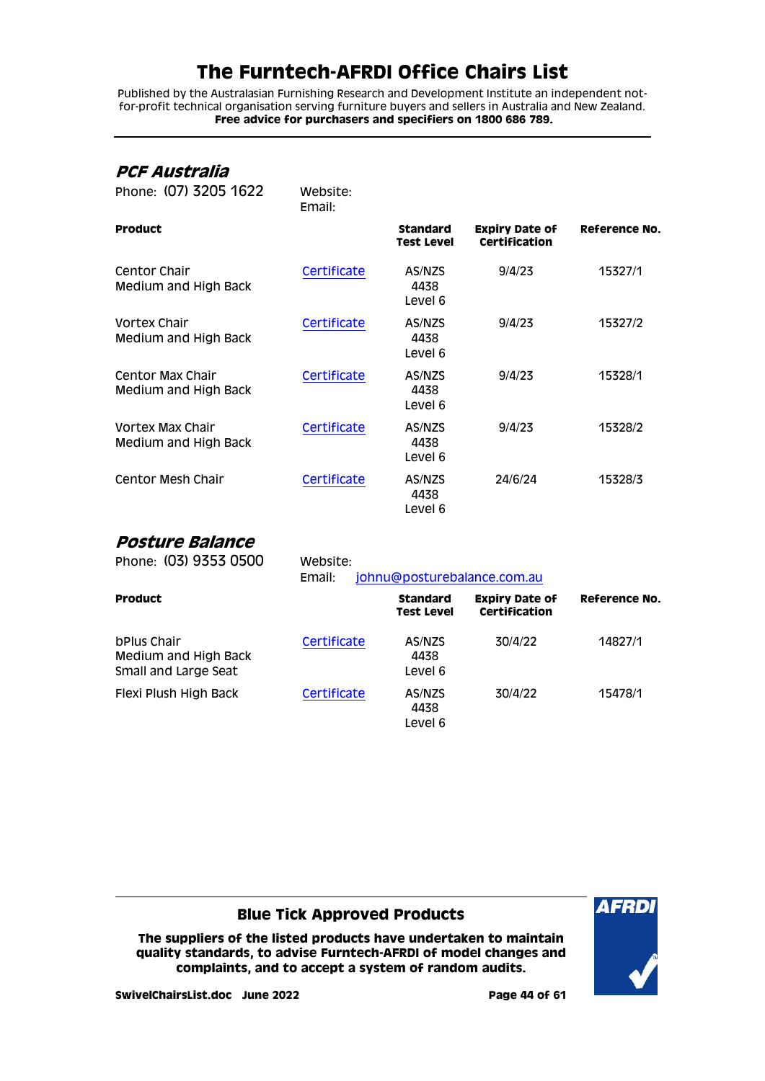Published by the Australasian Furnishing Research and Development Institute an independent notfor-profit technical organisation serving furniture buyers and sellers in Australia and New Zealand. **Free advice for purchasers and specifiers on 1800 686 789.**

## <span id="page-43-0"></span>**PCF Australia**

| Phone: (07) 3205 1622                    | Website:<br>Email: |                                      |                                               |               |
|------------------------------------------|--------------------|--------------------------------------|-----------------------------------------------|---------------|
| <b>Product</b>                           |                    | <b>Standard</b><br><b>Test Level</b> | <b>Expiry Date of</b><br><b>Certification</b> | Reference No. |
| Centor Chair<br>Medium and High Back     | Certificate        | AS/NZS<br>4438<br>Level 6            | 9/4/23                                        | 15327/1       |
| Vortex Chair<br>Medium and High Back     | Certificate        | AS/NZS<br>4438<br>Level 6            | 9/4/23                                        | 15327/2       |
| Centor Max Chair<br>Medium and High Back | Certificate        | AS/NZS<br>4438<br>Level 6            | 9/4/23                                        | 15328/1       |
| Vortex Max Chair<br>Medium and High Back | Certificate        | AS/NZS<br>4438<br>Level 6            | 9/4/23                                        | 15328/2       |
| Centor Mesh Chair                        | Certificate        | AS/NZS<br>4438<br>Level 6            | 24/6/24                                       | 15328/3       |

## <span id="page-43-1"></span>**Posture Balance**

| Phone: (03) 9353 0500                                       | Website:<br>johnu@posturebalance.com.au<br>Email: |                                      |                                        |               |
|-------------------------------------------------------------|---------------------------------------------------|--------------------------------------|----------------------------------------|---------------|
| <b>Product</b>                                              |                                                   | <b>Standard</b><br><b>Test Level</b> | <b>Expiry Date of</b><br>Certification | Reference No. |
| bPlus Chair<br>Medium and High Back<br>Small and Large Seat | Certificate                                       | AS/NZS<br>4438<br>Level 6            | 30/4/22                                | 14827/1       |
| Flexi Plush High Back                                       | Certificate                                       | AS/NZS<br>4438<br>Level 6            | 30/4/22                                | 15478/1       |

### **Blue Tick Approved Products**

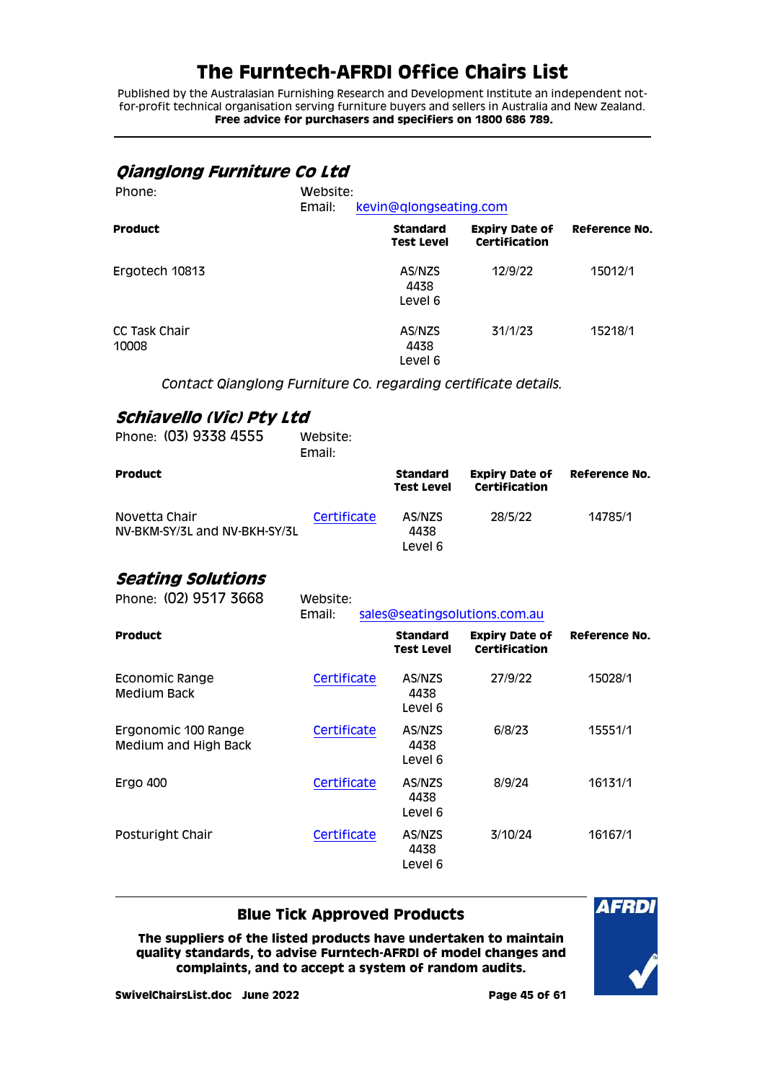Published by the Australasian Furnishing Research and Development Institute an independent notfor-profit technical organisation serving furniture buyers and sellers in Australia and New Zealand. **Free advice for purchasers and specifiers on 1800 686 789.**

## <span id="page-44-0"></span>**Qianglong Furniture Co Ltd**

| Phone:                 | Website:<br>Email: |                                      | kevin@qlongseating.com                 |               |  |
|------------------------|--------------------|--------------------------------------|----------------------------------------|---------------|--|
| <b>Product</b>         |                    | <b>Standard</b><br><b>Test Level</b> | <b>Expiry Date of</b><br>Certification | Reference No. |  |
| Ergotech 10813         |                    | AS/NZS<br>4438<br>Level 6            | 12/9/22                                | 15012/1       |  |
| CC Task Chair<br>10008 |                    | AS/NZS<br>4438<br>Level 6            | 31/1/23                                | 15218/1       |  |

*Contact Qianglong Furniture Co. regarding certificate details.*

## <span id="page-44-1"></span>**Schiavello (Vic) Pty Ltd**

| Phone: (03) 9338 4555                          | Website:<br>Email: |                                      |                                        |               |
|------------------------------------------------|--------------------|--------------------------------------|----------------------------------------|---------------|
| <b>Product</b>                                 |                    | <b>Standard</b><br><b>Test Level</b> | <b>Expiry Date of</b><br>Certification | Reference No. |
| Novetta Chair<br>NV-BKM-SY/3L and NV-BKH-SY/3L | Certificate        | AS/NZS<br>4438<br>Level 6            | 28/5/22                                | 14785/1       |

### <span id="page-44-2"></span>**Seating Solutions**

| Phone: (02) 9517 3668                       | Website:<br>Email: |                                      | sales@seatingsolutions.com.au          |                      |
|---------------------------------------------|--------------------|--------------------------------------|----------------------------------------|----------------------|
| Product                                     |                    | <b>Standard</b><br><b>Test Level</b> | <b>Expiry Date of</b><br>Certification | <b>Reference No.</b> |
| Economic Range<br>Medium Back               | Certificate        | AS/NZS<br>4438<br>Level 6            | 27/9/22                                | 15028/1              |
| Ergonomic 100 Range<br>Medium and High Back | Certificate        | AS/NZS<br>4438<br>Level 6            | 6/8/23                                 | 15551/1              |
| <b>Ergo 400</b>                             | Certificate        | AS/NZS<br>4438<br>Level 6            | 8/9/24                                 | 16131/1              |
| Posturight Chair                            | Certificate        | AS/NZS<br>4438<br>Level 6            | 3/10/24                                | 16167/1              |

### **Blue Tick Approved Products**

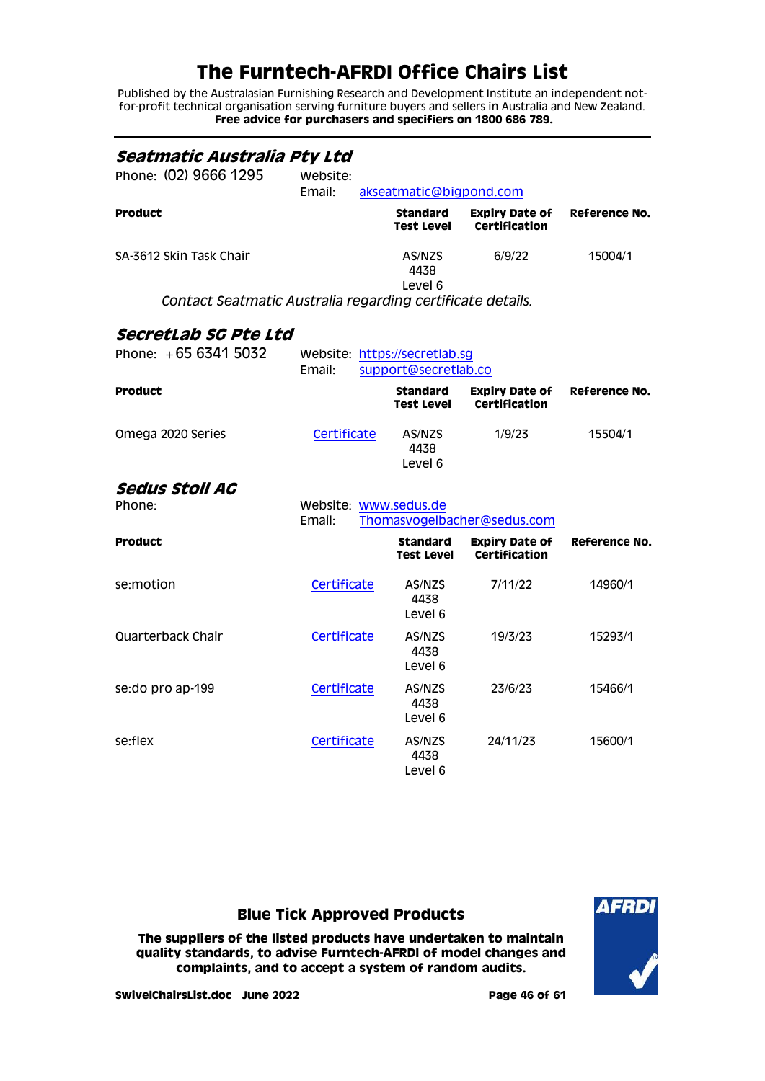Published by the Australasian Furnishing Research and Development Institute an independent notfor-profit technical organisation serving furniture buyers and sellers in Australia and New Zealand. **Free advice for purchasers and specifiers on 1800 686 789.**

<span id="page-45-2"></span><span id="page-45-1"></span><span id="page-45-0"></span>

| Seatmatic Australia Pty Ltd                                |                                               |  |                                                       |                                               |               |
|------------------------------------------------------------|-----------------------------------------------|--|-------------------------------------------------------|-----------------------------------------------|---------------|
| Phone: (02) 9666 1295                                      | Website:<br>Email:<br>akseatmatic@bigpond.com |  |                                                       |                                               |               |
| <b>Product</b>                                             |                                               |  | <b>Standard</b><br><b>Test Level</b>                  | <b>Expiry Date of</b><br><b>Certification</b> | Reference No. |
| SA-3612 Skin Task Chair                                    |                                               |  | AS/NZS<br>4438<br>Level 6                             | 6/9/22                                        | 15004/1       |
| Contact Seatmatic Australia regarding certificate details. |                                               |  |                                                       |                                               |               |
| SecretLab SG Pte Ltd                                       |                                               |  |                                                       |                                               |               |
| Phone: +65 6341 5032                                       | Email:                                        |  | Website: https://secretlab.sg<br>support@secretlab.co |                                               |               |
| <b>Product</b>                                             |                                               |  | <b>Standard</b><br><b>Test Level</b>                  | <b>Expiry Date of</b><br><b>Certification</b> | Reference No. |
| Omega 2020 Series                                          | Certificate                                   |  | AS/NZS<br>4438<br>Level 6                             | 1/9/23                                        | 15504/1       |
| <b>Sedus Stoll AG</b>                                      |                                               |  |                                                       |                                               |               |
| Phone:                                                     | Email:                                        |  | Website: www.sedus.de                                 | Thomasvogelbacher@sedus.com                   |               |
| <b>Product</b>                                             |                                               |  | <b>Standard</b><br><b>Test Level</b>                  | <b>Expiry Date of</b><br><b>Certification</b> | Reference No. |
| se:motion                                                  | Certificate                                   |  | AS/NZS<br>4438<br>Level 6                             | 7/11/22                                       | 14960/1       |
| Quarterback Chair                                          | Certificate                                   |  | AS/NZS<br>4438<br>Level 6                             | 19/3/23                                       | 15293/1       |
| se: do pro ap-199                                          | Certificate                                   |  | AS/NZS<br>4438<br>Level 6                             | 23/6/23                                       | 15466/1       |
| se:flex                                                    | Certificate                                   |  | AS/NZS<br>4438<br>Level 6                             | 24/11/23                                      | 15600/1       |

### **Blue Tick Approved Products**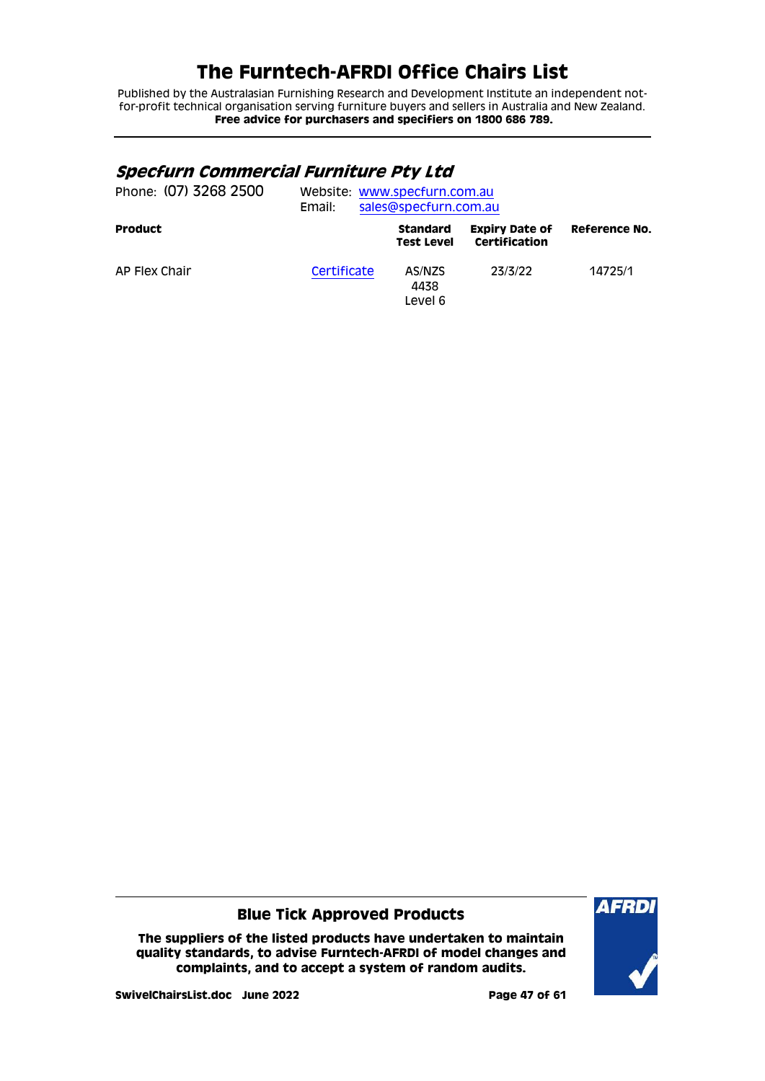Published by the Australasian Furnishing Research and Development Institute an independent notfor-profit technical organisation serving furniture buyers and sellers in Australia and New Zealand. **Free advice for purchasers and specifiers on 1800 686 789.**

## <span id="page-46-0"></span>**Specfurn Commercial Furniture Pty Ltd**

| Phone: (07) 3268 2500 | Email:      | Website: www.specfurn.com.au<br>sales@specfurn.com.au |                                        |                      |  |  |  |
|-----------------------|-------------|-------------------------------------------------------|----------------------------------------|----------------------|--|--|--|
| <b>Product</b>        |             | <b>Standard</b><br><b>Test Level</b>                  | <b>Expiry Date of</b><br>Certification | <b>Reference No.</b> |  |  |  |
| AP Flex Chair         | Certificate | AS/NZS<br>4438<br>Level 6                             | 23/3/22                                | 14725/1              |  |  |  |

### **Blue Tick Approved Products**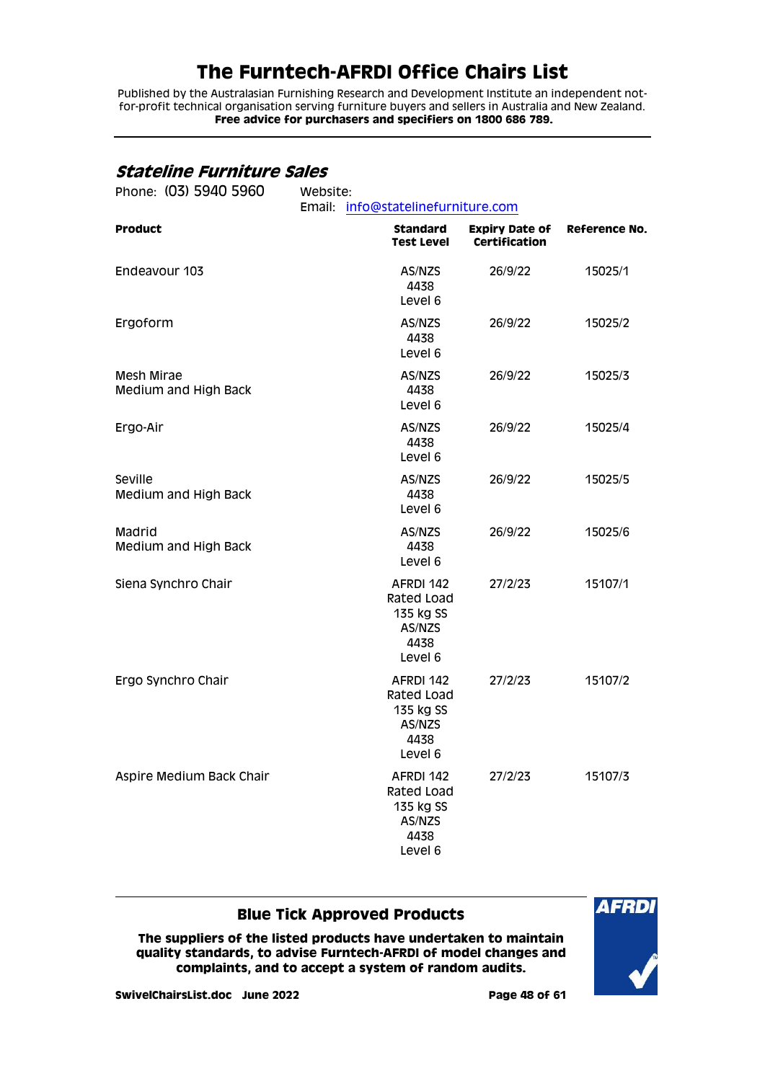Published by the Australasian Furnishing Research and Development Institute an independent notfor-profit technical organisation serving furniture buyers and sellers in Australia and New Zealand. **Free advice for purchasers and specifiers on 1800 686 789.**

## <span id="page-47-0"></span>**Stateline Furniture Sales**

| Phone: (03) 5940 5960              | Website:<br>Email: info@statelinefurniture.com |                                                                   |                                               |               |  |
|------------------------------------|------------------------------------------------|-------------------------------------------------------------------|-----------------------------------------------|---------------|--|
| <b>Product</b>                     |                                                | <b>Standard</b><br><b>Test Level</b>                              | <b>Expiry Date of</b><br><b>Certification</b> | Reference No. |  |
| Endeavour 103                      |                                                | AS/NZS<br>4438<br>Level 6                                         | 26/9/22                                       | 15025/1       |  |
| Ergoform                           |                                                | AS/NZS<br>4438<br>Level 6                                         | 26/9/22                                       | 15025/2       |  |
| Mesh Mirae<br>Medium and High Back |                                                | AS/NZS<br>4438<br>Level 6                                         | 26/9/22                                       | 15025/3       |  |
| Ergo-Air                           |                                                | AS/NZS<br>4438<br>Level 6                                         | 26/9/22                                       | 15025/4       |  |
| Seville<br>Medium and High Back    |                                                | AS/NZS<br>4438<br>Level 6                                         | 26/9/22                                       | 15025/5       |  |
| Madrid<br>Medium and High Back     |                                                | AS/NZS<br>4438<br>Level 6                                         | 26/9/22                                       | 15025/6       |  |
| Siena Synchro Chair                |                                                | AFRDI 142<br>Rated Load<br>135 kg SS<br>AS/NZS<br>4438<br>Level 6 | 27/2/23                                       | 15107/1       |  |
| Ergo Synchro Chair                 |                                                | AFRDI 142<br>Rated Load<br>135 kg SS<br>AS/NZS<br>4438<br>Level 6 | 27/2/23                                       | 15107/2       |  |
| Aspire Medium Back Chair           |                                                | AFRDI 142<br>Rated Load<br>135 kg SS<br>AS/NZS<br>4438<br>Level 6 | 27/2/23                                       | 15107/3       |  |

### **Blue Tick Approved Products**

**AFRDI**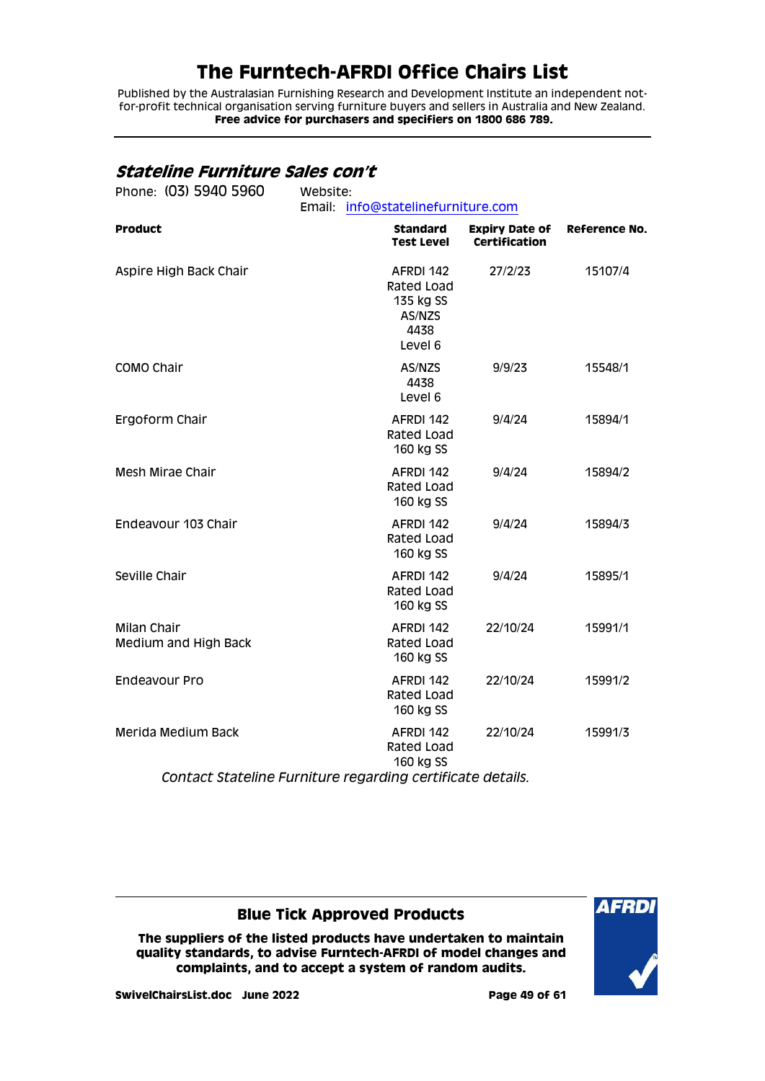Published by the Australasian Furnishing Research and Development Institute an independent notfor-profit technical organisation serving furniture buyers and sellers in Australia and New Zealand. **Free advice for purchasers and specifiers on 1800 686 789.**

### <span id="page-48-0"></span>**Stateline Furniture Sales con't**

| Phone: (03) 5940 5960                                      | Website: | Email: info@statelinefurniture.com                                |                                               |                      |
|------------------------------------------------------------|----------|-------------------------------------------------------------------|-----------------------------------------------|----------------------|
| <b>Product</b>                                             |          | <b>Standard</b><br><b>Test Level</b>                              | <b>Expiry Date of</b><br><b>Certification</b> | <b>Reference No.</b> |
| Aspire High Back Chair                                     |          | AFRDI 142<br>Rated Load<br>135 kg SS<br>AS/NZS<br>4438<br>Level 6 | 27/2/23                                       | 15107/4              |
| COMO Chair                                                 |          | AS/NZS<br>4438<br>Level 6                                         | 9/9/23                                        | 15548/1              |
| Ergoform Chair                                             |          | AFRDI 142<br>Rated Load<br>160 kg SS                              | 9/4/24                                        | 15894/1              |
| Mesh Mirae Chair                                           |          | AFRDI 142<br>Rated Load<br>160 kg SS                              | 9/4/24                                        | 15894/2              |
| Endeavour 103 Chair                                        |          | AFRDI 142<br>Rated Load<br>160 kg SS                              | 9/4/24                                        | 15894/3              |
| Seville Chair                                              |          | AFRDI 142<br>Rated Load<br>160 kg SS                              | 9/4/24                                        | 15895/1              |
| <b>Milan Chair</b><br>Medium and High Back                 |          | AFRDI 142<br>Rated Load<br>160 kg SS                              | 22/10/24                                      | 15991/1              |
| Endeavour Pro                                              |          | AFRDI 142<br>Rated Load<br>160 kg SS                              | 22/10/24                                      | 15991/2              |
| Merida Medium Back                                         |          | AFRDI 142<br>Rated Load<br>160 kg SS                              | 22/10/24                                      | 15991/3              |
| Contact Stateline Furniture regarding certificate details. |          |                                                                   |                                               |                      |

### **Blue Tick Approved Products**

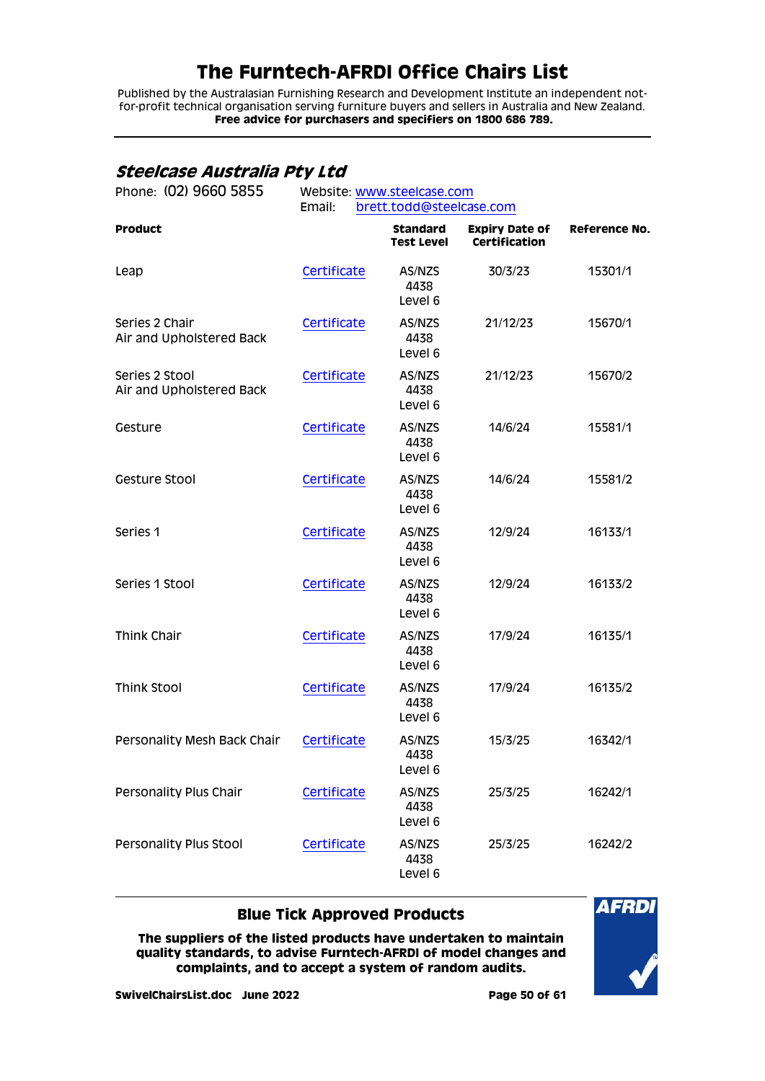Published by the Australasian Furnishing Research and Development Institute an independent notfor-profit technical organisation serving furniture buyers and sellers in Australia and New Zealand. **Free advice for purchasers and specifiers on 1800 686 789.**

## <span id="page-49-0"></span>**Steelcase Australia Pty Ltd**

| Phone: (02) 9660 5855                      | Website: www.steelcase.com<br>Email:<br>brett.todd@steelcase.com |                                      |                                               |                      |  |
|--------------------------------------------|------------------------------------------------------------------|--------------------------------------|-----------------------------------------------|----------------------|--|
| <b>Product</b>                             |                                                                  | <b>Standard</b><br><b>Test Level</b> | <b>Expiry Date of</b><br><b>Certification</b> | <b>Reference No.</b> |  |
| Leap                                       | Certificate                                                      | AS/NZS<br>4438<br>Level 6            | 30/3/23                                       | 15301/1              |  |
| Series 2 Chair<br>Air and Upholstered Back | Certificate                                                      | AS/NZS<br>4438<br>Level 6            | 21/12/23                                      | 15670/1              |  |
| Series 2 Stool<br>Air and Upholstered Back | Certificate                                                      | AS/NZS<br>4438<br>Level 6            | 21/12/23                                      | 15670/2              |  |
| Gesture                                    | Certificate                                                      | AS/NZS<br>4438<br>Level 6            | 14/6/24                                       | 15581/1              |  |
| Gesture Stool                              | Certificate                                                      | AS/NZS<br>4438<br>Level 6            | 14/6/24                                       | 15581/2              |  |
| Series 1                                   | Certificate                                                      | AS/NZS<br>4438<br>Level 6            | 12/9/24                                       | 16133/1              |  |
| Series 1 Stool                             | Certificate                                                      | AS/NZS<br>4438<br>Level 6            | 12/9/24                                       | 16133/2              |  |
| Think Chair                                | Certificate                                                      | AS/NZS<br>4438<br>Level 6            | 17/9/24                                       | 16135/1              |  |
| <b>Think Stool</b>                         | Certificate                                                      | AS/NZS<br>4438<br>Level 6            | 17/9/24                                       | 16135/2              |  |
| Personality Mesh Back Chair                | Certificate                                                      | AS/NZS<br>4438<br>Level 6            | 15/3/25                                       | 16342/1              |  |
| Personality Plus Chair                     | Certificate                                                      | AS/NZS<br>4438<br>Level 6            | 25/3/25                                       | 16242/1              |  |
| Personality Plus Stool                     | Certificate                                                      | AS/NZS<br>4438<br>Level 6            | 25/3/25                                       | 16242/2              |  |

### **Blue Tick Approved Products**

**The suppliers of the listed products have undertaken to maintain quality standards, to advise Furntech-AFRDI of model changes and complaints, and to accept a system of random audits.**

**AFRDI**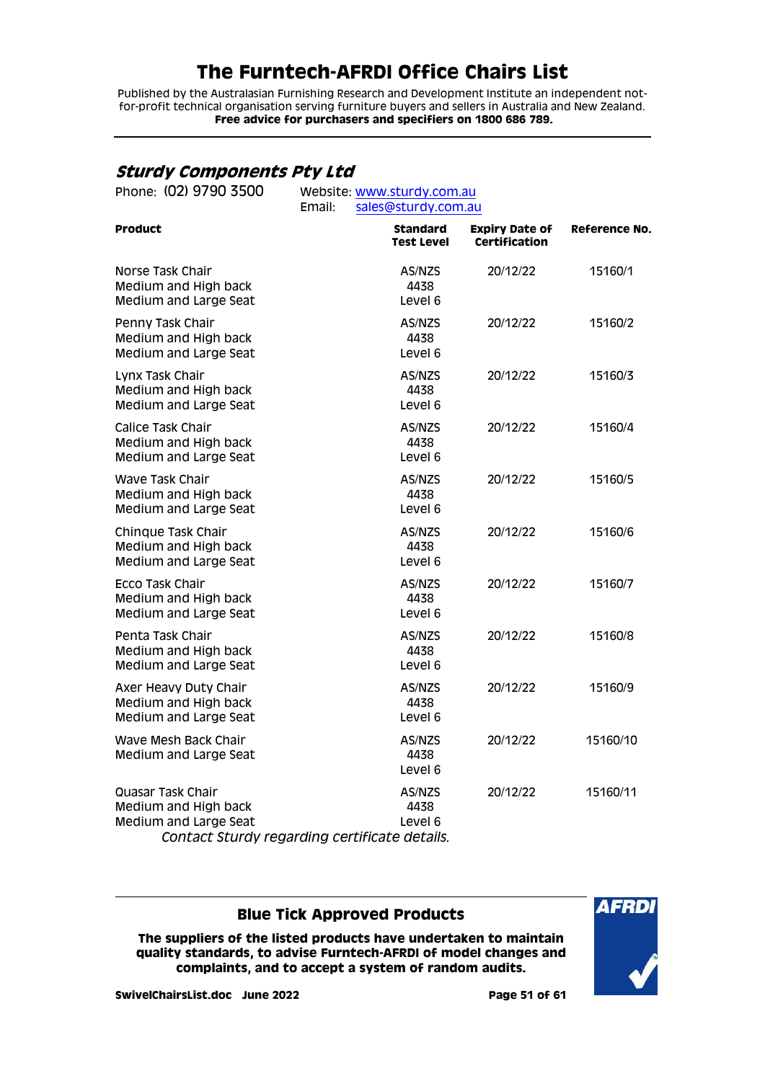Published by the Australasian Furnishing Research and Development Institute an independent notfor-profit technical organisation serving furniture buyers and sellers in Australia and New Zealand. **Free advice for purchasers and specifiers on 1800 686 789.**

## <span id="page-50-0"></span>**Sturdy Components Pty Ltd**

| Phone: (02) 9790 3500                                                                                               | Website: www.sturdy.com.au<br>Email:<br>sales@sturdy.com.au |                                      |                                        |                      |  |
|---------------------------------------------------------------------------------------------------------------------|-------------------------------------------------------------|--------------------------------------|----------------------------------------|----------------------|--|
| <b>Product</b>                                                                                                      |                                                             | <b>Standard</b><br><b>Test Level</b> | <b>Expiry Date of</b><br>Certification | <b>Reference No.</b> |  |
| Norse Task Chair<br>Medium and High back<br>Medium and Large Seat                                                   |                                                             | AS/NZS<br>4438<br>Level 6            | 20/12/22                               | 15160/1              |  |
| Penny Task Chair<br>Medium and High back<br>Medium and Large Seat                                                   |                                                             | AS/NZS<br>4438<br>Level 6            | 20/12/22                               | 15160/2              |  |
| Lynx Task Chair<br>Medium and High back<br>Medium and Large Seat                                                    |                                                             | AS/NZS<br>4438<br>Level 6            | 20/12/22                               | 15160/3              |  |
| Calice Task Chair<br>Medium and High back<br>Medium and Large Seat                                                  |                                                             | AS/NZS<br>4438<br>Level 6            | 20/12/22                               | 15160/4              |  |
| Wave Task Chair<br>Medium and High back<br>Medium and Large Seat                                                    |                                                             | AS/NZS<br>4438<br>Level 6            | 20/12/22                               | 15160/5              |  |
| Chinque Task Chair<br>Medium and High back<br>Medium and Large Seat                                                 |                                                             | AS/NZS<br>4438<br>Level 6            | 20/12/22                               | 15160/6              |  |
| Ecco Task Chair<br>Medium and High back<br>Medium and Large Seat                                                    |                                                             | AS/NZS<br>4438<br>Level 6            | 20/12/22                               | 15160/7              |  |
| Penta Task Chair<br>Medium and High back<br>Medium and Large Seat                                                   |                                                             | AS/NZS<br>4438<br>Level 6            | 20/12/22                               | 15160/8              |  |
| Axer Heavy Duty Chair<br>Medium and High back<br>Medium and Large Seat                                              |                                                             | AS/NZS<br>4438<br>Level 6            | 20/12/22                               | 15160/9              |  |
| Wave Mesh Back Chair<br>Medium and Large Seat                                                                       |                                                             | AS/NZS<br>4438<br>Level 6            | 20/12/22                               | 15160/10             |  |
| Quasar Task Chair<br>Medium and High back<br>Medium and Large Seat<br>Contact Sturdy regarding certificate details. |                                                             | AS/NZS<br>4438<br>Level 6            | 20/12/22                               | 15160/11             |  |

### **Blue Tick Approved Products**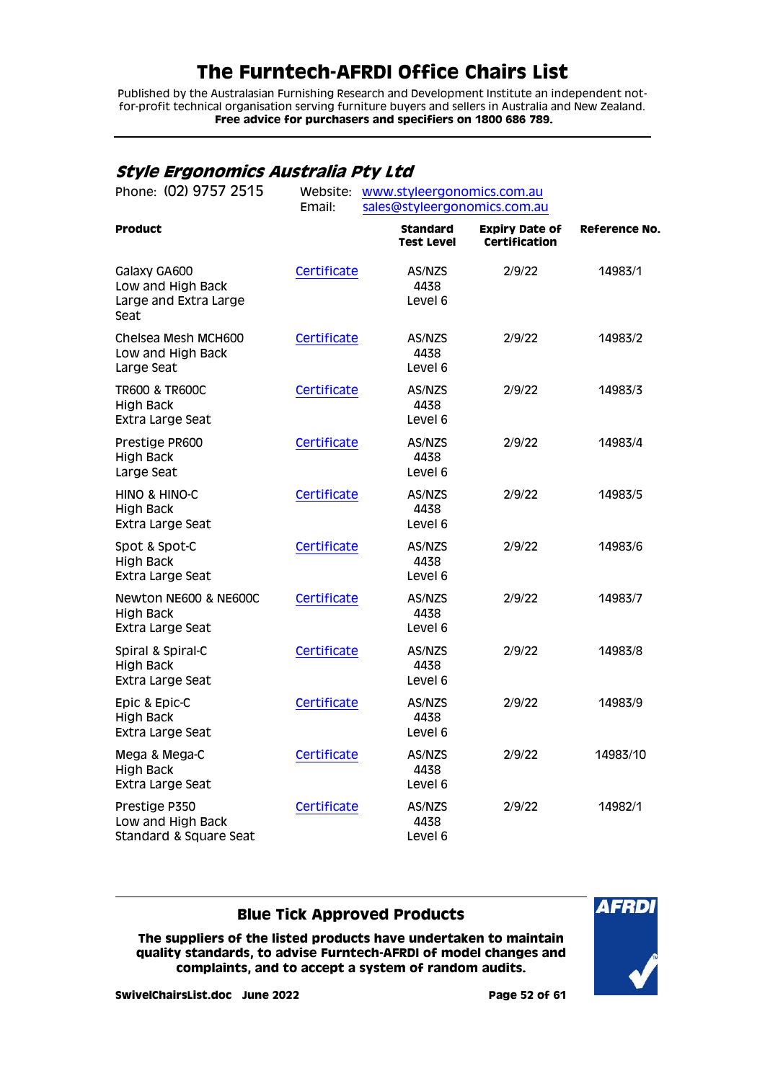Published by the Australasian Furnishing Research and Development Institute an independent notfor-profit technical organisation serving furniture buyers and sellers in Australia and New Zealand. **Free advice for purchasers and specifiers on 1800 686 789.**

## <span id="page-51-0"></span>**Style Ergonomics Australia Pty Ltd**

| Phone: (02) 9757 2515                                              | Website:    | www.styleergonomics.com.au           |                                               |                      |  |  |
|--------------------------------------------------------------------|-------------|--------------------------------------|-----------------------------------------------|----------------------|--|--|
|                                                                    | Email:      | sales@styleergonomics.com.au         |                                               |                      |  |  |
| <b>Product</b>                                                     |             | <b>Standard</b><br><b>Test Level</b> | <b>Expiry Date of</b><br><b>Certification</b> | <b>Reference No.</b> |  |  |
| Galaxy GA600<br>Low and High Back<br>Large and Extra Large<br>Seat | Certificate | AS/NZS<br>4438<br>Level 6            | 2/9/22                                        | 14983/1              |  |  |
| Chelsea Mesh MCH600<br>Low and High Back<br>Large Seat             | Certificate | AS/NZS<br>4438<br>Level 6            | 2/9/22                                        | 14983/2              |  |  |
| <b>TR600 &amp; TR600C</b><br><b>High Back</b><br>Extra Large Seat  | Certificate | AS/NZS<br>4438<br>Level 6            | 2/9/22                                        | 14983/3              |  |  |
| Prestige PR600<br><b>High Back</b><br>Large Seat                   | Certificate | AS/NZS<br>4438<br>Level 6            | 2/9/22                                        | 14983/4              |  |  |
| HINO & HINO-C<br><b>High Back</b><br>Extra Large Seat              | Certificate | AS/NZS<br>4438<br>Level 6            | 2/9/22                                        | 14983/5              |  |  |
| Spot & Spot-C<br>High Back<br>Extra Large Seat                     | Certificate | AS/NZS<br>4438<br>Level 6            | 2/9/22                                        | 14983/6              |  |  |
| Newton NE600 & NE600C<br><b>High Back</b><br>Extra Large Seat      | Certificate | AS/NZS<br>4438<br>Level 6            | 2/9/22                                        | 14983/7              |  |  |
| Spiral & Spiral-C<br><b>High Back</b><br>Extra Large Seat          | Certificate | AS/NZS<br>4438<br>Level 6            | 2/9/22                                        | 14983/8              |  |  |
| Epic & Epic-C<br>High Back<br>Extra Large Seat                     | Certificate | AS/NZS<br>4438<br>Level 6            | 2/9/22                                        | 14983/9              |  |  |
| Mega & Mega-C<br><b>High Back</b><br>Extra Large Seat              | Certificate | AS/NZS<br>4438<br>Level 6            | 2/9/22                                        | 14983/10             |  |  |
| Prestige P350<br>Low and High Back<br>Standard & Square Seat       | Certificate | AS/NZS<br>4438<br>Level 6            | 2/9/22                                        | 14982/1              |  |  |

### **Blue Tick Approved Products**

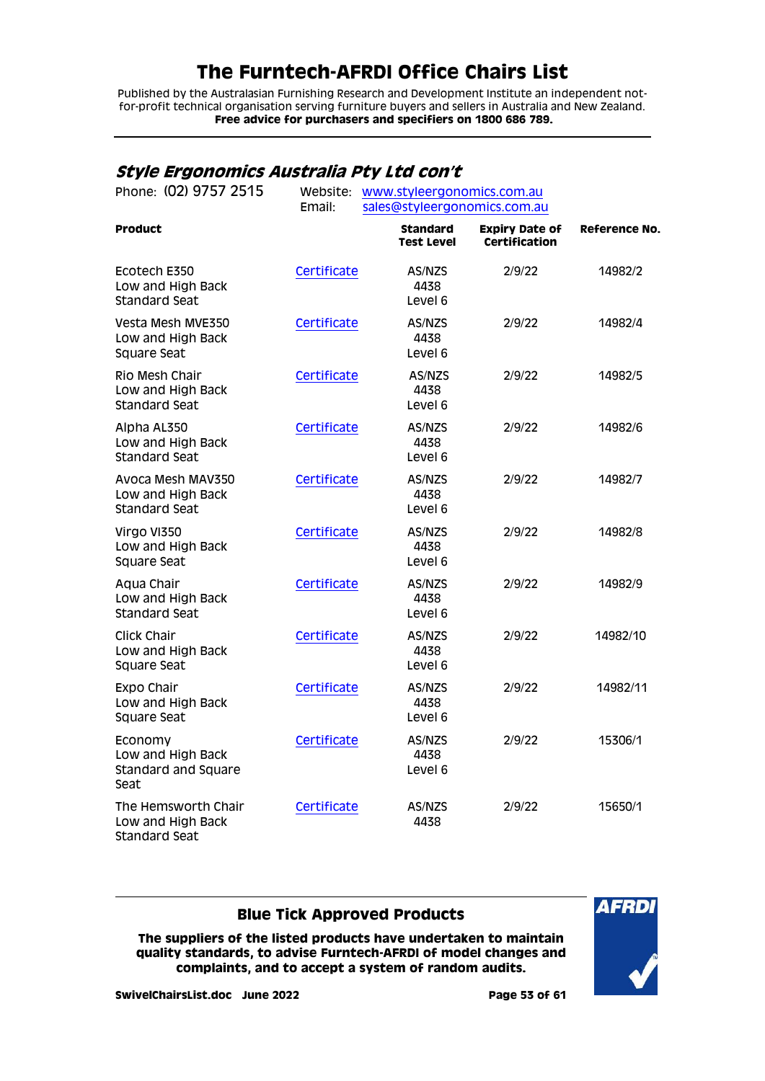Published by the Australasian Furnishing Research and Development Institute an independent notfor-profit technical organisation serving furniture buyers and sellers in Australia and New Zealand. **Free advice for purchasers and specifiers on 1800 686 789.**

## <span id="page-52-0"></span>**Style Ergonomics Australia Pty Ltd con't**

| Phone: (02) 9757 2515                                            |             | Website: www.styleergonomics.com.au  |                                               |                      |  |  |
|------------------------------------------------------------------|-------------|--------------------------------------|-----------------------------------------------|----------------------|--|--|
|                                                                  | Email:      | sales@styleergonomics.com.au         |                                               |                      |  |  |
| <b>Product</b>                                                   |             | <b>Standard</b><br><b>Test Level</b> | <b>Expiry Date of</b><br><b>Certification</b> | <b>Reference No.</b> |  |  |
| Ecotech E350<br>Low and High Back<br><b>Standard Seat</b>        | Certificate | AS/NZS<br>4438<br>Level 6            | 2/9/22                                        | 14982/2              |  |  |
| Vesta Mesh MVE350<br>Low and High Back<br>Square Seat            | Certificate | AS/NZS<br>4438<br>Level 6            | 2/9/22                                        | 14982/4              |  |  |
| Rio Mesh Chair<br>Low and High Back<br><b>Standard Seat</b>      | Certificate | AS/NZS<br>4438<br>Level 6            | 2/9/22                                        | 14982/5              |  |  |
| Alpha AL350<br>Low and High Back<br><b>Standard Seat</b>         | Certificate | AS/NZS<br>4438<br>Level 6            | 2/9/22                                        | 14982/6              |  |  |
| Avoca Mesh MAV350<br>Low and High Back<br><b>Standard Seat</b>   | Certificate | AS/NZS<br>4438<br>Level 6            | 2/9/22                                        | 14982/7              |  |  |
| Virgo VI350<br>Low and High Back<br>Square Seat                  | Certificate | AS/NZS<br>4438<br>Level 6            | 2/9/22                                        | 14982/8              |  |  |
| Aqua Chair<br>Low and High Back<br><b>Standard Seat</b>          | Certificate | AS/NZS<br>4438<br>Level 6            | 2/9/22                                        | 14982/9              |  |  |
| Click Chair<br>Low and High Back<br>Square Seat                  | Certificate | AS/NZS<br>4438<br>Level 6            | 2/9/22                                        | 14982/10             |  |  |
| Expo Chair<br>Low and High Back<br>Square Seat                   | Certificate | AS/NZS<br>4438<br>Level 6            | 2/9/22                                        | 14982/11             |  |  |
| Economy<br>Low and High Back<br>Standard and Square<br>Seat      | Certificate | AS/NZS<br>4438<br>Level 6            | 2/9/22                                        | 15306/1              |  |  |
| The Hemsworth Chair<br>Low and High Back<br><b>Standard Seat</b> | Certificate | AS/NZS<br>4438                       | 2/9/22                                        | 15650/1              |  |  |

### **Blue Tick Approved Products**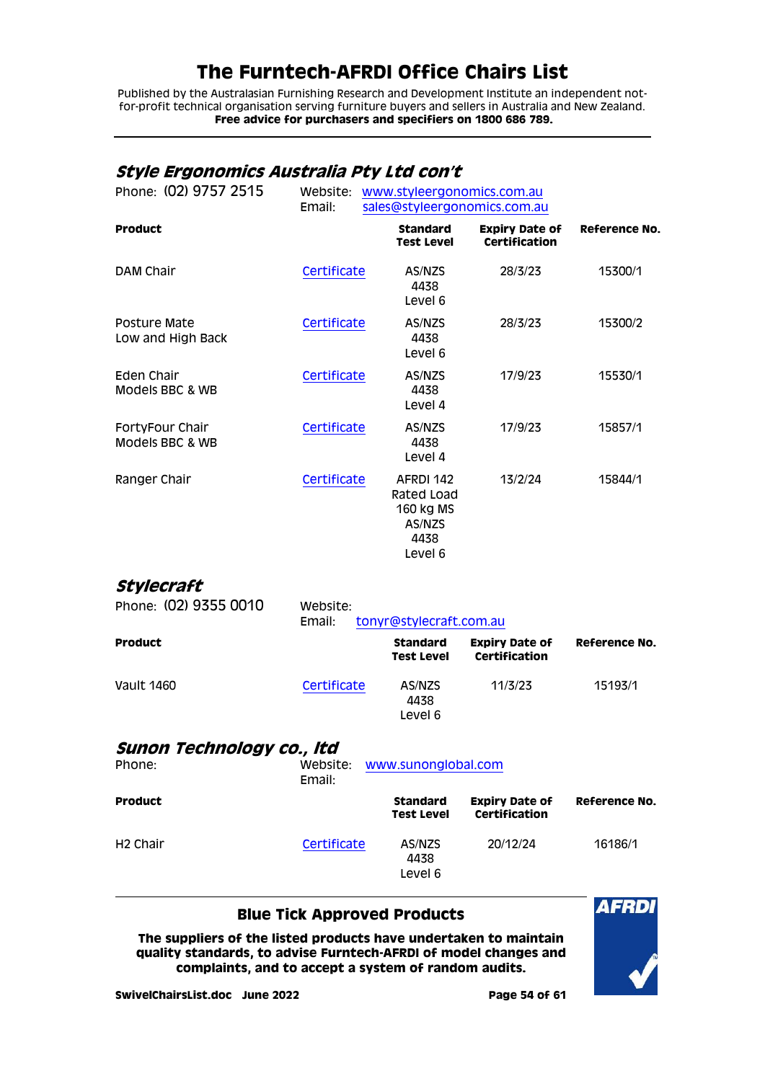Published by the Australasian Furnishing Research and Development Institute an independent notfor-profit technical organisation serving furniture buyers and sellers in Australia and New Zealand. **Free advice for purchasers and specifiers on 1800 686 789.**

## <span id="page-53-0"></span>**Style Ergonomics Australia Pty Ltd con't**

| Phone: (02) 9757 2515              | Website:<br>www.styleergonomics.com.au<br>sales@styleergonomics.com.au<br>Email: |  |                                                                   |                                               |                      |
|------------------------------------|----------------------------------------------------------------------------------|--|-------------------------------------------------------------------|-----------------------------------------------|----------------------|
| <b>Product</b>                     |                                                                                  |  | <b>Standard</b><br><b>Test Level</b>                              | <b>Expiry Date of</b><br><b>Certification</b> | <b>Reference No.</b> |
| DAM Chair                          | Certificate                                                                      |  | AS/NZS<br>4438<br>Level 6                                         | 28/3/23                                       | 15300/1              |
| Posture Mate<br>Low and High Back  | Certificate                                                                      |  | AS/NZS<br>4438<br>Level 6                                         | 28/3/23                                       | 15300/2              |
| Eden Chair<br>Models BBC & WB      | Certificate                                                                      |  | AS/NZS<br>4438<br>Level 4                                         | 17/9/23                                       | 15530/1              |
| FortyFour Chair<br>Models BBC & WB | Certificate                                                                      |  | AS/NZS<br>4438<br>Level 4                                         | 17/9/23                                       | 15857/1              |
| Ranger Chair                       | Certificate                                                                      |  | AFRDI 142<br>Rated Load<br>160 kg MS<br>AS/NZS<br>4438<br>Level 6 | 13/2/24                                       | 15844/1              |

## <span id="page-53-1"></span>**Stylecraft**

| Phone: (02) 9355 0010 | Website:<br>Email: | tonyr@stylecraft.com.au              |                                        |               |  |  |
|-----------------------|--------------------|--------------------------------------|----------------------------------------|---------------|--|--|
| <b>Product</b>        |                    | <b>Standard</b><br><b>Test Level</b> | <b>Expiry Date of</b><br>Certification | Reference No. |  |  |
| Vault 1460            | Certificate        | AS/NZS<br>4438<br>Level 6            | 11/3/23                                | 15193/1       |  |  |
|                       |                    |                                      |                                        |               |  |  |

### <span id="page-53-2"></span>**Sunon Technology co., ltd**

| Phone:               | Website:<br>www.sunonglobal.com<br>Email: |                                      |                                        |               |
|----------------------|-------------------------------------------|--------------------------------------|----------------------------------------|---------------|
| <b>Product</b>       |                                           | <b>Standard</b><br><b>Test Level</b> | <b>Expiry Date of</b><br>Certification | Reference No. |
| H <sub>2</sub> Chair | Certificate                               | AS/NZS<br>4438<br>Level 6            | 20/12/24                               | 16186/1       |

### **Blue Tick Approved Products**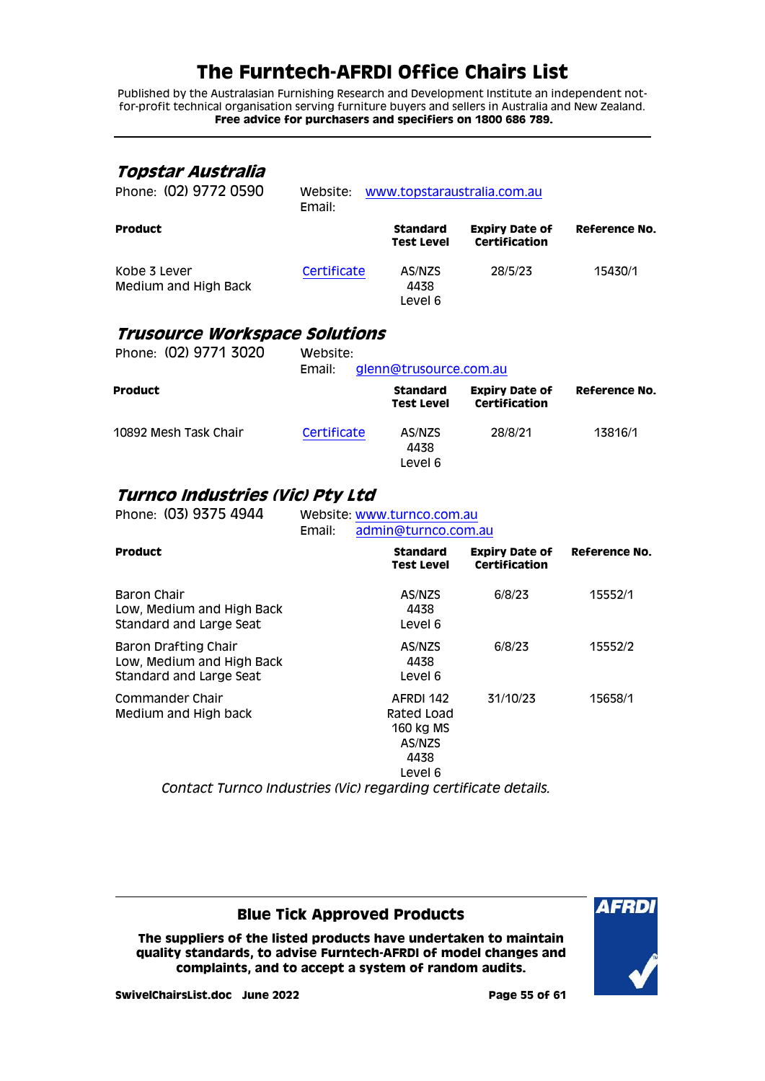Published by the Australasian Furnishing Research and Development Institute an independent notfor-profit technical organisation serving furniture buyers and sellers in Australia and New Zealand. **Free advice for purchasers and specifiers on 1800 686 789.**

### <span id="page-54-0"></span>**Topstar Australia**

| Phone: (02) 9772 0590                | Website:<br>Email: | www.topstaraustralia.com.au          |                                        |               |  |
|--------------------------------------|--------------------|--------------------------------------|----------------------------------------|---------------|--|
| <b>Product</b>                       |                    | <b>Standard</b><br><b>Test Level</b> | <b>Expiry Date of</b><br>Certification | Reference No. |  |
| Kobe 3 Lever<br>Medium and High Back | Certificate        | AS/NZS<br>4438<br>Level 6            | 28/5/23                                | 15430/1       |  |

### <span id="page-54-1"></span>**Trusource Workspace Solutions**

| Phone: (02) 9771 3020 | Website:<br>Email: | glenn@trusource.com.au        |                                               |               |
|-----------------------|--------------------|-------------------------------|-----------------------------------------------|---------------|
| <b>Product</b>        |                    | <b>Standard</b><br>Test Level | <b>Expiry Date of</b><br><b>Certification</b> | Reference No. |
| 10892 Mesh Task Chair | Certificate        | AS/NZS<br>4438<br>Level 6     | 28/8/21                                       | 13816/1       |

### <span id="page-54-2"></span>**Turnco Industries (Vic) Pty Ltd**

| Phone: (03) 9375 4944                                                               | Email: | Website: www.turnco.com.au<br>admin@turnco.com.au |                                                                   |                                               |                      |
|-------------------------------------------------------------------------------------|--------|---------------------------------------------------|-------------------------------------------------------------------|-----------------------------------------------|----------------------|
| <b>Product</b>                                                                      |        |                                                   | <b>Standard</b><br>Test Level                                     | <b>Expiry Date of</b><br><b>Certification</b> | <b>Reference No.</b> |
| Baron Chair<br>Low, Medium and High Back<br>Standard and Large Seat                 |        |                                                   | AS/NZS<br>4438<br>Level 6                                         | 6/8/23                                        | 15552/1              |
| <b>Baron Drafting Chair</b><br>Low, Medium and High Back<br>Standard and Large Seat |        |                                                   | AS/NZS<br>4438<br>Level 6                                         | 6/8/23                                        | 15552/2              |
| Commander Chair<br>Medium and High back                                             |        |                                                   | AFRDI 142<br>Rated Load<br>160 kg MS<br>AS/NZS<br>4438<br>Level 6 | 31/10/23                                      | 15658/1              |
| Contact Turnco Industries (Vic) regarding certificate details.                      |        |                                                   |                                                                   |                                               |                      |

### **Blue Tick Approved Products**

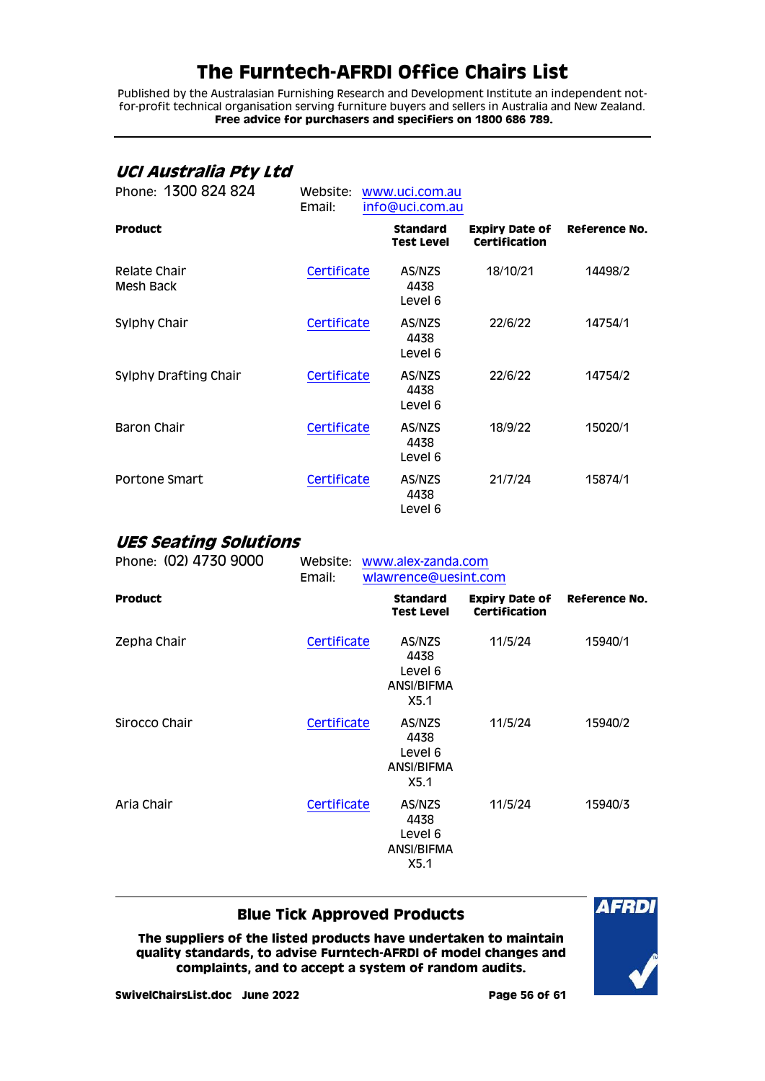Published by the Australasian Furnishing Research and Development Institute an independent notfor-profit technical organisation serving furniture buyers and sellers in Australia and New Zealand. **Free advice for purchasers and specifiers on 1800 686 789.**

## <span id="page-55-0"></span>**UCI Australia Pty Ltd**

| Phone: 1300 824 824       | Website:<br>Email: | www.uci.com.au<br>info@uci.com.au    |                                               |               |
|---------------------------|--------------------|--------------------------------------|-----------------------------------------------|---------------|
| <b>Product</b>            |                    | <b>Standard</b><br><b>Test Level</b> | <b>Expiry Date of</b><br><b>Certification</b> | Reference No. |
| Relate Chair<br>Mesh Back | Certificate        | AS/NZS<br>4438<br>Level 6            | 18/10/21                                      | 14498/2       |
| Sylphy Chair              | Certificate        | AS/NZS<br>4438<br>Level 6            | 22/6/22                                       | 14754/1       |
| Sylphy Drafting Chair     | Certificate        | AS/NZS<br>4438<br>Level 6            | 22/6/22                                       | 14754/2       |
| Baron Chair               | Certificate        | AS/NZS<br>4438<br>Level 6            | 18/9/22                                       | 15020/1       |
| Portone Smart             | Certificate        | AS/NZS<br>4438<br>Level 6            | 21/7/24                                       | 15874/1       |

### <span id="page-55-1"></span>**UES Seating Solutions**

| Phone: (02) 4730 9000 | Email:      | Website: www.alex-zanda.com<br>wlawrence@uesint.com |                                                 |                                        |                      |
|-----------------------|-------------|-----------------------------------------------------|-------------------------------------------------|----------------------------------------|----------------------|
| <b>Product</b>        |             |                                                     | <b>Standard</b><br><b>Test Level</b>            | <b>Expiry Date of</b><br>Certification | <b>Reference No.</b> |
| Zepha Chair           | Certificate |                                                     | AS/NZS<br>4438<br>Level 6<br>ANSI/BIFMA<br>X5.1 | 11/5/24                                | 15940/1              |
| Sirocco Chair         | Certificate |                                                     | AS/NZS<br>4438<br>Level 6<br>ANSI/BIFMA<br>X5.1 | 11/5/24                                | 15940/2              |
| Aria Chair            | Certificate |                                                     | AS/NZS<br>4438<br>Level 6<br>ANSI/BIFMA<br>X5.1 | 11/5/24                                | 15940/3              |

### **Blue Tick Approved Products**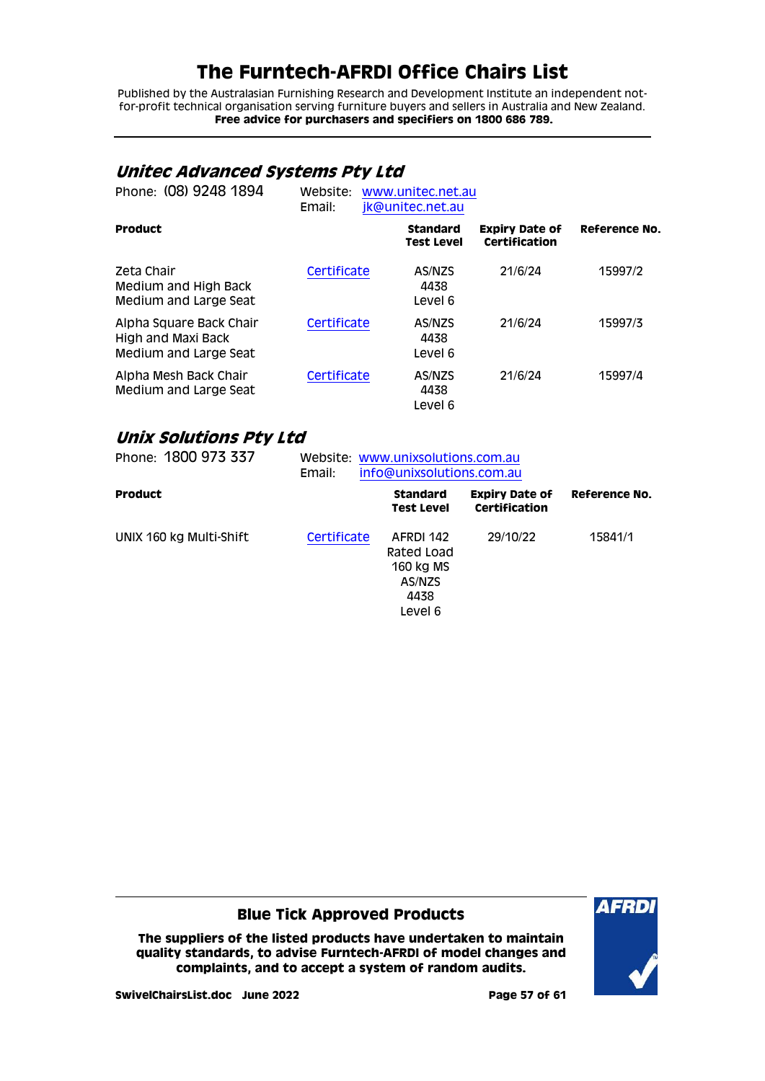Published by the Australasian Furnishing Research and Development Institute an independent notfor-profit technical organisation serving furniture buyers and sellers in Australia and New Zealand. **Free advice for purchasers and specifiers on 1800 686 789.**

## <span id="page-56-0"></span>**Unitec Advanced Systems Pty Ltd**

| Phone: (08) 9248 1894                                                  | Website:<br>Email: | www.unitec.net.au<br>jk@unitec.net.au |                                        |               |  |
|------------------------------------------------------------------------|--------------------|---------------------------------------|----------------------------------------|---------------|--|
| <b>Product</b>                                                         |                    | <b>Standard</b><br><b>Test Level</b>  | <b>Expiry Date of</b><br>Certification | Reference No. |  |
| Zeta Chair<br>Medium and High Back<br>Medium and Large Seat            | Certificate        | AS/NZS<br>4438<br>Level 6             | 21/6/24                                | 15997/2       |  |
| Alpha Square Back Chair<br>High and Maxi Back<br>Medium and Large Seat | Certificate        | AS/NZS<br>4438<br>Level 6             | 21/6/24                                | 15997/3       |  |
| Alpha Mesh Back Chair<br>Medium and Large Seat                         | Certificate        | AS/NZS<br>4438<br>Level 6             | 21/6/24                                | 15997/4       |  |

## <span id="page-56-1"></span>**Unix Solutions Pty Ltd**

| Phone: 1800 973 337     | Website: www.unixsolutions.com.au<br>info@unixsolutions.com.au<br>Email: |                                                                   |                                        |               |
|-------------------------|--------------------------------------------------------------------------|-------------------------------------------------------------------|----------------------------------------|---------------|
| <b>Product</b>          |                                                                          | <b>Standard</b><br>Test Level                                     | <b>Expiry Date of</b><br>Certification | Reference No. |
| UNIX 160 kg Multi-Shift | Certificate                                                              | AFRDI 142<br>Rated Load<br>160 kg MS<br>AS/NZS<br>4438<br>Level 6 | 29/10/22                               | 15841/1       |

**Blue Tick Approved Products**

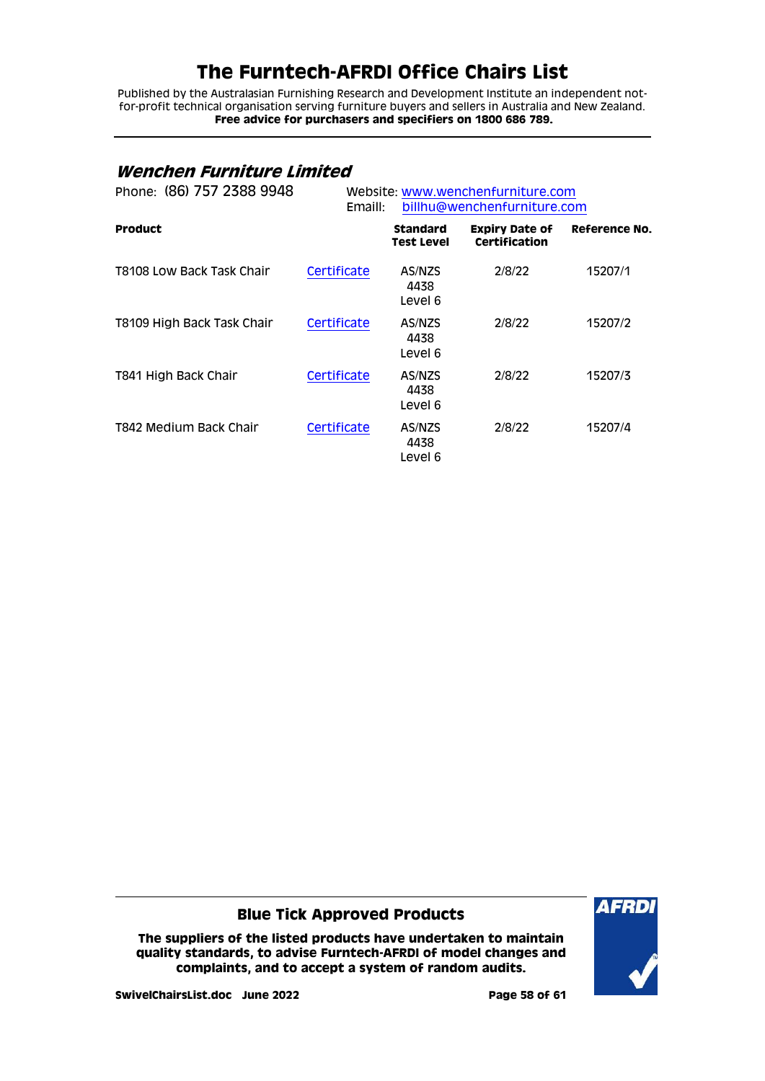Published by the Australasian Furnishing Research and Development Institute an independent notfor-profit technical organisation serving furniture buyers and sellers in Australia and New Zealand. **Free advice for purchasers and specifiers on 1800 686 789.**

## <span id="page-57-0"></span>**Wenchen Furniture Limited**

| Phone: (86) 757 2388 9948  | Website: www.wenchenfurniture.com<br>Emaill: | billhu@wenchenfurniture.com   |                                        |               |
|----------------------------|----------------------------------------------|-------------------------------|----------------------------------------|---------------|
| <b>Product</b>             |                                              | <b>Standard</b><br>Test Level | <b>Expiry Date of</b><br>Certification | Reference No. |
| T8108 Low Back Task Chair  | Certificate                                  | AS/NZS<br>4438<br>Level 6     | 2/8/22                                 | 15207/1       |
| T8109 High Back Task Chair | Certificate                                  | AS/NZS<br>4438<br>Level 6     | 2/8/22                                 | 15207/2       |
| T841 High Back Chair       | Certificate                                  | AS/NZS<br>4438<br>Level 6     | 2/8/22                                 | 15207/3       |
| T842 Medium Back Chair     | Certificate                                  | AS/NZS<br>4438<br>Level 6     | 2/8/22                                 | 15207/4       |

**Blue Tick Approved Products**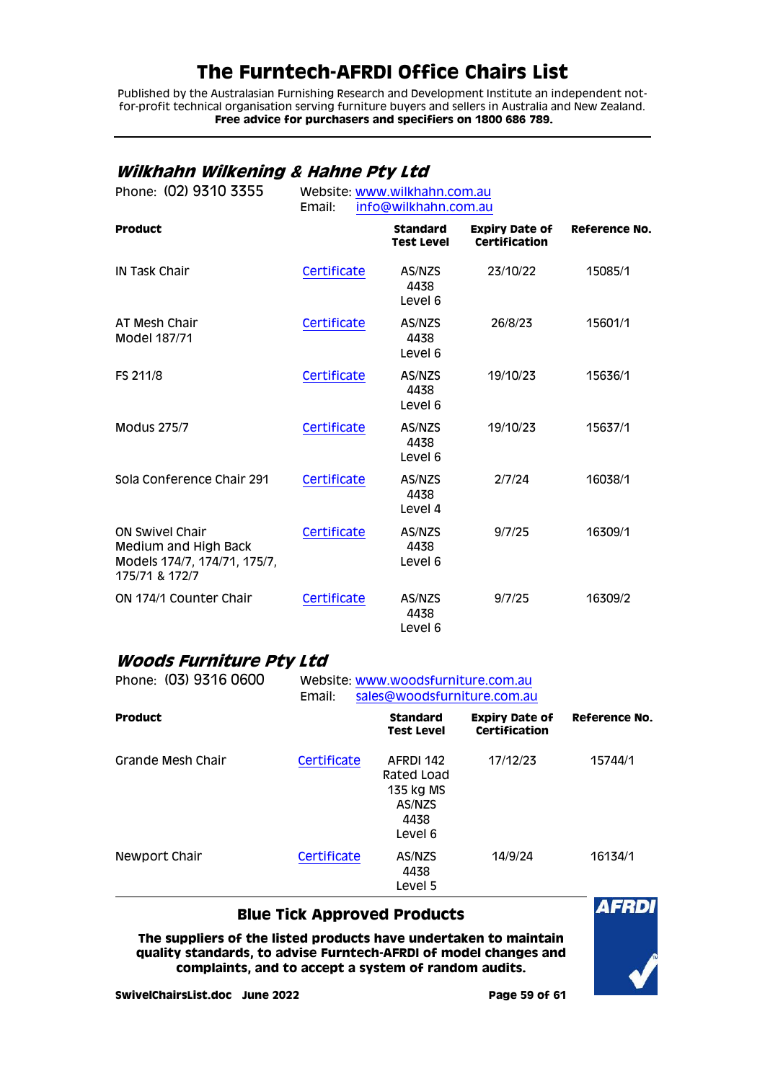Published by the Australasian Furnishing Research and Development Institute an independent notfor-profit technical organisation serving furniture buyers and sellers in Australia and New Zealand. **Free advice for purchasers and specifiers on 1800 686 789.**

## <span id="page-58-0"></span>**Wilkhahn Wilkening & Hahne Pty Ltd**

| Phone: (02) 9310 3355                                                                            | Website: www.wilkhahn.com.au<br>Email:<br>info@wilkhahn.com.au |                                      |                                               |                      |  |
|--------------------------------------------------------------------------------------------------|----------------------------------------------------------------|--------------------------------------|-----------------------------------------------|----------------------|--|
| <b>Product</b>                                                                                   |                                                                | <b>Standard</b><br><b>Test Level</b> | <b>Expiry Date of</b><br><b>Certification</b> | <b>Reference No.</b> |  |
| <b>IN Task Chair</b>                                                                             | Certificate                                                    | AS/NZS<br>4438<br>Level 6            | 23/10/22                                      | 15085/1              |  |
| AT Mesh Chair<br>Model 187/71                                                                    | Certificate                                                    | AS/NZS<br>4438<br>Level 6            | 26/8/23                                       | 15601/1              |  |
| FS 211/8                                                                                         | Certificate                                                    | AS/NZS<br>4438<br>Level 6            | 19/10/23                                      | 15636/1              |  |
| <b>Modus 275/7</b>                                                                               | Certificate                                                    | AS/NZS<br>4438<br>Level 6            | 19/10/23                                      | 15637/1              |  |
| Sola Conference Chair 291                                                                        | Certificate                                                    | AS/NZS<br>4438<br>Level 4            | 2/7/24                                        | 16038/1              |  |
| <b>ON Swivel Chair</b><br>Medium and High Back<br>Models 174/7, 174/71, 175/7,<br>175/71 & 172/7 | Certificate                                                    | AS/NZS<br>4438<br>Level 6            | 9/7/25                                        | 16309/1              |  |
| ON 174/1 Counter Chair                                                                           | Certificate                                                    | AS/NZS<br>4438<br>Level 6            | 9/7/25                                        | 16309/2              |  |

### <span id="page-58-1"></span>**Woods Furniture Pty Ltd**

| Phone: (03) 9316 0600 | Website: www.woodsfurniture.com.au<br>sales@woodsfurniture.com.au<br>Email: |                                                                   |                                        |               |  |
|-----------------------|-----------------------------------------------------------------------------|-------------------------------------------------------------------|----------------------------------------|---------------|--|
| <b>Product</b>        |                                                                             | <b>Standard</b><br><b>Test Level</b>                              | <b>Expiry Date of</b><br>Certification | Reference No. |  |
| Grande Mesh Chair     | Certificate                                                                 | AFRDI 142<br>Rated Load<br>135 kg MS<br>AS/NZS<br>4438<br>Level 6 | 17/12/23                               | 15744/1       |  |
| Newport Chair         | Certificate                                                                 | AS/NZS<br>4438<br>Level 5                                         | 14/9/24                                | 16134/1       |  |

### **Blue Tick Approved Products**

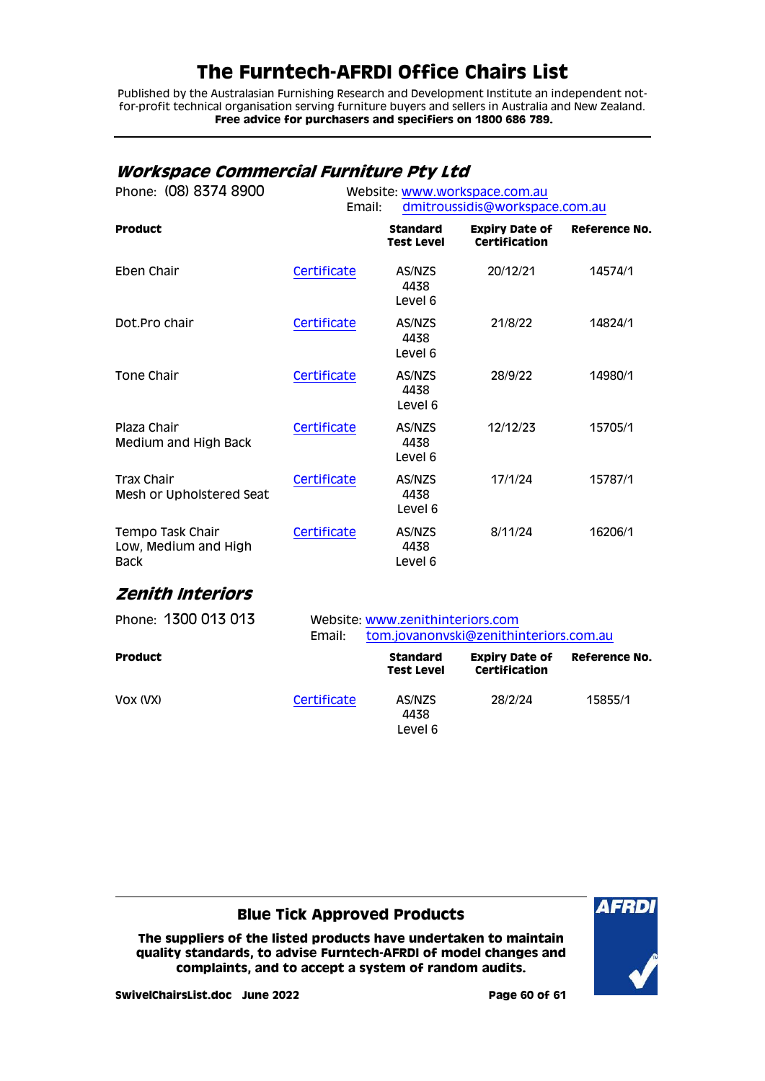Published by the Australasian Furnishing Research and Development Institute an independent notfor-profit technical organisation serving furniture buyers and sellers in Australia and New Zealand. **Free advice for purchasers and specifiers on 1800 686 789.**

## <span id="page-59-0"></span>**Workspace Commercial Furniture Pty Ltd**

| Phone: (08) 8374 8900                                   | Website: www.workspace.com.au<br>Email: |                                      |                                        | dmitroussidis@workspace.com.au |  |
|---------------------------------------------------------|-----------------------------------------|--------------------------------------|----------------------------------------|--------------------------------|--|
| <b>Product</b>                                          |                                         | <b>Standard</b><br><b>Test Level</b> | <b>Expiry Date of</b><br>Certification | <b>Reference No.</b>           |  |
| Eben Chair                                              | Certificate                             | AS/NZS<br>4438<br>Level 6            | 20/12/21                               | 14574/1                        |  |
| Dot.Pro chair                                           | Certificate                             | AS/NZS<br>4438<br>Level 6            | 21/8/22                                | 14824/1                        |  |
| Tone Chair                                              | Certificate                             | AS/NZS<br>4438<br>Level 6            | 28/9/22                                | 14980/1                        |  |
| Plaza Chair<br>Medium and High Back                     | Certificate                             | AS/NZS<br>4438<br>Level 6            | 12/12/23                               | 15705/1                        |  |
| <b>Trax Chair</b><br>Mesh or Upholstered Seat           | Certificate                             | AS/NZS<br>4438<br>Level 6            | 17/1/24                                | 15787/1                        |  |
| Tempo Task Chair<br>Low, Medium and High<br><b>Back</b> | Certificate                             | AS/NZS<br>4438<br>Level 6            | 8/11/24                                | 16206/1                        |  |

### <span id="page-59-1"></span>**Zenith Interiors**

| Phone: 1300 013 013 | Email:      | Website: www.zenithinteriors.com<br>tom.jovanonyski@zenithinteriors.com.au |                                        |               |  |
|---------------------|-------------|----------------------------------------------------------------------------|----------------------------------------|---------------|--|
| <b>Product</b>      |             | <b>Standard</b><br><b>Test Level</b>                                       | <b>Expiry Date of</b><br>Certification | Reference No. |  |
| VOX (VX)            | Certificate | AS/NZS<br>4438<br>Level 6                                                  | 28/2/24                                | 15855/1       |  |

### **Blue Tick Approved Products**